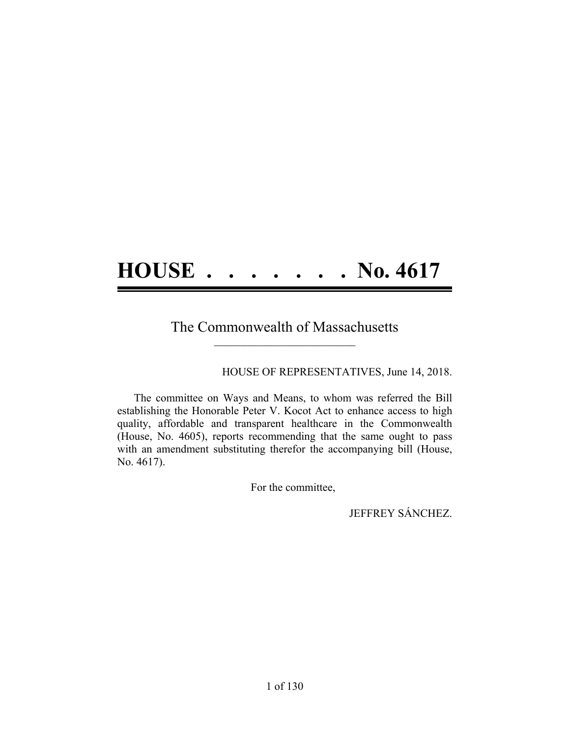# **HOUSE . . . . . . . No. 4617**

### The Commonwealth of Massachusetts **\_\_\_\_\_\_\_\_\_\_\_\_\_\_\_\_\_\_\_\_\_\_\_\_\_\_\_\_\_\_\_\_\_\_\_\_\_\_**

HOUSE OF REPRESENTATIVES, June 14, 2018.

The committee on Ways and Means, to whom was referred the Bill establishing the Honorable Peter V. Kocot Act to enhance access to high quality, affordable and transparent healthcare in the Commonwealth (House, No. 4605), reports recommending that the same ought to pass with an amendment substituting therefor the accompanying bill (House, No. 4617).

For the committee,

JEFFREY SÁNCHEZ.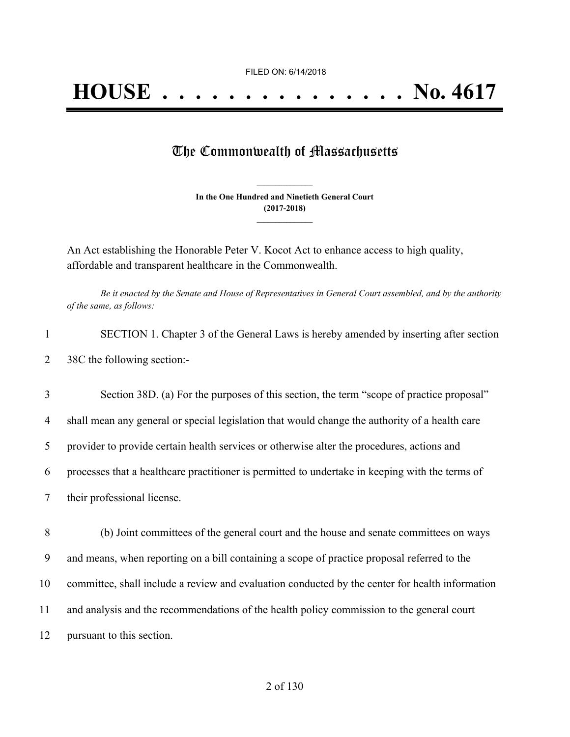# The Commonwealth of Massachusetts

**In the One Hundred and Ninetieth General Court (2017-2018) \_\_\_\_\_\_\_\_\_\_\_\_\_\_\_**

**\_\_\_\_\_\_\_\_\_\_\_\_\_\_\_**

An Act establishing the Honorable Peter V. Kocot Act to enhance access to high quality, affordable and transparent healthcare in the Commonwealth.

Be it enacted by the Senate and House of Representatives in General Court assembled, and by the authority *of the same, as follows:*

| SECTION 1. Chapter 3 of the General Laws is hereby amended by inserting after section |
|---------------------------------------------------------------------------------------|
| 38C the following section:-                                                           |

| 3  | Section 38D. (a) For the purposes of this section, the term "scope of practice proposal"        |
|----|-------------------------------------------------------------------------------------------------|
| 4  | shall mean any general or special legislation that would change the authority of a health care  |
| 5  | provider to provide certain health services or otherwise alter the procedures, actions and      |
| 6  | processes that a healthcare practitioner is permitted to undertake in keeping with the terms of |
|    | their professional license.                                                                     |
| 8  | (b) Joint committees of the general court and the house and senate committees on ways           |
|    |                                                                                                 |
| 9  | and means, when reporting on a bill containing a scope of practice proposal referred to the     |
| 10 | committee, shall include a review and evaluation conducted by the center for health information |
|    |                                                                                                 |

11 and analysis and the recommendations of the health policy commission to the general court

12 pursuant to this section.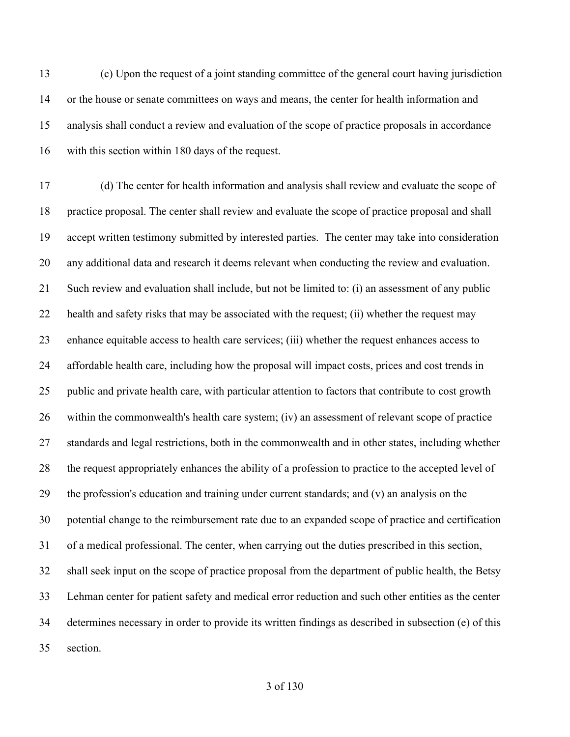(c) Upon the request of a joint standing committee of the general court having jurisdiction or the house or senate committees on ways and means, the center for health information and analysis shall conduct a review and evaluation of the scope of practice proposals in accordance with this section within 180 days of the request.

 (d) The center for health information and analysis shall review and evaluate the scope of practice proposal. The center shall review and evaluate the scope of practice proposal and shall accept written testimony submitted by interested parties. The center may take into consideration any additional data and research it deems relevant when conducting the review and evaluation. Such review and evaluation shall include, but not be limited to: (i) an assessment of any public health and safety risks that may be associated with the request; (ii) whether the request may enhance equitable access to health care services; (iii) whether the request enhances access to affordable health care, including how the proposal will impact costs, prices and cost trends in public and private health care, with particular attention to factors that contribute to cost growth within the commonwealth's health care system; (iv) an assessment of relevant scope of practice standards and legal restrictions, both in the commonwealth and in other states, including whether the request appropriately enhances the ability of a profession to practice to the accepted level of the profession's education and training under current standards; and (v) an analysis on the potential change to the reimbursement rate due to an expanded scope of practice and certification of a medical professional. The center, when carrying out the duties prescribed in this section, shall seek input on the scope of practice proposal from the department of public health, the Betsy Lehman center for patient safety and medical error reduction and such other entities as the center determines necessary in order to provide its written findings as described in subsection (e) of this section.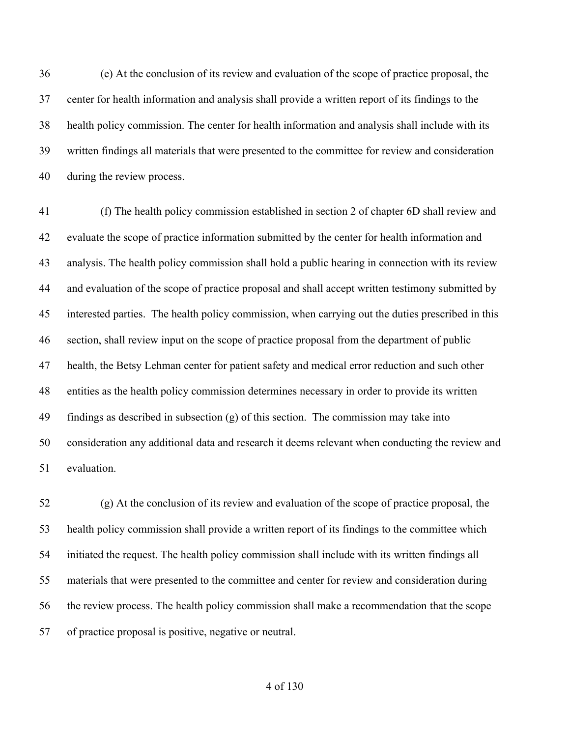(e) At the conclusion of its review and evaluation of the scope of practice proposal, the center for health information and analysis shall provide a written report of its findings to the health policy commission. The center for health information and analysis shall include with its written findings all materials that were presented to the committee for review and consideration during the review process.

 (f) The health policy commission established in section 2 of chapter 6D shall review and evaluate the scope of practice information submitted by the center for health information and analysis. The health policy commission shall hold a public hearing in connection with its review and evaluation of the scope of practice proposal and shall accept written testimony submitted by interested parties. The health policy commission, when carrying out the duties prescribed in this section, shall review input on the scope of practice proposal from the department of public health, the Betsy Lehman center for patient safety and medical error reduction and such other entities as the health policy commission determines necessary in order to provide its written findings as described in subsection (g) of this section. The commission may take into consideration any additional data and research it deems relevant when conducting the review and evaluation.

 (g) At the conclusion of its review and evaluation of the scope of practice proposal, the health policy commission shall provide a written report of its findings to the committee which initiated the request. The health policy commission shall include with its written findings all materials that were presented to the committee and center for review and consideration during the review process. The health policy commission shall make a recommendation that the scope of practice proposal is positive, negative or neutral.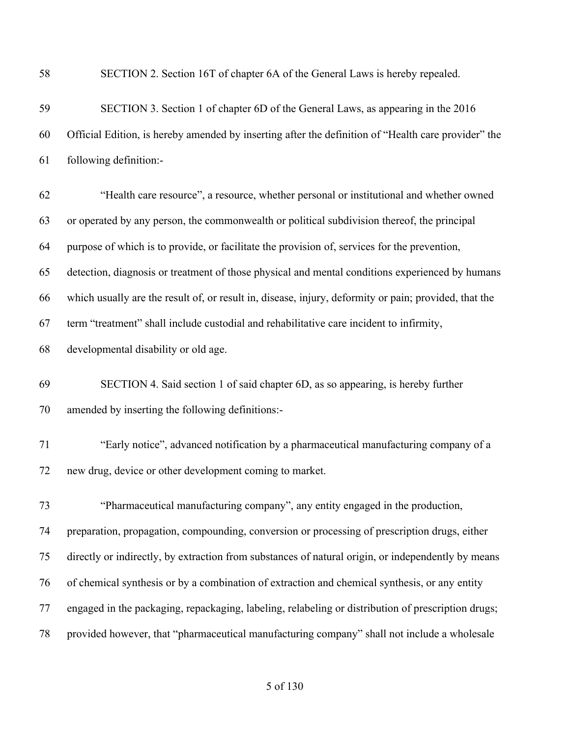| 58 | SECTION 2. Section 16T of chapter 6A of the General Laws is hereby repealed.                          |
|----|-------------------------------------------------------------------------------------------------------|
| 59 | SECTION 3. Section 1 of chapter 6D of the General Laws, as appearing in the 2016                      |
| 60 | Official Edition, is hereby amended by inserting after the definition of "Health care provider" the   |
| 61 | following definition:-                                                                                |
| 62 | "Health care resource", a resource, whether personal or institutional and whether owned               |
| 63 | or operated by any person, the commonwealth or political subdivision thereof, the principal           |
| 64 | purpose of which is to provide, or facilitate the provision of, services for the prevention,          |
| 65 | detection, diagnosis or treatment of those physical and mental conditions experienced by humans       |
| 66 | which usually are the result of, or result in, disease, injury, deformity or pain; provided, that the |
| 67 | term "treatment" shall include custodial and rehabilitative care incident to infirmity,               |
| 68 | developmental disability or old age.                                                                  |
| 69 | SECTION 4. Said section 1 of said chapter 6D, as so appearing, is hereby further                      |
| 70 | amended by inserting the following definitions:-                                                      |
| 71 | "Early notice", advanced notification by a pharmaceutical manufacturing company of a                  |
| 72 | new drug, device or other development coming to market.                                               |
| 73 | "Pharmaceutical manufacturing company", any entity engaged in the production,                         |
| 74 | preparation, propagation, compounding, conversion or processing of prescription drugs, either         |
| 75 | directly or indirectly, by extraction from substances of natural origin, or independently by means    |
| 76 | of chemical synthesis or by a combination of extraction and chemical synthesis, or any entity         |
| 77 | engaged in the packaging, repackaging, labeling, relabeling or distribution of prescription drugs;    |
| 78 | provided however, that "pharmaceutical manufacturing company" shall not include a wholesale           |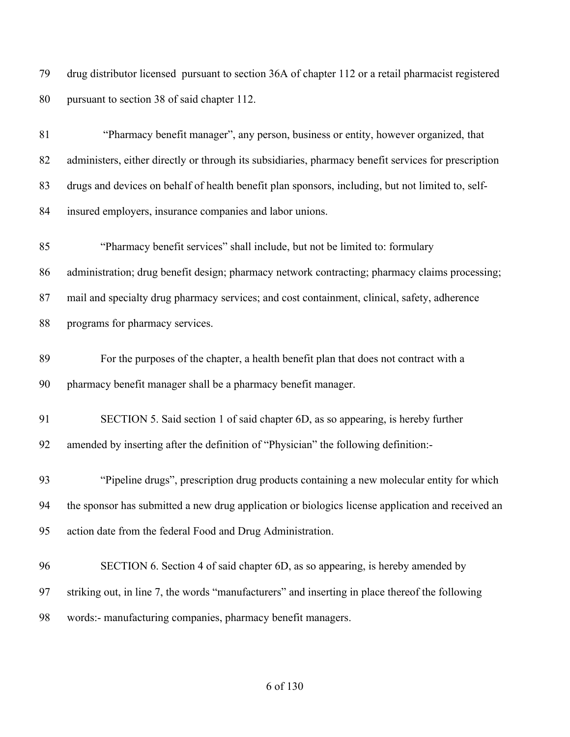drug distributor licensed pursuant to section 36A of chapter 112 or a retail pharmacist registered pursuant to section 38 of said chapter 112.

| 81 | "Pharmacy benefit manager", any person, business or entity, however organized, that                  |
|----|------------------------------------------------------------------------------------------------------|
| 82 | administers, either directly or through its subsidiaries, pharmacy benefit services for prescription |
| 83 | drugs and devices on behalf of health benefit plan sponsors, including, but not limited to, self-    |
| 84 | insured employers, insurance companies and labor unions.                                             |
| 85 | "Pharmacy benefit services" shall include, but not be limited to: formulary                          |
| 86 | administration; drug benefit design; pharmacy network contracting; pharmacy claims processing;       |
| 87 | mail and specialty drug pharmacy services; and cost containment, clinical, safety, adherence         |
| 88 | programs for pharmacy services.                                                                      |
| 89 | For the purposes of the chapter, a health benefit plan that does not contract with a                 |
| 90 | pharmacy benefit manager shall be a pharmacy benefit manager.                                        |
| 91 | SECTION 5. Said section 1 of said chapter 6D, as so appearing, is hereby further                     |
| 92 | amended by inserting after the definition of "Physician" the following definition:-                  |
| 93 | "Pipeline drugs", prescription drug products containing a new molecular entity for which             |
| 94 | the sponsor has submitted a new drug application or biologics license application and received an    |
| 95 | action date from the federal Food and Drug Administration.                                           |
| 96 | SECTION 6. Section 4 of said chapter 6D, as so appearing, is hereby amended by                       |
| 97 | striking out, in line 7, the words "manufacturers" and inserting in place thereof the following      |
| 98 | words:- manufacturing companies, pharmacy benefit managers.                                          |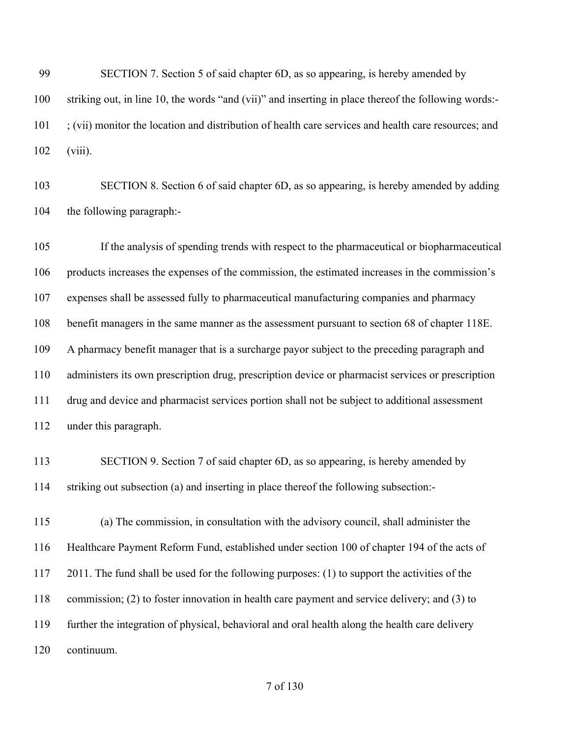SECTION 7. Section 5 of said chapter 6D, as so appearing, is hereby amended by striking out, in line 10, the words "and (vii)" and inserting in place thereof the following words:- ; (vii) monitor the location and distribution of health care services and health care resources; and (viii).

 SECTION 8. Section 6 of said chapter 6D, as so appearing, is hereby amended by adding the following paragraph:-

 If the analysis of spending trends with respect to the pharmaceutical or biopharmaceutical products increases the expenses of the commission, the estimated increases in the commission's expenses shall be assessed fully to pharmaceutical manufacturing companies and pharmacy benefit managers in the same manner as the assessment pursuant to section 68 of chapter 118E. A pharmacy benefit manager that is a surcharge payor subject to the preceding paragraph and administers its own prescription drug, prescription device or pharmacist services or prescription drug and device and pharmacist services portion shall not be subject to additional assessment under this paragraph.

 SECTION 9. Section 7 of said chapter 6D, as so appearing, is hereby amended by striking out subsection (a) and inserting in place thereof the following subsection:-

 (a) The commission, in consultation with the advisory council, shall administer the Healthcare Payment Reform Fund, established under section 100 of chapter 194 of the acts of 2011. The fund shall be used for the following purposes: (1) to support the activities of the commission; (2) to foster innovation in health care payment and service delivery; and (3) to further the integration of physical, behavioral and oral health along the health care delivery continuum.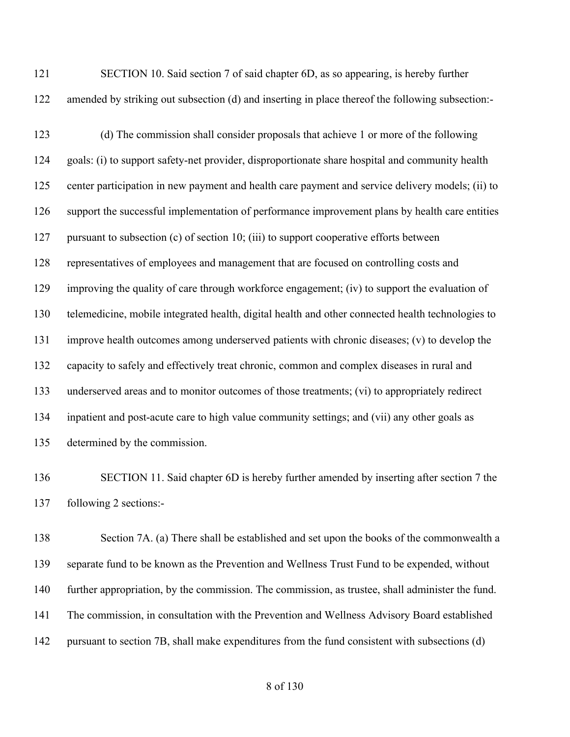| 121 | SECTION 10. Said section 7 of said chapter 6D, as so appearing, is hereby further                |
|-----|--------------------------------------------------------------------------------------------------|
| 122 | amended by striking out subsection (d) and inserting in place thereof the following subsection:- |

 (d) The commission shall consider proposals that achieve 1 or more of the following goals: (i) to support safety-net provider, disproportionate share hospital and community health center participation in new payment and health care payment and service delivery models; (ii) to support the successful implementation of performance improvement plans by health care entities pursuant to subsection (c) of section 10; (iii) to support cooperative efforts between representatives of employees and management that are focused on controlling costs and improving the quality of care through workforce engagement; (iv) to support the evaluation of telemedicine, mobile integrated health, digital health and other connected health technologies to improve health outcomes among underserved patients with chronic diseases; (v) to develop the capacity to safely and effectively treat chronic, common and complex diseases in rural and underserved areas and to monitor outcomes of those treatments; (vi) to appropriately redirect inpatient and post-acute care to high value community settings; and (vii) any other goals as determined by the commission.

 SECTION 11. Said chapter 6D is hereby further amended by inserting after section 7 the following 2 sections:-

 Section 7A. (a) There shall be established and set upon the books of the commonwealth a separate fund to be known as the Prevention and Wellness Trust Fund to be expended, without further appropriation, by the commission. The commission, as trustee, shall administer the fund. The commission, in consultation with the Prevention and Wellness Advisory Board established pursuant to section 7B, shall make expenditures from the fund consistent with subsections (d)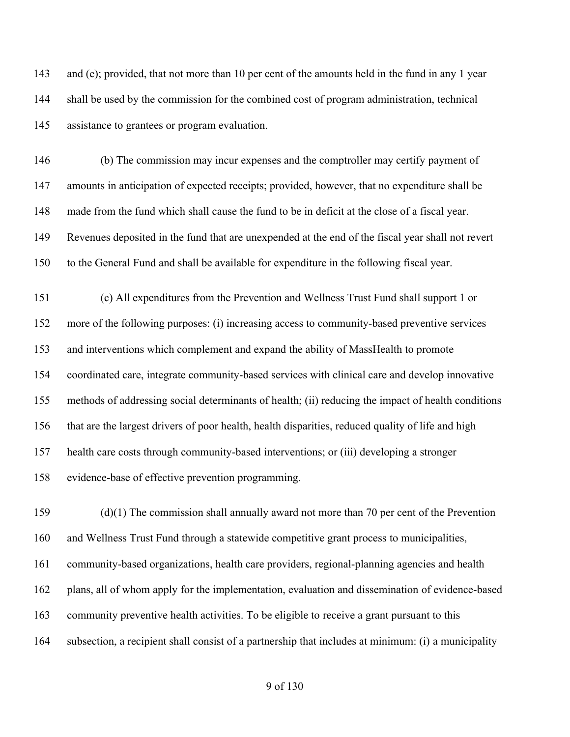143 and (e); provided, that not more than 10 per cent of the amounts held in the fund in any 1 year shall be used by the commission for the combined cost of program administration, technical assistance to grantees or program evaluation.

 (b) The commission may incur expenses and the comptroller may certify payment of amounts in anticipation of expected receipts; provided, however, that no expenditure shall be made from the fund which shall cause the fund to be in deficit at the close of a fiscal year. Revenues deposited in the fund that are unexpended at the end of the fiscal year shall not revert to the General Fund and shall be available for expenditure in the following fiscal year.

 (c) All expenditures from the Prevention and Wellness Trust Fund shall support 1 or more of the following purposes: (i) increasing access to community-based preventive services and interventions which complement and expand the ability of MassHealth to promote coordinated care, integrate community-based services with clinical care and develop innovative methods of addressing social determinants of health; (ii) reducing the impact of health conditions that are the largest drivers of poor health, health disparities, reduced quality of life and high health care costs through community-based interventions; or (iii) developing a stronger evidence-base of effective prevention programming.

 (d)(1) The commission shall annually award not more than 70 per cent of the Prevention and Wellness Trust Fund through a statewide competitive grant process to municipalities, community-based organizations, health care providers, regional-planning agencies and health plans, all of whom apply for the implementation, evaluation and dissemination of evidence-based community preventive health activities. To be eligible to receive a grant pursuant to this subsection, a recipient shall consist of a partnership that includes at minimum: (i) a municipality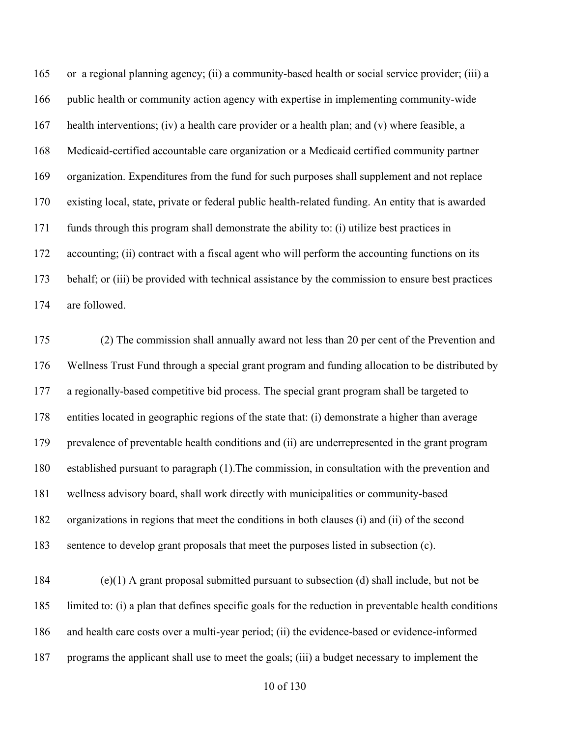or a regional planning agency; (ii) a community-based health or social service provider; (iii) a public health or community action agency with expertise in implementing community-wide health interventions; (iv) a health care provider or a health plan; and (v) where feasible, a Medicaid-certified accountable care organization or a Medicaid certified community partner organization. Expenditures from the fund for such purposes shall supplement and not replace existing local, state, private or federal public health-related funding. An entity that is awarded funds through this program shall demonstrate the ability to: (i) utilize best practices in accounting; (ii) contract with a fiscal agent who will perform the accounting functions on its behalf; or (iii) be provided with technical assistance by the commission to ensure best practices are followed.

 (2) The commission shall annually award not less than 20 per cent of the Prevention and Wellness Trust Fund through a special grant program and funding allocation to be distributed by a regionally-based competitive bid process. The special grant program shall be targeted to entities located in geographic regions of the state that: (i) demonstrate a higher than average prevalence of preventable health conditions and (ii) are underrepresented in the grant program established pursuant to paragraph (1).The commission, in consultation with the prevention and wellness advisory board, shall work directly with municipalities or community-based organizations in regions that meet the conditions in both clauses (i) and (ii) of the second sentence to develop grant proposals that meet the purposes listed in subsection (c).

 (e)(1) A grant proposal submitted pursuant to subsection (d) shall include, but not be limited to: (i) a plan that defines specific goals for the reduction in preventable health conditions and health care costs over a multi-year period; (ii) the evidence-based or evidence-informed programs the applicant shall use to meet the goals; (iii) a budget necessary to implement the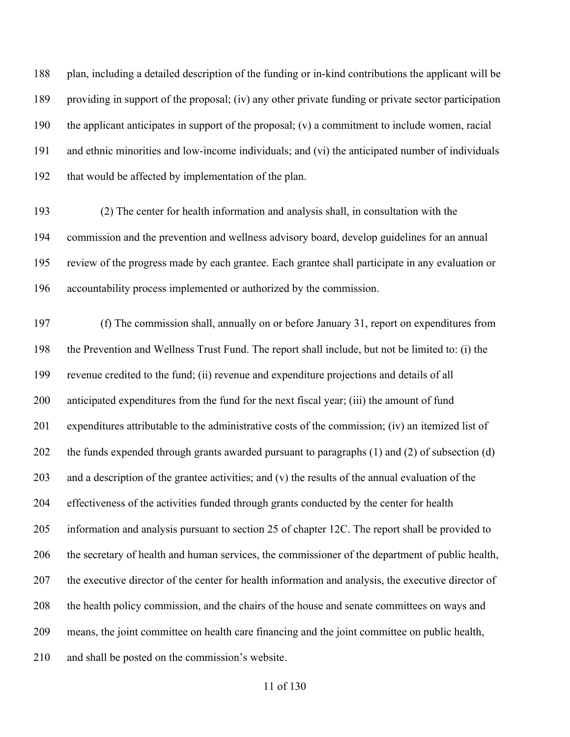plan, including a detailed description of the funding or in-kind contributions the applicant will be providing in support of the proposal; (iv) any other private funding or private sector participation the applicant anticipates in support of the proposal; (v) a commitment to include women, racial and ethnic minorities and low-income individuals; and (vi) the anticipated number of individuals that would be affected by implementation of the plan.

 (2) The center for health information and analysis shall, in consultation with the commission and the prevention and wellness advisory board, develop guidelines for an annual review of the progress made by each grantee. Each grantee shall participate in any evaluation or accountability process implemented or authorized by the commission.

 (f) The commission shall, annually on or before January 31, report on expenditures from the Prevention and Wellness Trust Fund. The report shall include, but not be limited to: (i) the revenue credited to the fund; (ii) revenue and expenditure projections and details of all anticipated expenditures from the fund for the next fiscal year; (iii) the amount of fund expenditures attributable to the administrative costs of the commission; (iv) an itemized list of the funds expended through grants awarded pursuant to paragraphs (1) and (2) of subsection (d) and a description of the grantee activities; and (v) the results of the annual evaluation of the effectiveness of the activities funded through grants conducted by the center for health information and analysis pursuant to section 25 of chapter 12C. The report shall be provided to the secretary of health and human services, the commissioner of the department of public health, the executive director of the center for health information and analysis, the executive director of the health policy commission, and the chairs of the house and senate committees on ways and means, the joint committee on health care financing and the joint committee on public health, and shall be posted on the commission's website.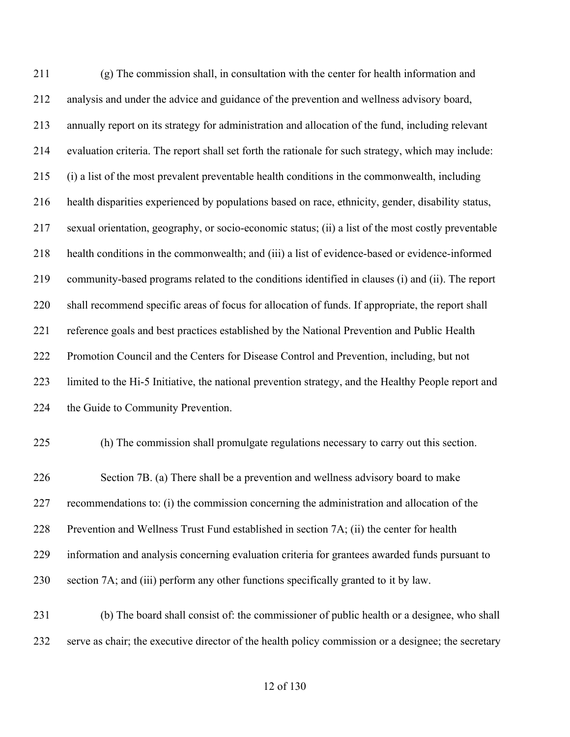(g) The commission shall, in consultation with the center for health information and analysis and under the advice and guidance of the prevention and wellness advisory board, annually report on its strategy for administration and allocation of the fund, including relevant evaluation criteria. The report shall set forth the rationale for such strategy, which may include: (i) a list of the most prevalent preventable health conditions in the commonwealth, including health disparities experienced by populations based on race, ethnicity, gender, disability status, sexual orientation, geography, or socio-economic status; (ii) a list of the most costly preventable health conditions in the commonwealth; and (iii) a list of evidence-based or evidence-informed community-based programs related to the conditions identified in clauses (i) and (ii). The report shall recommend specific areas of focus for allocation of funds. If appropriate, the report shall reference goals and best practices established by the National Prevention and Public Health Promotion Council and the Centers for Disease Control and Prevention, including, but not limited to the Hi-5 Initiative, the national prevention strategy, and the Healthy People report and 224 the Guide to Community Prevention.

(h) The commission shall promulgate regulations necessary to carry out this section.

 Section 7B. (a) There shall be a prevention and wellness advisory board to make recommendations to: (i) the commission concerning the administration and allocation of the Prevention and Wellness Trust Fund established in section 7A; (ii) the center for health information and analysis concerning evaluation criteria for grantees awarded funds pursuant to section 7A; and (iii) perform any other functions specifically granted to it by law.

 (b) The board shall consist of: the commissioner of public health or a designee, who shall serve as chair; the executive director of the health policy commission or a designee; the secretary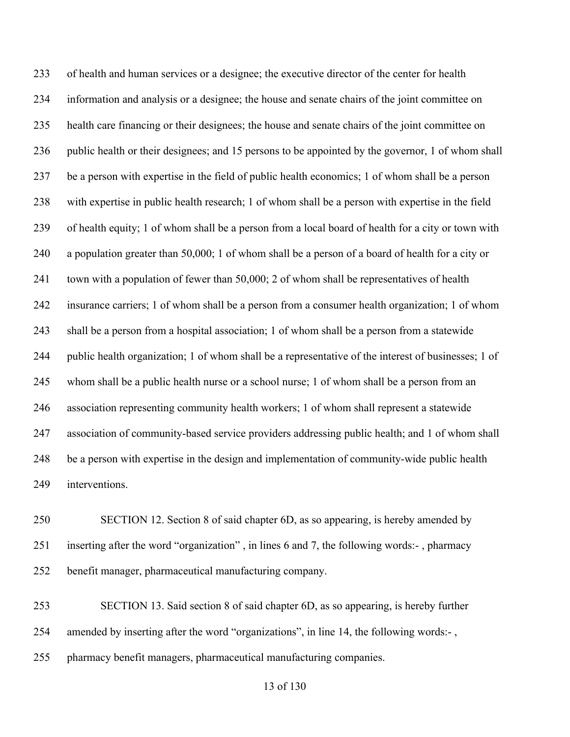of health and human services or a designee; the executive director of the center for health information and analysis or a designee; the house and senate chairs of the joint committee on health care financing or their designees; the house and senate chairs of the joint committee on public health or their designees; and 15 persons to be appointed by the governor, 1 of whom shall be a person with expertise in the field of public health economics; 1 of whom shall be a person with expertise in public health research; 1 of whom shall be a person with expertise in the field of health equity; 1 of whom shall be a person from a local board of health for a city or town with a population greater than 50,000; 1 of whom shall be a person of a board of health for a city or 241 town with a population of fewer than 50,000; 2 of whom shall be representatives of health insurance carriers; 1 of whom shall be a person from a consumer health organization; 1 of whom shall be a person from a hospital association; 1 of whom shall be a person from a statewide public health organization; 1 of whom shall be a representative of the interest of businesses; 1 of whom shall be a public health nurse or a school nurse; 1 of whom shall be a person from an association representing community health workers; 1 of whom shall represent a statewide association of community-based service providers addressing public health; and 1 of whom shall be a person with expertise in the design and implementation of community-wide public health interventions.

 SECTION 12. Section 8 of said chapter 6D, as so appearing, is hereby amended by inserting after the word "organization" , in lines 6 and 7, the following words:- , pharmacy benefit manager, pharmaceutical manufacturing company.

 SECTION 13. Said section 8 of said chapter 6D, as so appearing, is hereby further amended by inserting after the word "organizations", in line 14, the following words:- , pharmacy benefit managers, pharmaceutical manufacturing companies.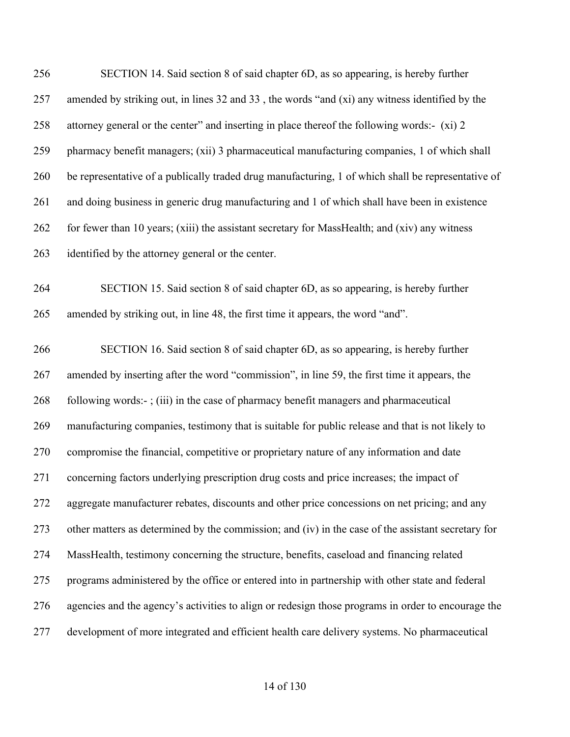| 256 | SECTION 14. Said section 8 of said chapter 6D, as so appearing, is hereby further                  |
|-----|----------------------------------------------------------------------------------------------------|
| 257 | amended by striking out, in lines 32 and 33, the words "and (xi) any witness identified by the     |
| 258 | attorney general or the center" and inserting in place thereof the following words:- (xi) 2        |
| 259 | pharmacy benefit managers; (xii) 3 pharmaceutical manufacturing companies, 1 of which shall        |
| 260 | be representative of a publically traded drug manufacturing, 1 of which shall be representative of |
| 261 | and doing business in generic drug manufacturing and 1 of which shall have been in existence       |
| 262 | for fewer than 10 years; (xiii) the assistant secretary for MassHealth; and (xiv) any witness      |
| 263 | identified by the attorney general or the center.                                                  |
| 264 | SECTION 15. Said section 8 of said chapter 6D, as so appearing, is hereby further                  |
| 265 | amended by striking out, in line 48, the first time it appears, the word "and".                    |
| 266 | SECTION 16. Said section 8 of said chapter 6D, as so appearing, is hereby further                  |
| 267 | amended by inserting after the word "commission", in line 59, the first time it appears, the       |
| 268 | following words:-; (iii) in the case of pharmacy benefit managers and pharmaceutical               |
| 269 | manufacturing companies, testimony that is suitable for public release and that is not likely to   |
| 270 | compromise the financial, competitive or proprietary nature of any information and date            |
| 271 | concerning factors underlying prescription drug costs and price increases; the impact of           |
| 272 | aggregate manufacturer rebates, discounts and other price concessions on net pricing; and any      |
| 273 | other matters as determined by the commission; and (iv) in the case of the assistant secretary for |
| 274 | MassHealth, testimony concerning the structure, benefits, caseload and financing related           |
| 275 | programs administered by the office or entered into in partnership with other state and federal    |
| 276 | agencies and the agency's activities to align or redesign those programs in order to encourage the |
| 277 | development of more integrated and efficient health care delivery systems. No pharmaceutical       |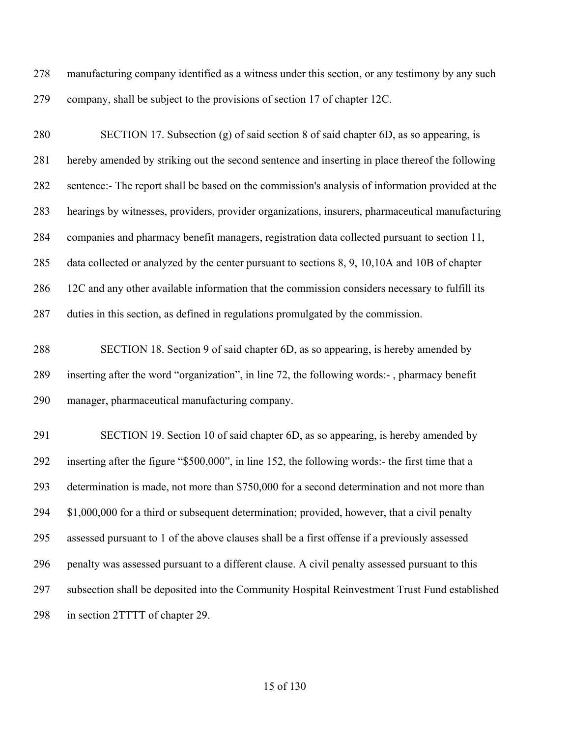manufacturing company identified as a witness under this section, or any testimony by any such company, shall be subject to the provisions of section 17 of chapter 12C.

 SECTION 17. Subsection (g) of said section 8 of said chapter 6D, as so appearing, is hereby amended by striking out the second sentence and inserting in place thereof the following sentence:- The report shall be based on the commission's analysis of information provided at the hearings by witnesses, providers, provider organizations, insurers, pharmaceutical manufacturing companies and pharmacy benefit managers, registration data collected pursuant to section 11, data collected or analyzed by the center pursuant to sections 8, 9, 10,10A and 10B of chapter 12C and any other available information that the commission considers necessary to fulfill its duties in this section, as defined in regulations promulgated by the commission.

 SECTION 18. Section 9 of said chapter 6D, as so appearing, is hereby amended by inserting after the word "organization", in line 72, the following words:- , pharmacy benefit manager, pharmaceutical manufacturing company.

 SECTION 19. Section 10 of said chapter 6D, as so appearing, is hereby amended by inserting after the figure "\$500,000", in line 152, the following words:- the first time that a determination is made, not more than \$750,000 for a second determination and not more than \$1,000,000 for a third or subsequent determination; provided, however, that a civil penalty assessed pursuant to 1 of the above clauses shall be a first offense if a previously assessed penalty was assessed pursuant to a different clause. A civil penalty assessed pursuant to this subsection shall be deposited into the Community Hospital Reinvestment Trust Fund established 298 in section 2TTTT of chapter 29.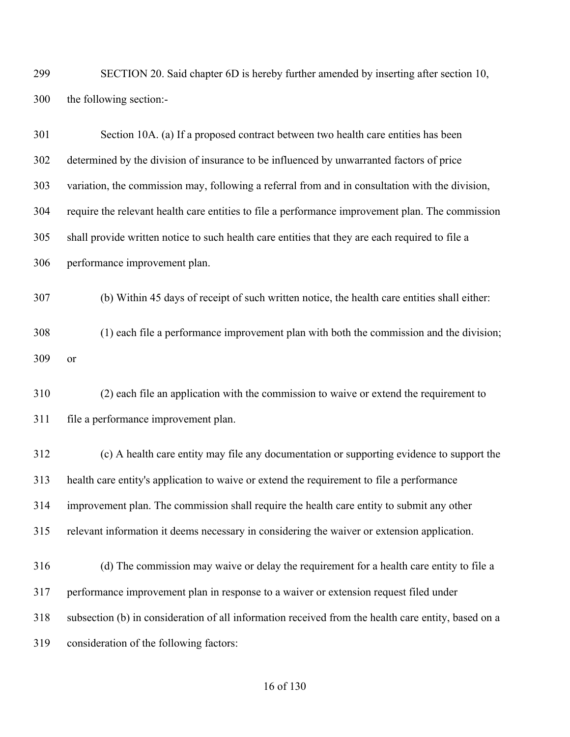SECTION 20. Said chapter 6D is hereby further amended by inserting after section 10, the following section:-

| 301 | Section 10A. (a) If a proposed contract between two health care entities has been                   |
|-----|-----------------------------------------------------------------------------------------------------|
| 302 | determined by the division of insurance to be influenced by unwarranted factors of price            |
| 303 | variation, the commission may, following a referral from and in consultation with the division,     |
| 304 | require the relevant health care entities to file a performance improvement plan. The commission    |
| 305 | shall provide written notice to such health care entities that they are each required to file a     |
| 306 | performance improvement plan.                                                                       |
| 307 | (b) Within 45 days of receipt of such written notice, the health care entities shall either:        |
| 308 | (1) each file a performance improvement plan with both the commission and the division;             |
| 309 | <b>or</b>                                                                                           |
| 310 | (2) each file an application with the commission to waive or extend the requirement to              |
| 311 | file a performance improvement plan.                                                                |
| 312 | (c) A health care entity may file any documentation or supporting evidence to support the           |
| 313 | health care entity's application to waive or extend the requirement to file a performance           |
| 314 | improvement plan. The commission shall require the health care entity to submit any other           |
| 315 | relevant information it deems necessary in considering the waiver or extension application.         |
| 316 | (d) The commission may waive or delay the requirement for a health care entity to file a            |
| 317 | performance improvement plan in response to a waiver or extension request filed under               |
| 318 | subsection (b) in consideration of all information received from the health care entity, based on a |
| 319 | consideration of the following factors:                                                             |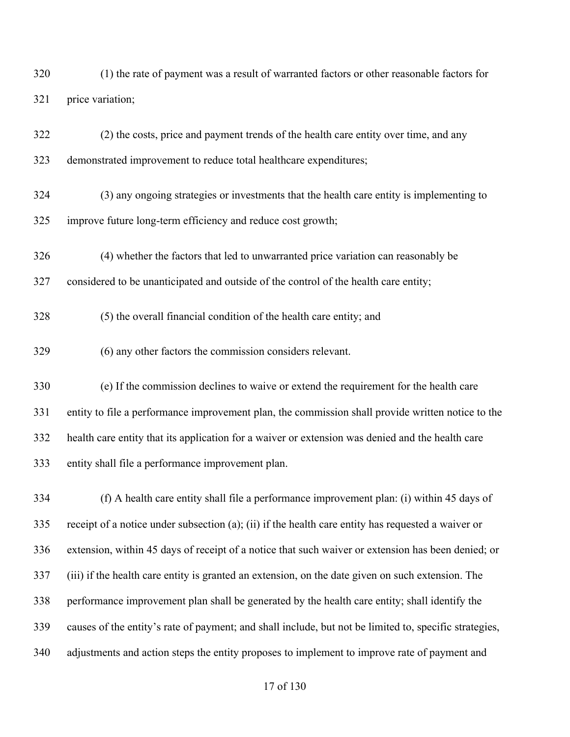(1) the rate of payment was a result of warranted factors or other reasonable factors for price variation;

 (2) the costs, price and payment trends of the health care entity over time, and any demonstrated improvement to reduce total healthcare expenditures; (3) any ongoing strategies or investments that the health care entity is implementing to improve future long-term efficiency and reduce cost growth; (4) whether the factors that led to unwarranted price variation can reasonably be considered to be unanticipated and outside of the control of the health care entity; (5) the overall financial condition of the health care entity; and (6) any other factors the commission considers relevant. (e) If the commission declines to waive or extend the requirement for the health care entity to file a performance improvement plan, the commission shall provide written notice to the health care entity that its application for a waiver or extension was denied and the health care entity shall file a performance improvement plan.

 (f) A health care entity shall file a performance improvement plan: (i) within 45 days of receipt of a notice under subsection (a); (ii) if the health care entity has requested a waiver or extension, within 45 days of receipt of a notice that such waiver or extension has been denied; or (iii) if the health care entity is granted an extension, on the date given on such extension. The performance improvement plan shall be generated by the health care entity; shall identify the causes of the entity's rate of payment; and shall include, but not be limited to, specific strategies, adjustments and action steps the entity proposes to implement to improve rate of payment and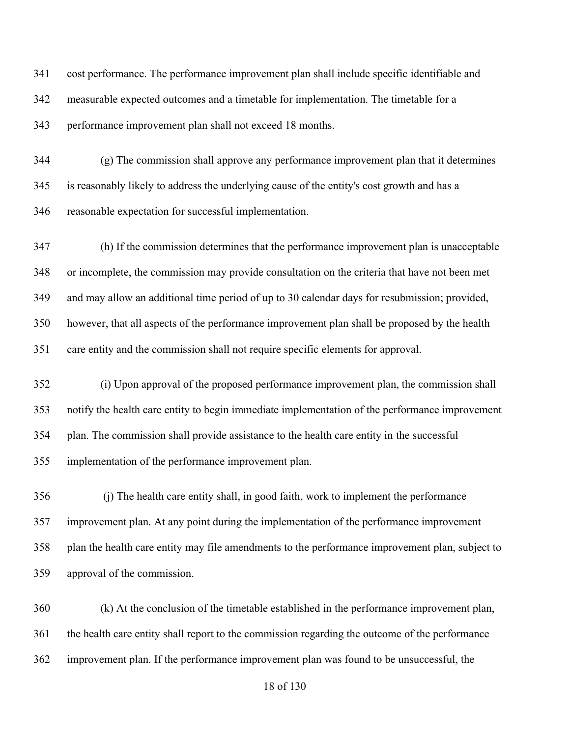cost performance. The performance improvement plan shall include specific identifiable and measurable expected outcomes and a timetable for implementation. The timetable for a performance improvement plan shall not exceed 18 months.

 (g) The commission shall approve any performance improvement plan that it determines is reasonably likely to address the underlying cause of the entity's cost growth and has a reasonable expectation for successful implementation.

 (h) If the commission determines that the performance improvement plan is unacceptable or incomplete, the commission may provide consultation on the criteria that have not been met and may allow an additional time period of up to 30 calendar days for resubmission; provided, however, that all aspects of the performance improvement plan shall be proposed by the health care entity and the commission shall not require specific elements for approval.

 (i) Upon approval of the proposed performance improvement plan, the commission shall notify the health care entity to begin immediate implementation of the performance improvement plan. The commission shall provide assistance to the health care entity in the successful implementation of the performance improvement plan.

 (j) The health care entity shall, in good faith, work to implement the performance improvement plan. At any point during the implementation of the performance improvement plan the health care entity may file amendments to the performance improvement plan, subject to approval of the commission.

 (k) At the conclusion of the timetable established in the performance improvement plan, the health care entity shall report to the commission regarding the outcome of the performance improvement plan. If the performance improvement plan was found to be unsuccessful, the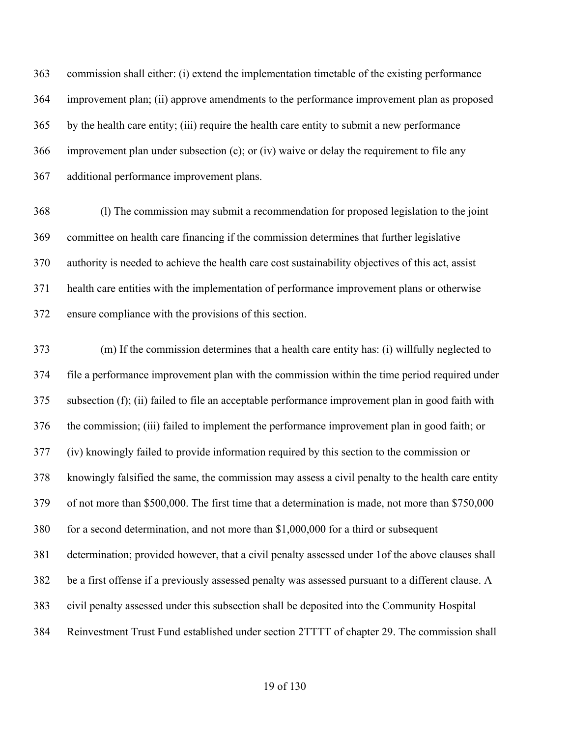commission shall either: (i) extend the implementation timetable of the existing performance improvement plan; (ii) approve amendments to the performance improvement plan as proposed by the health care entity; (iii) require the health care entity to submit a new performance improvement plan under subsection (c); or (iv) waive or delay the requirement to file any additional performance improvement plans.

 (l) The commission may submit a recommendation for proposed legislation to the joint committee on health care financing if the commission determines that further legislative authority is needed to achieve the health care cost sustainability objectives of this act, assist health care entities with the implementation of performance improvement plans or otherwise ensure compliance with the provisions of this section.

 (m) If the commission determines that a health care entity has: (i) willfully neglected to file a performance improvement plan with the commission within the time period required under subsection (f); (ii) failed to file an acceptable performance improvement plan in good faith with the commission; (iii) failed to implement the performance improvement plan in good faith; or (iv) knowingly failed to provide information required by this section to the commission or knowingly falsified the same, the commission may assess a civil penalty to the health care entity of not more than \$500,000. The first time that a determination is made, not more than \$750,000 for a second determination, and not more than \$1,000,000 for a third or subsequent determination; provided however, that a civil penalty assessed under 1of the above clauses shall be a first offense if a previously assessed penalty was assessed pursuant to a different clause. A civil penalty assessed under this subsection shall be deposited into the Community Hospital Reinvestment Trust Fund established under section 2TTTT of chapter 29. The commission shall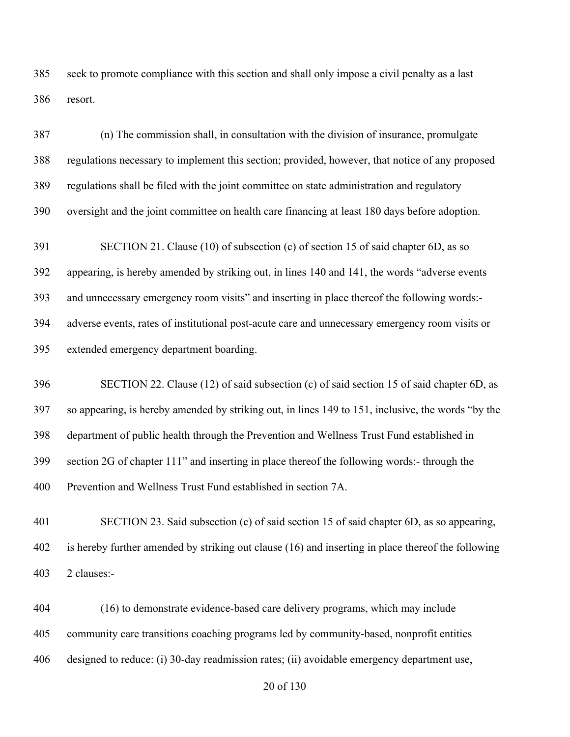seek to promote compliance with this section and shall only impose a civil penalty as a last resort.

 (n) The commission shall, in consultation with the division of insurance, promulgate regulations necessary to implement this section; provided, however, that notice of any proposed regulations shall be filed with the joint committee on state administration and regulatory oversight and the joint committee on health care financing at least 180 days before adoption. SECTION 21. Clause (10) of subsection (c) of section 15 of said chapter 6D, as so appearing, is hereby amended by striking out, in lines 140 and 141, the words "adverse events and unnecessary emergency room visits" and inserting in place thereof the following words:- adverse events, rates of institutional post-acute care and unnecessary emergency room visits or extended emergency department boarding.

 SECTION 22. Clause (12) of said subsection (c) of said section 15 of said chapter 6D, as so appearing, is hereby amended by striking out, in lines 149 to 151, inclusive, the words "by the department of public health through the Prevention and Wellness Trust Fund established in section 2G of chapter 111" and inserting in place thereof the following words:- through the Prevention and Wellness Trust Fund established in section 7A.

 SECTION 23. Said subsection (c) of said section 15 of said chapter 6D, as so appearing, is hereby further amended by striking out clause (16) and inserting in place thereof the following 2 clauses:-

 (16) to demonstrate evidence-based care delivery programs, which may include community care transitions coaching programs led by community-based, nonprofit entities designed to reduce: (i) 30-day readmission rates; (ii) avoidable emergency department use,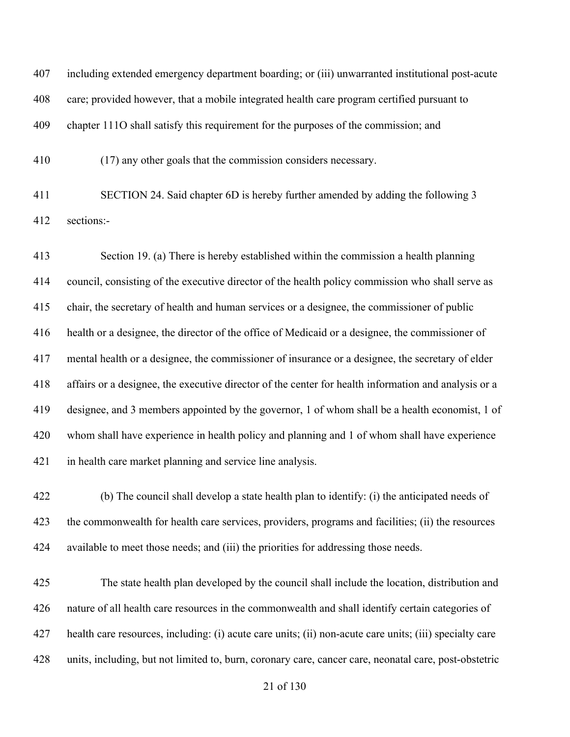including extended emergency department boarding; or (iii) unwarranted institutional post-acute care; provided however, that a mobile integrated health care program certified pursuant to chapter 111O shall satisfy this requirement for the purposes of the commission; and

(17) any other goals that the commission considers necessary.

 SECTION 24. Said chapter 6D is hereby further amended by adding the following 3 sections:-

 Section 19. (a) There is hereby established within the commission a health planning council, consisting of the executive director of the health policy commission who shall serve as chair, the secretary of health and human services or a designee, the commissioner of public health or a designee, the director of the office of Medicaid or a designee, the commissioner of mental health or a designee, the commissioner of insurance or a designee, the secretary of elder affairs or a designee, the executive director of the center for health information and analysis or a designee, and 3 members appointed by the governor, 1 of whom shall be a health economist, 1 of whom shall have experience in health policy and planning and 1 of whom shall have experience in health care market planning and service line analysis.

 (b) The council shall develop a state health plan to identify: (i) the anticipated needs of the commonwealth for health care services, providers, programs and facilities; (ii) the resources available to meet those needs; and (iii) the priorities for addressing those needs.

 The state health plan developed by the council shall include the location, distribution and nature of all health care resources in the commonwealth and shall identify certain categories of health care resources, including: (i) acute care units; (ii) non-acute care units; (iii) specialty care units, including, but not limited to, burn, coronary care, cancer care, neonatal care, post-obstetric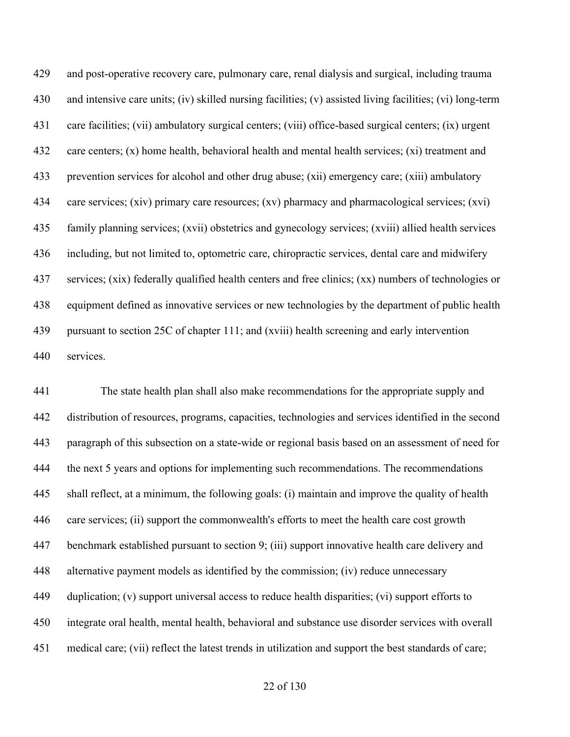and post-operative recovery care, pulmonary care, renal dialysis and surgical, including trauma and intensive care units; (iv) skilled nursing facilities; (v) assisted living facilities; (vi) long-term care facilities; (vii) ambulatory surgical centers; (viii) office-based surgical centers; (ix) urgent care centers; (x) home health, behavioral health and mental health services; (xi) treatment and prevention services for alcohol and other drug abuse; (xii) emergency care; (xiii) ambulatory care services; (xiv) primary care resources; (xv) pharmacy and pharmacological services; (xvi) family planning services; (xvii) obstetrics and gynecology services; (xviii) allied health services including, but not limited to, optometric care, chiropractic services, dental care and midwifery services; (xix) federally qualified health centers and free clinics; (xx) numbers of technologies or equipment defined as innovative services or new technologies by the department of public health pursuant to section 25C of chapter 111; and (xviii) health screening and early intervention services.

 The state health plan shall also make recommendations for the appropriate supply and distribution of resources, programs, capacities, technologies and services identified in the second paragraph of this subsection on a state-wide or regional basis based on an assessment of need for 444 the next 5 years and options for implementing such recommendations. The recommendations shall reflect, at a minimum, the following goals: (i) maintain and improve the quality of health care services; (ii) support the commonwealth's efforts to meet the health care cost growth benchmark established pursuant to section 9; (iii) support innovative health care delivery and alternative payment models as identified by the commission; (iv) reduce unnecessary 449 duplication; (v) support universal access to reduce health disparities; (vi) support efforts to integrate oral health, mental health, behavioral and substance use disorder services with overall medical care; (vii) reflect the latest trends in utilization and support the best standards of care;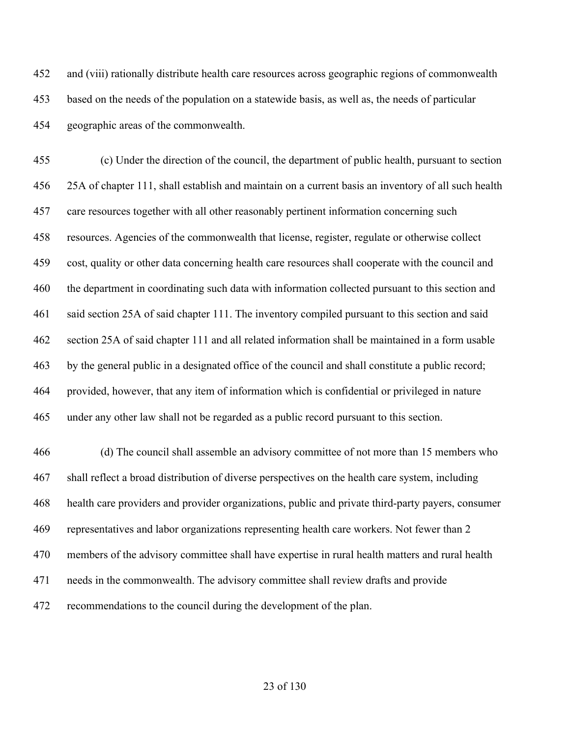and (viii) rationally distribute health care resources across geographic regions of commonwealth based on the needs of the population on a statewide basis, as well as, the needs of particular geographic areas of the commonwealth.

 (c) Under the direction of the council, the department of public health, pursuant to section 25A of chapter 111, shall establish and maintain on a current basis an inventory of all such health care resources together with all other reasonably pertinent information concerning such resources. Agencies of the commonwealth that license, register, regulate or otherwise collect cost, quality or other data concerning health care resources shall cooperate with the council and the department in coordinating such data with information collected pursuant to this section and said section 25A of said chapter 111. The inventory compiled pursuant to this section and said section 25A of said chapter 111 and all related information shall be maintained in a form usable by the general public in a designated office of the council and shall constitute a public record; provided, however, that any item of information which is confidential or privileged in nature under any other law shall not be regarded as a public record pursuant to this section.

 (d) The council shall assemble an advisory committee of not more than 15 members who shall reflect a broad distribution of diverse perspectives on the health care system, including health care providers and provider organizations, public and private third-party payers, consumer representatives and labor organizations representing health care workers. Not fewer than 2 members of the advisory committee shall have expertise in rural health matters and rural health needs in the commonwealth. The advisory committee shall review drafts and provide recommendations to the council during the development of the plan.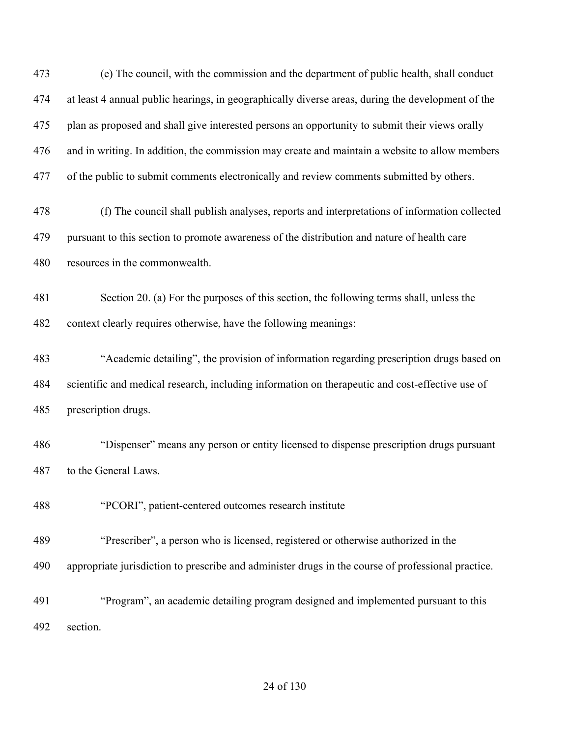(e) The council, with the commission and the department of public health, shall conduct at least 4 annual public hearings, in geographically diverse areas, during the development of the plan as proposed and shall give interested persons an opportunity to submit their views orally and in writing. In addition, the commission may create and maintain a website to allow members 477 of the public to submit comments electronically and review comments submitted by others. (f) The council shall publish analyses, reports and interpretations of information collected pursuant to this section to promote awareness of the distribution and nature of health care resources in the commonwealth. Section 20. (a) For the purposes of this section, the following terms shall, unless the context clearly requires otherwise, have the following meanings: "Academic detailing", the provision of information regarding prescription drugs based on scientific and medical research, including information on therapeutic and cost-effective use of prescription drugs. "Dispenser" means any person or entity licensed to dispense prescription drugs pursuant to the General Laws. "PCORI", patient-centered outcomes research institute "Prescriber", a person who is licensed, registered or otherwise authorized in the appropriate jurisdiction to prescribe and administer drugs in the course of professional practice. "Program", an academic detailing program designed and implemented pursuant to this section.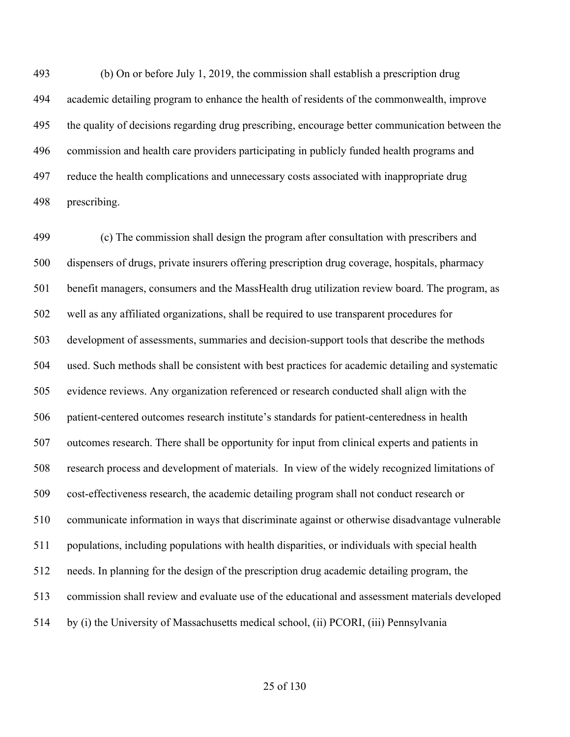(b) On or before July 1, 2019, the commission shall establish a prescription drug academic detailing program to enhance the health of residents of the commonwealth, improve the quality of decisions regarding drug prescribing, encourage better communication between the commission and health care providers participating in publicly funded health programs and reduce the health complications and unnecessary costs associated with inappropriate drug prescribing.

 (c) The commission shall design the program after consultation with prescribers and dispensers of drugs, private insurers offering prescription drug coverage, hospitals, pharmacy benefit managers, consumers and the MassHealth drug utilization review board. The program, as well as any affiliated organizations, shall be required to use transparent procedures for development of assessments, summaries and decision-support tools that describe the methods used. Such methods shall be consistent with best practices for academic detailing and systematic evidence reviews. Any organization referenced or research conducted shall align with the patient-centered outcomes research institute's standards for patient-centeredness in health outcomes research. There shall be opportunity for input from clinical experts and patients in research process and development of materials. In view of the widely recognized limitations of cost-effectiveness research, the academic detailing program shall not conduct research or communicate information in ways that discriminate against or otherwise disadvantage vulnerable populations, including populations with health disparities, or individuals with special health needs. In planning for the design of the prescription drug academic detailing program, the commission shall review and evaluate use of the educational and assessment materials developed by (i) the University of Massachusetts medical school, (ii) PCORI, (iii) Pennsylvania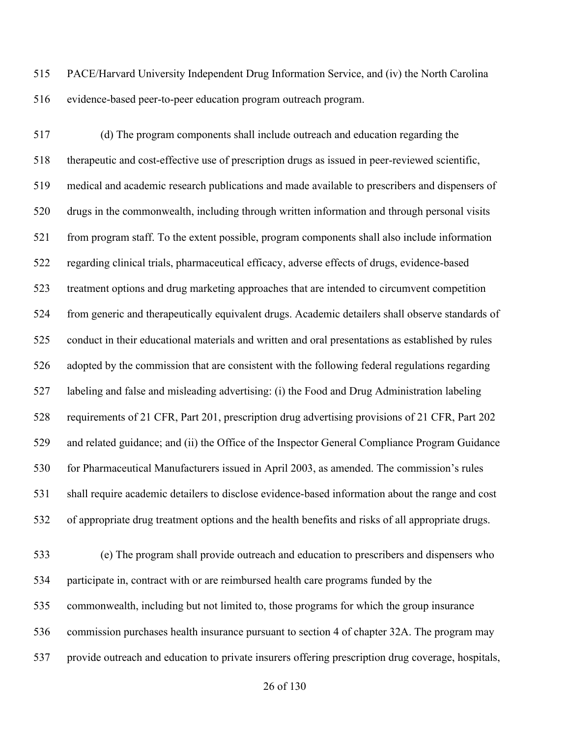PACE/Harvard University Independent Drug Information Service, and (iv) the North Carolina evidence-based peer-to-peer education program outreach program.

 (d) The program components shall include outreach and education regarding the therapeutic and cost-effective use of prescription drugs as issued in peer-reviewed scientific, medical and academic research publications and made available to prescribers and dispensers of drugs in the commonwealth, including through written information and through personal visits from program staff. To the extent possible, program components shall also include information regarding clinical trials, pharmaceutical efficacy, adverse effects of drugs, evidence-based treatment options and drug marketing approaches that are intended to circumvent competition from generic and therapeutically equivalent drugs. Academic detailers shall observe standards of conduct in their educational materials and written and oral presentations as established by rules adopted by the commission that are consistent with the following federal regulations regarding labeling and false and misleading advertising: (i) the Food and Drug Administration labeling requirements of 21 CFR, Part 201, prescription drug advertising provisions of 21 CFR, Part 202 and related guidance; and (ii) the Office of the Inspector General Compliance Program Guidance for Pharmaceutical Manufacturers issued in April 2003, as amended. The commission's rules shall require academic detailers to disclose evidence-based information about the range and cost of appropriate drug treatment options and the health benefits and risks of all appropriate drugs. (e) The program shall provide outreach and education to prescribers and dispensers who

 participate in, contract with or are reimbursed health care programs funded by the commonwealth, including but not limited to, those programs for which the group insurance commission purchases health insurance pursuant to section 4 of chapter 32A. The program may provide outreach and education to private insurers offering prescription drug coverage, hospitals,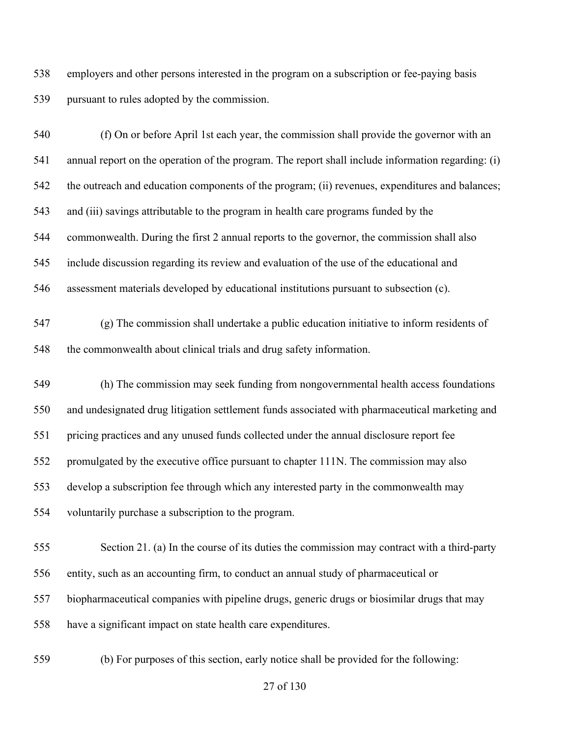employers and other persons interested in the program on a subscription or fee-paying basis pursuant to rules adopted by the commission.

 (f) On or before April 1st each year, the commission shall provide the governor with an annual report on the operation of the program. The report shall include information regarding: (i) 542 the outreach and education components of the program; (ii) revenues, expenditures and balances; and (iii) savings attributable to the program in health care programs funded by the commonwealth. During the first 2 annual reports to the governor, the commission shall also include discussion regarding its review and evaluation of the use of the educational and assessment materials developed by educational institutions pursuant to subsection (c). (g) The commission shall undertake a public education initiative to inform residents of the commonwealth about clinical trials and drug safety information. (h) The commission may seek funding from nongovernmental health access foundations and undesignated drug litigation settlement funds associated with pharmaceutical marketing and pricing practices and any unused funds collected under the annual disclosure report fee promulgated by the executive office pursuant to chapter 111N. The commission may also develop a subscription fee through which any interested party in the commonwealth may voluntarily purchase a subscription to the program. Section 21. (a) In the course of its duties the commission may contract with a third-party entity, such as an accounting firm, to conduct an annual study of pharmaceutical or biopharmaceutical companies with pipeline drugs, generic drugs or biosimilar drugs that may have a significant impact on state health care expenditures.

(b) For purposes of this section, early notice shall be provided for the following: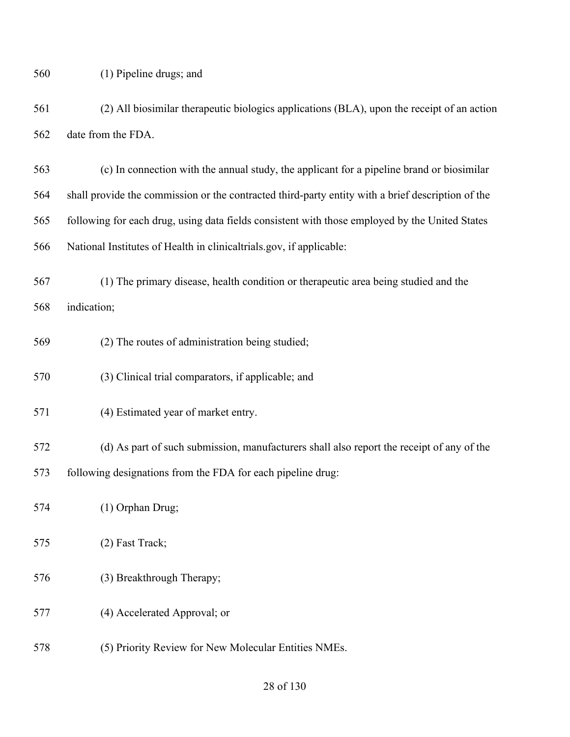(2) All biosimilar therapeutic biologics applications (BLA), upon the receipt of an action date from the FDA.

 (c) In connection with the annual study, the applicant for a pipeline brand or biosimilar shall provide the commission or the contracted third-party entity with a brief description of the following for each drug, using data fields consistent with those employed by the United States National Institutes of Health in clinicaltrials.gov, if applicable:

 (1) The primary disease, health condition or therapeutic area being studied and the indication;

- (2) The routes of administration being studied;
- (3) Clinical trial comparators, if applicable; and
- (4) Estimated year of market entry.

 (d) As part of such submission, manufacturers shall also report the receipt of any of the following designations from the FDA for each pipeline drug:

- (1) Orphan Drug;
- (2) Fast Track;
- (3) Breakthrough Therapy;
- (4) Accelerated Approval; or
- (5) Priority Review for New Molecular Entities NMEs.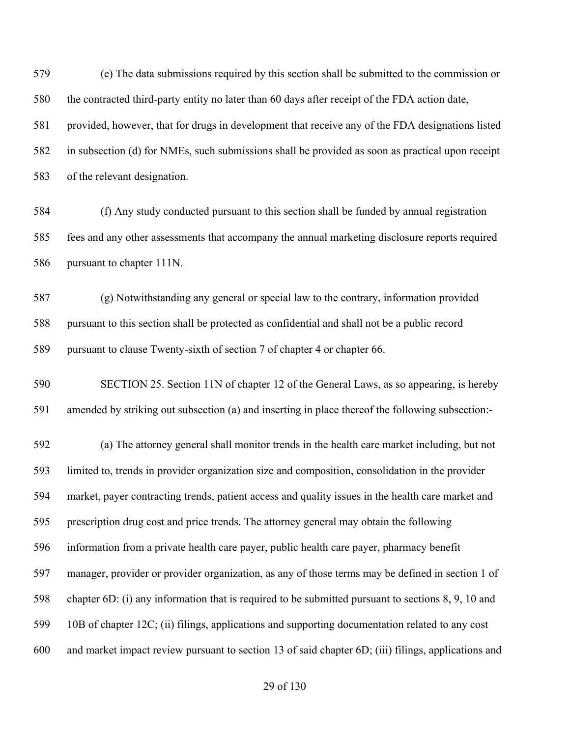(e) The data submissions required by this section shall be submitted to the commission or the contracted third-party entity no later than 60 days after receipt of the FDA action date, provided, however, that for drugs in development that receive any of the FDA designations listed in subsection (d) for NMEs, such submissions shall be provided as soon as practical upon receipt of the relevant designation.

 (f) Any study conducted pursuant to this section shall be funded by annual registration fees and any other assessments that accompany the annual marketing disclosure reports required pursuant to chapter 111N.

 (g) Notwithstanding any general or special law to the contrary, information provided pursuant to this section shall be protected as confidential and shall not be a public record pursuant to clause Twenty-sixth of section 7 of chapter 4 or chapter 66.

 SECTION 25. Section 11N of chapter 12 of the General Laws, as so appearing, is hereby amended by striking out subsection (a) and inserting in place thereof the following subsection:-

 (a) The attorney general shall monitor trends in the health care market including, but not limited to, trends in provider organization size and composition, consolidation in the provider market, payer contracting trends, patient access and quality issues in the health care market and prescription drug cost and price trends. The attorney general may obtain the following information from a private health care payer, public health care payer, pharmacy benefit manager, provider or provider organization, as any of those terms may be defined in section 1 of chapter 6D: (i) any information that is required to be submitted pursuant to sections 8, 9, 10 and 10B of chapter 12C; (ii) filings, applications and supporting documentation related to any cost and market impact review pursuant to section 13 of said chapter 6D; (iii) filings, applications and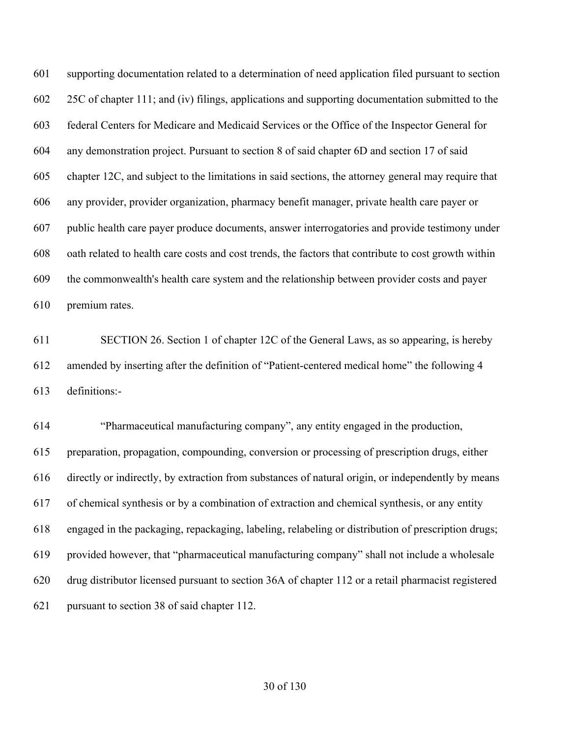supporting documentation related to a determination of need application filed pursuant to section 25C of chapter 111; and (iv) filings, applications and supporting documentation submitted to the federal Centers for Medicare and Medicaid Services or the Office of the Inspector General for any demonstration project. Pursuant to section 8 of said chapter 6D and section 17 of said chapter 12C, and subject to the limitations in said sections, the attorney general may require that any provider, provider organization, pharmacy benefit manager, private health care payer or public health care payer produce documents, answer interrogatories and provide testimony under oath related to health care costs and cost trends, the factors that contribute to cost growth within the commonwealth's health care system and the relationship between provider costs and payer premium rates.

 SECTION 26. Section 1 of chapter 12C of the General Laws, as so appearing, is hereby amended by inserting after the definition of "Patient-centered medical home" the following 4 definitions:-

 "Pharmaceutical manufacturing company", any entity engaged in the production, preparation, propagation, compounding, conversion or processing of prescription drugs, either directly or indirectly, by extraction from substances of natural origin, or independently by means of chemical synthesis or by a combination of extraction and chemical synthesis, or any entity engaged in the packaging, repackaging, labeling, relabeling or distribution of prescription drugs; provided however, that "pharmaceutical manufacturing company" shall not include a wholesale drug distributor licensed pursuant to section 36A of chapter 112 or a retail pharmacist registered pursuant to section 38 of said chapter 112.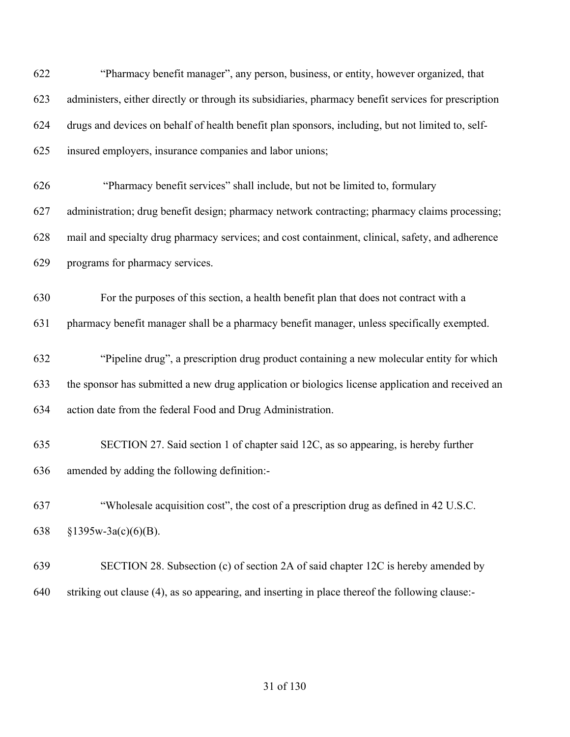| 622 | "Pharmacy benefit manager", any person, business, or entity, however organized, that                 |
|-----|------------------------------------------------------------------------------------------------------|
| 623 | administers, either directly or through its subsidiaries, pharmacy benefit services for prescription |
| 624 | drugs and devices on behalf of health benefit plan sponsors, including, but not limited to, self-    |
| 625 | insured employers, insurance companies and labor unions;                                             |
| 626 | "Pharmacy benefit services" shall include, but not be limited to, formulary                          |
| 627 | administration; drug benefit design; pharmacy network contracting; pharmacy claims processing;       |
| 628 | mail and specialty drug pharmacy services; and cost containment, clinical, safety, and adherence     |
| 629 | programs for pharmacy services.                                                                      |
| 630 | For the purposes of this section, a health benefit plan that does not contract with a                |
| 631 | pharmacy benefit manager shall be a pharmacy benefit manager, unless specifically exempted.          |
| 632 | "Pipeline drug", a prescription drug product containing a new molecular entity for which             |
| 633 | the sponsor has submitted a new drug application or biologics license application and received an    |
| 634 | action date from the federal Food and Drug Administration.                                           |
| 635 | SECTION 27. Said section 1 of chapter said 12C, as so appearing, is hereby further                   |
| 636 | amended by adding the following definition:-                                                         |
| 637 | "Wholesale acquisition cost", the cost of a prescription drug as defined in 42 U.S.C.                |
| 638 | $§1395w-3a(c)(6)(B).$                                                                                |
| 639 | SECTION 28. Subsection (c) of section 2A of said chapter 12C is hereby amended by                    |
| 640 | striking out clause (4), as so appearing, and inserting in place thereof the following clause:-      |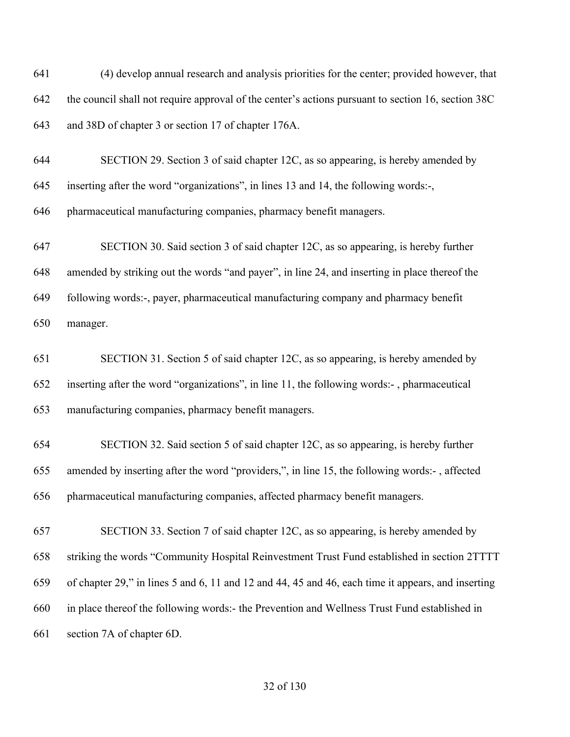(4) develop annual research and analysis priorities for the center; provided however, that the council shall not require approval of the center's actions pursuant to section 16, section 38C and 38D of chapter 3 or section 17 of chapter 176A. SECTION 29. Section 3 of said chapter 12C, as so appearing, is hereby amended by inserting after the word "organizations", in lines 13 and 14, the following words:-, pharmaceutical manufacturing companies, pharmacy benefit managers. SECTION 30. Said section 3 of said chapter 12C, as so appearing, is hereby further amended by striking out the words "and payer", in line 24, and inserting in place thereof the following words:-, payer, pharmaceutical manufacturing company and pharmacy benefit manager. SECTION 31. Section 5 of said chapter 12C, as so appearing, is hereby amended by inserting after the word "organizations", in line 11, the following words:- , pharmaceutical manufacturing companies, pharmacy benefit managers. SECTION 32. Said section 5 of said chapter 12C, as so appearing, is hereby further amended by inserting after the word "providers,", in line 15, the following words:- , affected pharmaceutical manufacturing companies, affected pharmacy benefit managers. SECTION 33. Section 7 of said chapter 12C, as so appearing, is hereby amended by striking the words "Community Hospital Reinvestment Trust Fund established in section 2TTTT of chapter 29," in lines 5 and 6, 11 and 12 and 44, 45 and 46, each time it appears, and inserting in place thereof the following words:- the Prevention and Wellness Trust Fund established in section 7A of chapter 6D.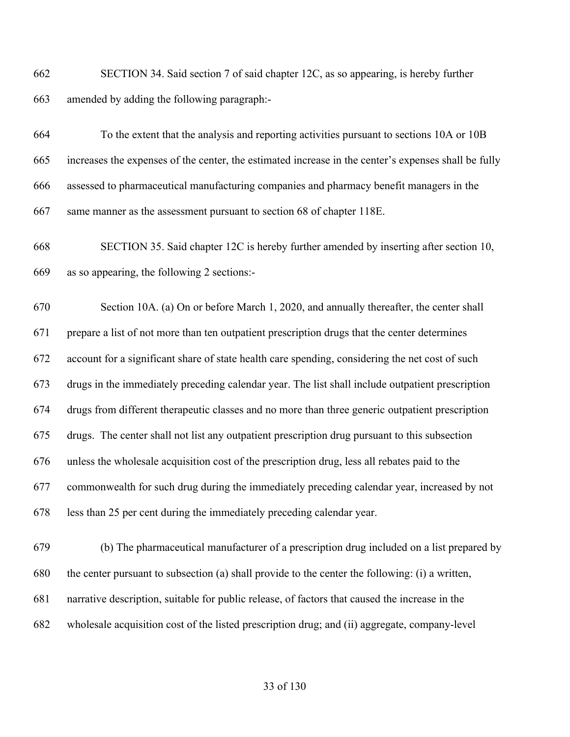SECTION 34. Said section 7 of said chapter 12C, as so appearing, is hereby further amended by adding the following paragraph:-

 To the extent that the analysis and reporting activities pursuant to sections 10A or 10B increases the expenses of the center, the estimated increase in the center's expenses shall be fully assessed to pharmaceutical manufacturing companies and pharmacy benefit managers in the same manner as the assessment pursuant to section 68 of chapter 118E.

 SECTION 35. Said chapter 12C is hereby further amended by inserting after section 10, as so appearing, the following 2 sections:-

 Section 10A. (a) On or before March 1, 2020, and annually thereafter, the center shall prepare a list of not more than ten outpatient prescription drugs that the center determines account for a significant share of state health care spending, considering the net cost of such drugs in the immediately preceding calendar year. The list shall include outpatient prescription drugs from different therapeutic classes and no more than three generic outpatient prescription drugs. The center shall not list any outpatient prescription drug pursuant to this subsection unless the wholesale acquisition cost of the prescription drug, less all rebates paid to the commonwealth for such drug during the immediately preceding calendar year, increased by not less than 25 per cent during the immediately preceding calendar year.

 (b) The pharmaceutical manufacturer of a prescription drug included on a list prepared by the center pursuant to subsection (a) shall provide to the center the following: (i) a written, narrative description, suitable for public release, of factors that caused the increase in the wholesale acquisition cost of the listed prescription drug; and (ii) aggregate, company-level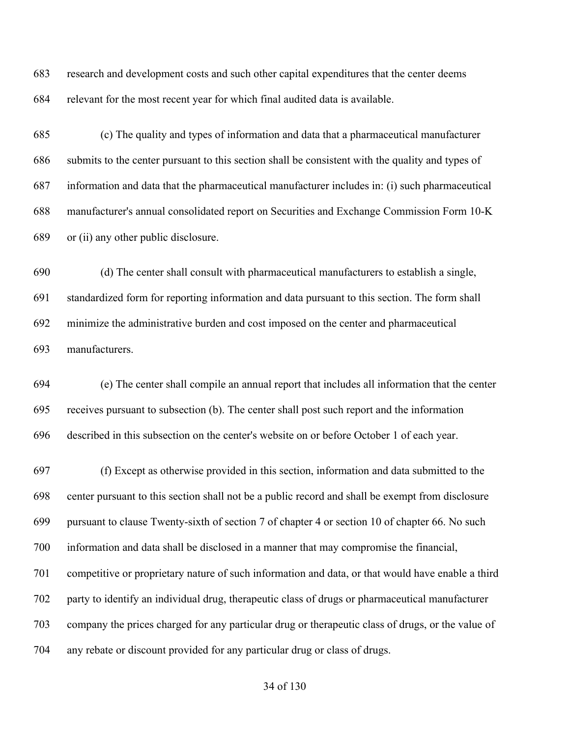research and development costs and such other capital expenditures that the center deems relevant for the most recent year for which final audited data is available.

 (c) The quality and types of information and data that a pharmaceutical manufacturer submits to the center pursuant to this section shall be consistent with the quality and types of information and data that the pharmaceutical manufacturer includes in: (i) such pharmaceutical manufacturer's annual consolidated report on Securities and Exchange Commission Form 10-K or (ii) any other public disclosure.

 (d) The center shall consult with pharmaceutical manufacturers to establish a single, standardized form for reporting information and data pursuant to this section. The form shall minimize the administrative burden and cost imposed on the center and pharmaceutical manufacturers.

 (e) The center shall compile an annual report that includes all information that the center receives pursuant to subsection (b). The center shall post such report and the information described in this subsection on the center's website on or before October 1 of each year.

 (f) Except as otherwise provided in this section, information and data submitted to the center pursuant to this section shall not be a public record and shall be exempt from disclosure pursuant to clause Twenty-sixth of section 7 of chapter 4 or section 10 of chapter 66. No such information and data shall be disclosed in a manner that may compromise the financial, competitive or proprietary nature of such information and data, or that would have enable a third party to identify an individual drug, therapeutic class of drugs or pharmaceutical manufacturer company the prices charged for any particular drug or therapeutic class of drugs, or the value of any rebate or discount provided for any particular drug or class of drugs.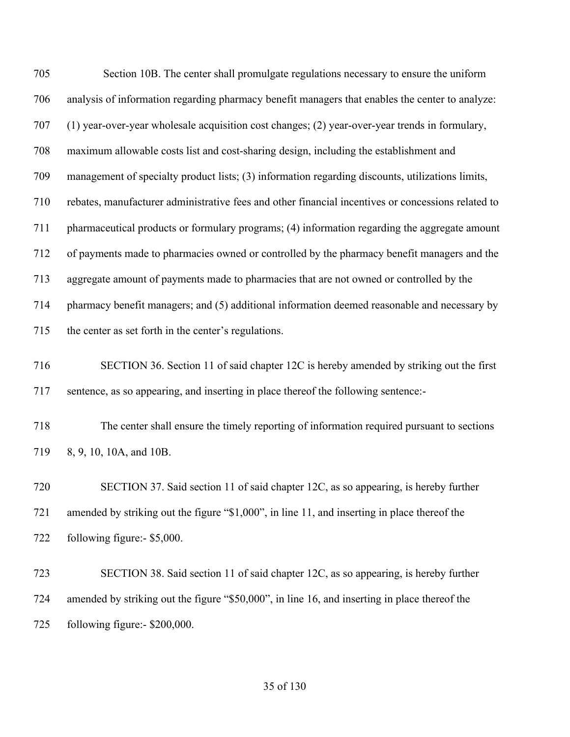| 705 | Section 10B. The center shall promulgate regulations necessary to ensure the uniform               |
|-----|----------------------------------------------------------------------------------------------------|
| 706 | analysis of information regarding pharmacy benefit managers that enables the center to analyze:    |
| 707 | (1) year-over-year wholesale acquisition cost changes; (2) year-over-year trends in formulary,     |
| 708 | maximum allowable costs list and cost-sharing design, including the establishment and              |
| 709 | management of specialty product lists; (3) information regarding discounts, utilizations limits,   |
| 710 | rebates, manufacturer administrative fees and other financial incentives or concessions related to |
| 711 | pharmaceutical products or formulary programs; (4) information regarding the aggregate amount      |
| 712 | of payments made to pharmacies owned or controlled by the pharmacy benefit managers and the        |
| 713 | aggregate amount of payments made to pharmacies that are not owned or controlled by the            |
| 714 | pharmacy benefit managers; and (5) additional information deemed reasonable and necessary by       |
| 715 | the center as set forth in the center's regulations.                                               |
| 716 | SECTION 36. Section 11 of said chapter 12C is hereby amended by striking out the first             |
| 717 | sentence, as so appearing, and inserting in place thereof the following sentence:-                 |
| 718 | The center shall ensure the timely reporting of information required pursuant to sections          |
| 719 | 8, 9, 10, 10A, and 10B.                                                                            |
| 720 | SECTION 37. Said section 11 of said chapter 12C, as so appearing, is hereby further                |
| 721 | amended by striking out the figure "\$1,000", in line 11, and inserting in place thereof the       |
| 722 | following figure:- \$5,000.                                                                        |
| 723 | SECTION 38. Said section 11 of said chapter 12C, as so appearing, is hereby further                |
| 724 | amended by striking out the figure "\$50,000", in line 16, and inserting in place thereof the      |
| 725 | following figure:- \$200,000.                                                                      |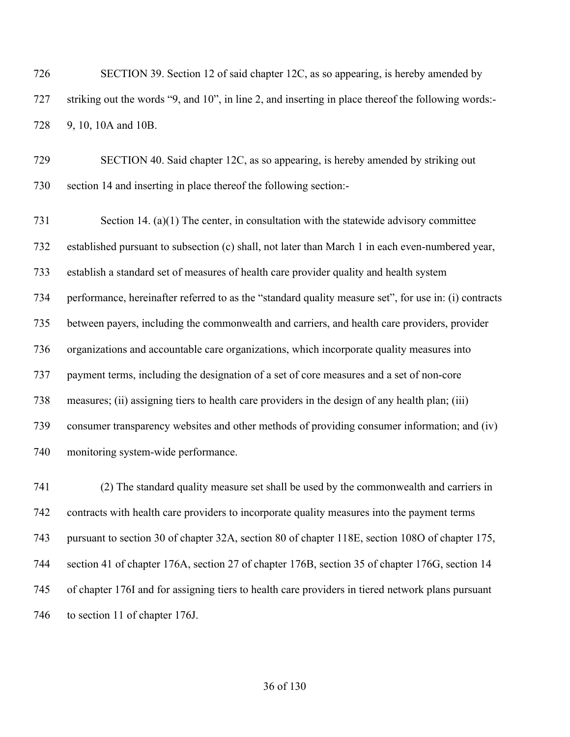SECTION 39. Section 12 of said chapter 12C, as so appearing, is hereby amended by striking out the words "9, and 10", in line 2, and inserting in place thereof the following words:- 9, 10, 10A and 10B.

 SECTION 40. Said chapter 12C, as so appearing, is hereby amended by striking out section 14 and inserting in place thereof the following section:-

 Section 14. (a)(1) The center, in consultation with the statewide advisory committee established pursuant to subsection (c) shall, not later than March 1 in each even-numbered year, establish a standard set of measures of health care provider quality and health system performance, hereinafter referred to as the "standard quality measure set", for use in: (i) contracts between payers, including the commonwealth and carriers, and health care providers, provider organizations and accountable care organizations, which incorporate quality measures into payment terms, including the designation of a set of core measures and a set of non-core measures; (ii) assigning tiers to health care providers in the design of any health plan; (iii) consumer transparency websites and other methods of providing consumer information; and (iv) monitoring system-wide performance.

 (2) The standard quality measure set shall be used by the commonwealth and carriers in contracts with health care providers to incorporate quality measures into the payment terms pursuant to section 30 of chapter 32A, section 80 of chapter 118E, section 108O of chapter 175, section 41 of chapter 176A, section 27 of chapter 176B, section 35 of chapter 176G, section 14 of chapter 176I and for assigning tiers to health care providers in tiered network plans pursuant 746 to section 11 of chapter 176J.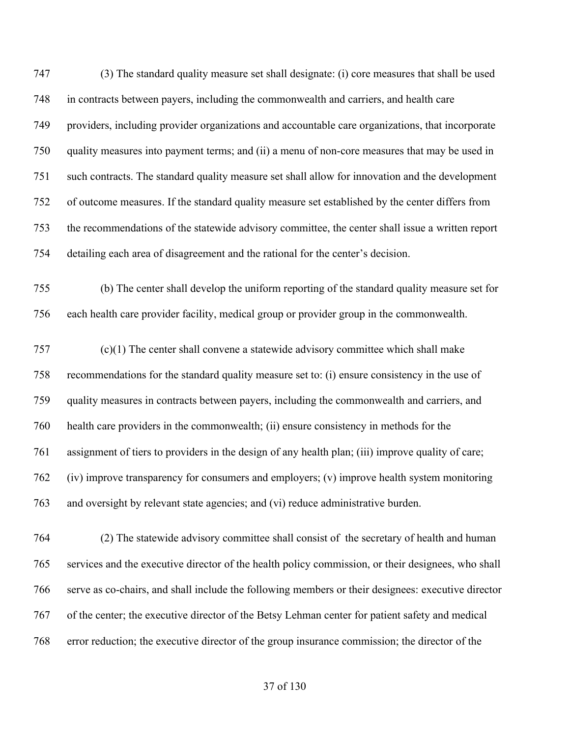(3) The standard quality measure set shall designate: (i) core measures that shall be used in contracts between payers, including the commonwealth and carriers, and health care providers, including provider organizations and accountable care organizations, that incorporate quality measures into payment terms; and (ii) a menu of non-core measures that may be used in such contracts. The standard quality measure set shall allow for innovation and the development of outcome measures. If the standard quality measure set established by the center differs from the recommendations of the statewide advisory committee, the center shall issue a written report detailing each area of disagreement and the rational for the center's decision.

 (b) The center shall develop the uniform reporting of the standard quality measure set for each health care provider facility, medical group or provider group in the commonwealth.

 (c)(1) The center shall convene a statewide advisory committee which shall make recommendations for the standard quality measure set to: (i) ensure consistency in the use of quality measures in contracts between payers, including the commonwealth and carriers, and health care providers in the commonwealth; (ii) ensure consistency in methods for the assignment of tiers to providers in the design of any health plan; (iii) improve quality of care; (iv) improve transparency for consumers and employers; (v) improve health system monitoring and oversight by relevant state agencies; and (vi) reduce administrative burden.

 (2) The statewide advisory committee shall consist of the secretary of health and human services and the executive director of the health policy commission, or their designees, who shall serve as co-chairs, and shall include the following members or their designees: executive director of the center; the executive director of the Betsy Lehman center for patient safety and medical error reduction; the executive director of the group insurance commission; the director of the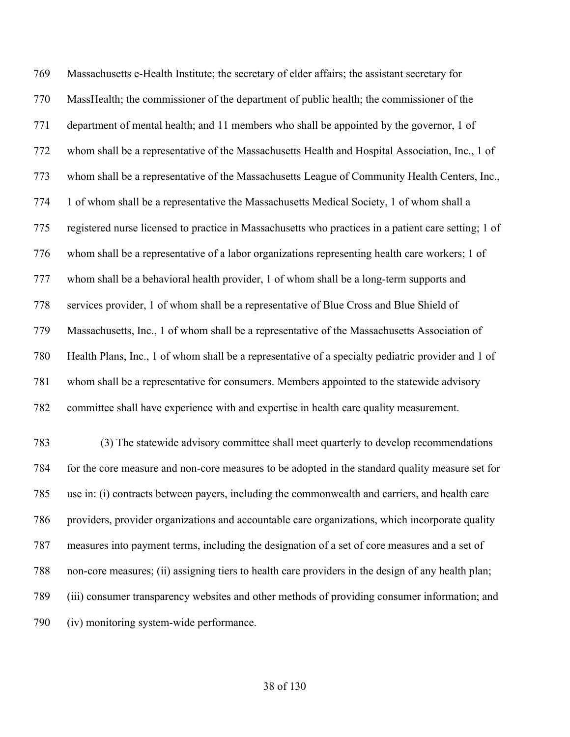Massachusetts e-Health Institute; the secretary of elder affairs; the assistant secretary for MassHealth; the commissioner of the department of public health; the commissioner of the department of mental health; and 11 members who shall be appointed by the governor, 1 of whom shall be a representative of the Massachusetts Health and Hospital Association, Inc., 1 of whom shall be a representative of the Massachusetts League of Community Health Centers, Inc., 1 of whom shall be a representative the Massachusetts Medical Society, 1 of whom shall a registered nurse licensed to practice in Massachusetts who practices in a patient care setting; 1 of whom shall be a representative of a labor organizations representing health care workers; 1 of whom shall be a behavioral health provider, 1 of whom shall be a long-term supports and services provider, 1 of whom shall be a representative of Blue Cross and Blue Shield of Massachusetts, Inc., 1 of whom shall be a representative of the Massachusetts Association of Health Plans, Inc., 1 of whom shall be a representative of a specialty pediatric provider and 1 of whom shall be a representative for consumers. Members appointed to the statewide advisory committee shall have experience with and expertise in health care quality measurement. (3) The statewide advisory committee shall meet quarterly to develop recommendations

 for the core measure and non-core measures to be adopted in the standard quality measure set for use in: (i) contracts between payers, including the commonwealth and carriers, and health care providers, provider organizations and accountable care organizations, which incorporate quality measures into payment terms, including the designation of a set of core measures and a set of non-core measures; (ii) assigning tiers to health care providers in the design of any health plan; (iii) consumer transparency websites and other methods of providing consumer information; and (iv) monitoring system-wide performance.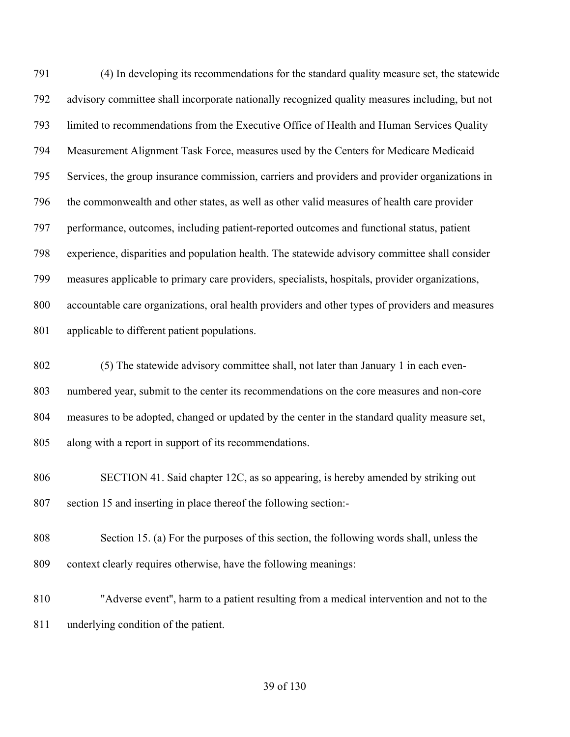(4) In developing its recommendations for the standard quality measure set, the statewide advisory committee shall incorporate nationally recognized quality measures including, but not limited to recommendations from the Executive Office of Health and Human Services Quality Measurement Alignment Task Force, measures used by the Centers for Medicare Medicaid 795 Services, the group insurance commission, carriers and providers and provider organizations in the commonwealth and other states, as well as other valid measures of health care provider performance, outcomes, including patient-reported outcomes and functional status, patient experience, disparities and population health. The statewide advisory committee shall consider measures applicable to primary care providers, specialists, hospitals, provider organizations, accountable care organizations, oral health providers and other types of providers and measures applicable to different patient populations.

 (5) The statewide advisory committee shall, not later than January 1 in each even- numbered year, submit to the center its recommendations on the core measures and non-core measures to be adopted, changed or updated by the center in the standard quality measure set, along with a report in support of its recommendations.

- SECTION 41. Said chapter 12C, as so appearing, is hereby amended by striking out section 15 and inserting in place thereof the following section:-
- Section 15. (a) For the purposes of this section, the following words shall, unless the context clearly requires otherwise, have the following meanings:
- "Adverse event'', harm to a patient resulting from a medical intervention and not to the underlying condition of the patient.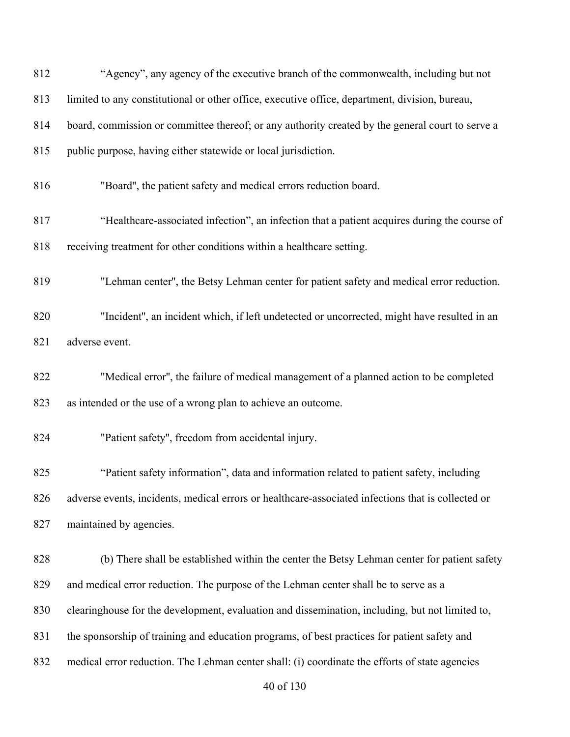| 812 | "Agency", any agency of the executive branch of the commonwealth, including but not                |
|-----|----------------------------------------------------------------------------------------------------|
| 813 | limited to any constitutional or other office, executive office, department, division, bureau,     |
| 814 | board, commission or committee thereof; or any authority created by the general court to serve a   |
| 815 | public purpose, having either statewide or local jurisdiction.                                     |
| 816 | "Board", the patient safety and medical errors reduction board.                                    |
| 817 | "Healthcare-associated infection", an infection that a patient acquires during the course of       |
| 818 | receiving treatment for other conditions within a healthcare setting.                              |
| 819 | "Lehman center", the Betsy Lehman center for patient safety and medical error reduction.           |
| 820 | "Incident", an incident which, if left undetected or uncorrected, might have resulted in an        |
| 821 | adverse event.                                                                                     |
| 822 | "Medical error", the failure of medical management of a planned action to be completed             |
| 823 | as intended or the use of a wrong plan to achieve an outcome.                                      |
| 824 | "Patient safety", freedom from accidental injury.                                                  |
| 825 | "Patient safety information", data and information related to patient safety, including            |
| 826 | adverse events, incidents, medical errors or healthcare-associated infections that is collected or |
| 827 | maintained by agencies.                                                                            |
| 828 | (b) There shall be established within the center the Betsy Lehman center for patient safety        |
| 829 | and medical error reduction. The purpose of the Lehman center shall be to serve as a               |
| 830 | clearinghouse for the development, evaluation and dissemination, including, but not limited to,    |
| 831 | the sponsorship of training and education programs, of best practices for patient safety and       |
| 832 | medical error reduction. The Lehman center shall: (i) coordinate the efforts of state agencies     |
|     | 40 of 130                                                                                          |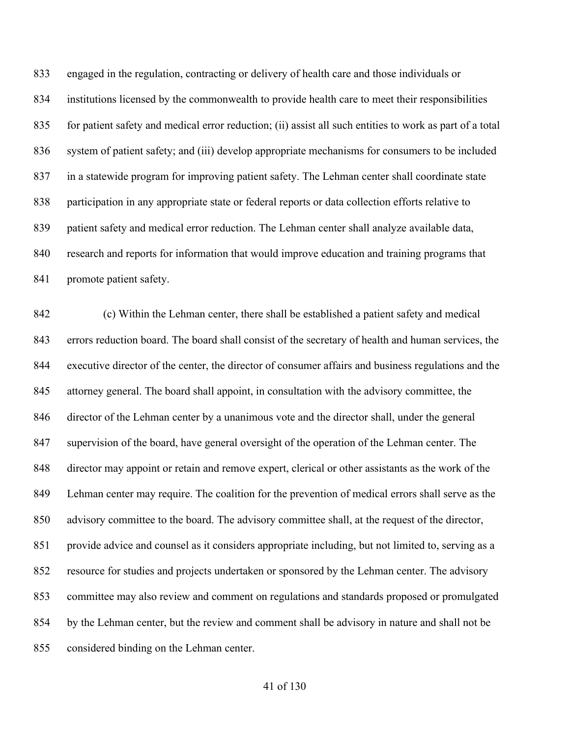engaged in the regulation, contracting or delivery of health care and those individuals or institutions licensed by the commonwealth to provide health care to meet their responsibilities for patient safety and medical error reduction; (ii) assist all such entities to work as part of a total system of patient safety; and (iii) develop appropriate mechanisms for consumers to be included in a statewide program for improving patient safety. The Lehman center shall coordinate state participation in any appropriate state or federal reports or data collection efforts relative to patient safety and medical error reduction. The Lehman center shall analyze available data, research and reports for information that would improve education and training programs that 841 promote patient safety.

 (c) Within the Lehman center, there shall be established a patient safety and medical errors reduction board. The board shall consist of the secretary of health and human services, the executive director of the center, the director of consumer affairs and business regulations and the attorney general. The board shall appoint, in consultation with the advisory committee, the director of the Lehman center by a unanimous vote and the director shall, under the general supervision of the board, have general oversight of the operation of the Lehman center. The director may appoint or retain and remove expert, clerical or other assistants as the work of the Lehman center may require. The coalition for the prevention of medical errors shall serve as the 850 advisory committee to the board. The advisory committee shall, at the request of the director, provide advice and counsel as it considers appropriate including, but not limited to, serving as a resource for studies and projects undertaken or sponsored by the Lehman center. The advisory committee may also review and comment on regulations and standards proposed or promulgated by the Lehman center, but the review and comment shall be advisory in nature and shall not be considered binding on the Lehman center.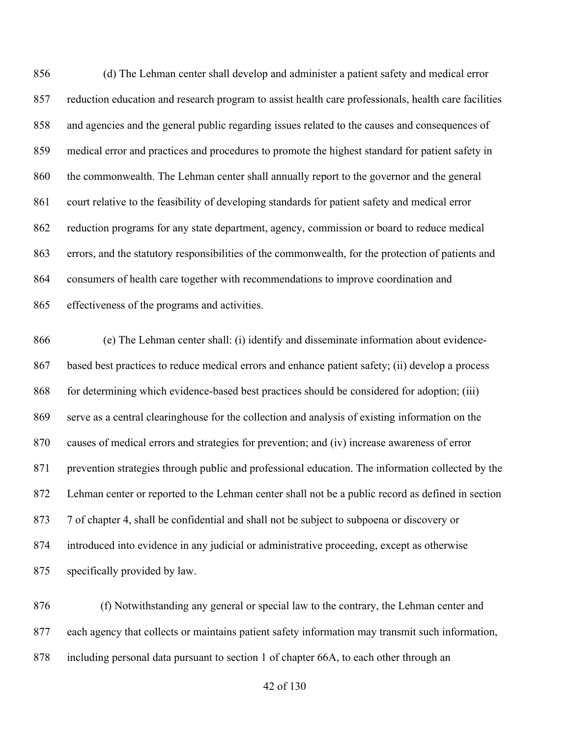(d) The Lehman center shall develop and administer a patient safety and medical error reduction education and research program to assist health care professionals, health care facilities and agencies and the general public regarding issues related to the causes and consequences of medical error and practices and procedures to promote the highest standard for patient safety in 860 the commonwealth. The Lehman center shall annually report to the governor and the general court relative to the feasibility of developing standards for patient safety and medical error reduction programs for any state department, agency, commission or board to reduce medical errors, and the statutory responsibilities of the commonwealth, for the protection of patients and consumers of health care together with recommendations to improve coordination and effectiveness of the programs and activities.

 (e) The Lehman center shall: (i) identify and disseminate information about evidence- based best practices to reduce medical errors and enhance patient safety; (ii) develop a process for determining which evidence-based best practices should be considered for adoption; (iii) serve as a central clearinghouse for the collection and analysis of existing information on the causes of medical errors and strategies for prevention; and (iv) increase awareness of error prevention strategies through public and professional education. The information collected by the Lehman center or reported to the Lehman center shall not be a public record as defined in section 7 of chapter 4, shall be confidential and shall not be subject to subpoena or discovery or introduced into evidence in any judicial or administrative proceeding, except as otherwise specifically provided by law.

 (f) Notwithstanding any general or special law to the contrary, the Lehman center and each agency that collects or maintains patient safety information may transmit such information, including personal data pursuant to section 1 of chapter 66A, to each other through an

## of 130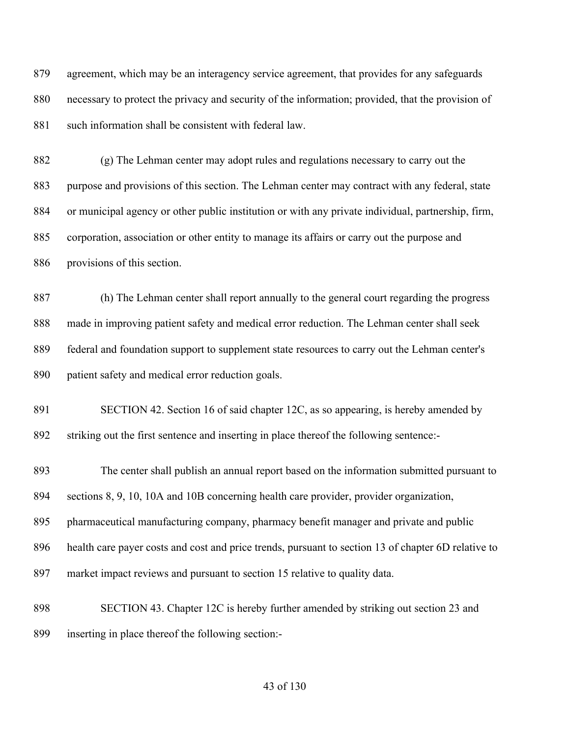agreement, which may be an interagency service agreement, that provides for any safeguards necessary to protect the privacy and security of the information; provided, that the provision of 881 such information shall be consistent with federal law.

 (g) The Lehman center may adopt rules and regulations necessary to carry out the purpose and provisions of this section. The Lehman center may contract with any federal, state or municipal agency or other public institution or with any private individual, partnership, firm, corporation, association or other entity to manage its affairs or carry out the purpose and provisions of this section.

 (h) The Lehman center shall report annually to the general court regarding the progress made in improving patient safety and medical error reduction. The Lehman center shall seek federal and foundation support to supplement state resources to carry out the Lehman center's patient safety and medical error reduction goals.

 SECTION 42. Section 16 of said chapter 12C, as so appearing, is hereby amended by striking out the first sentence and inserting in place thereof the following sentence:-

 The center shall publish an annual report based on the information submitted pursuant to sections 8, 9, 10, 10A and 10B concerning health care provider, provider organization,

pharmaceutical manufacturing company, pharmacy benefit manager and private and public

health care payer costs and cost and price trends, pursuant to section 13 of chapter 6D relative to

market impact reviews and pursuant to section 15 relative to quality data.

 SECTION 43. Chapter 12C is hereby further amended by striking out section 23 and inserting in place thereof the following section:-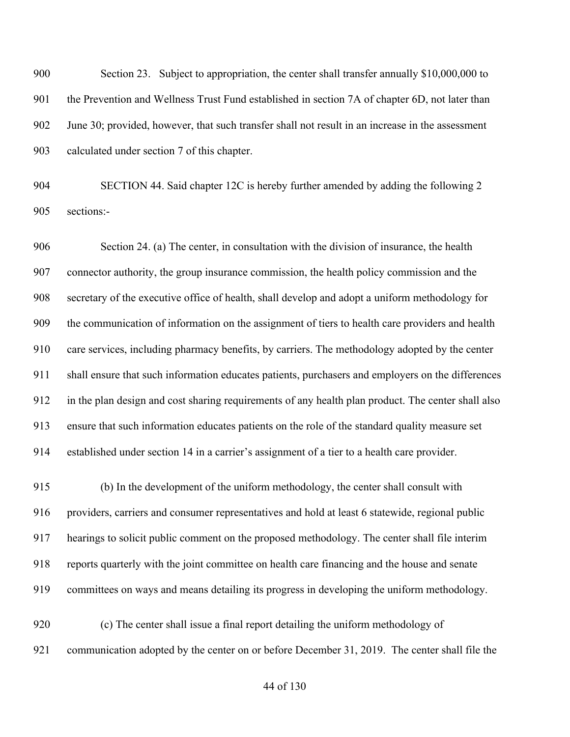Section 23. Subject to appropriation, the center shall transfer annually \$10,000,000 to 901 the Prevention and Wellness Trust Fund established in section 7A of chapter 6D, not later than June 30; provided, however, that such transfer shall not result in an increase in the assessment calculated under section 7 of this chapter.

 SECTION 44. Said chapter 12C is hereby further amended by adding the following 2 sections:-

 Section 24. (a) The center, in consultation with the division of insurance, the health connector authority, the group insurance commission, the health policy commission and the secretary of the executive office of health, shall develop and adopt a uniform methodology for the communication of information on the assignment of tiers to health care providers and health care services, including pharmacy benefits, by carriers. The methodology adopted by the center shall ensure that such information educates patients, purchasers and employers on the differences in the plan design and cost sharing requirements of any health plan product. The center shall also ensure that such information educates patients on the role of the standard quality measure set established under section 14 in a carrier's assignment of a tier to a health care provider.

 (b) In the development of the uniform methodology, the center shall consult with providers, carriers and consumer representatives and hold at least 6 statewide, regional public hearings to solicit public comment on the proposed methodology. The center shall file interim reports quarterly with the joint committee on health care financing and the house and senate committees on ways and means detailing its progress in developing the uniform methodology.

 (c) The center shall issue a final report detailing the uniform methodology of communication adopted by the center on or before December 31, 2019. The center shall file the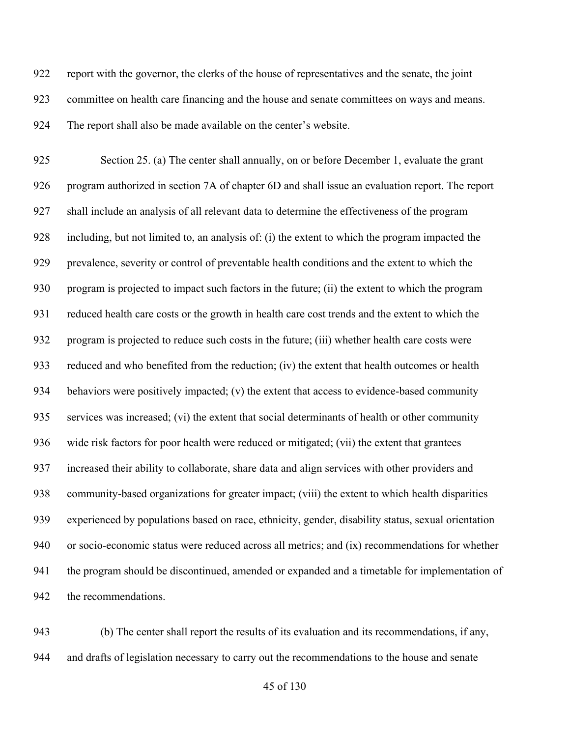report with the governor, the clerks of the house of representatives and the senate, the joint committee on health care financing and the house and senate committees on ways and means. The report shall also be made available on the center's website.

 Section 25. (a) The center shall annually, on or before December 1, evaluate the grant program authorized in section 7A of chapter 6D and shall issue an evaluation report. The report shall include an analysis of all relevant data to determine the effectiveness of the program including, but not limited to, an analysis of: (i) the extent to which the program impacted the prevalence, severity or control of preventable health conditions and the extent to which the program is projected to impact such factors in the future; (ii) the extent to which the program reduced health care costs or the growth in health care cost trends and the extent to which the program is projected to reduce such costs in the future; (iii) whether health care costs were reduced and who benefited from the reduction; (iv) the extent that health outcomes or health 934 behaviors were positively impacted; (v) the extent that access to evidence-based community services was increased; (vi) the extent that social determinants of health or other community wide risk factors for poor health were reduced or mitigated; (vii) the extent that grantees increased their ability to collaborate, share data and align services with other providers and community-based organizations for greater impact; (viii) the extent to which health disparities experienced by populations based on race, ethnicity, gender, disability status, sexual orientation or socio-economic status were reduced across all metrics; and (ix) recommendations for whether the program should be discontinued, amended or expanded and a timetable for implementation of the recommendations.

 (b) The center shall report the results of its evaluation and its recommendations, if any, and drafts of legislation necessary to carry out the recommendations to the house and senate

of 130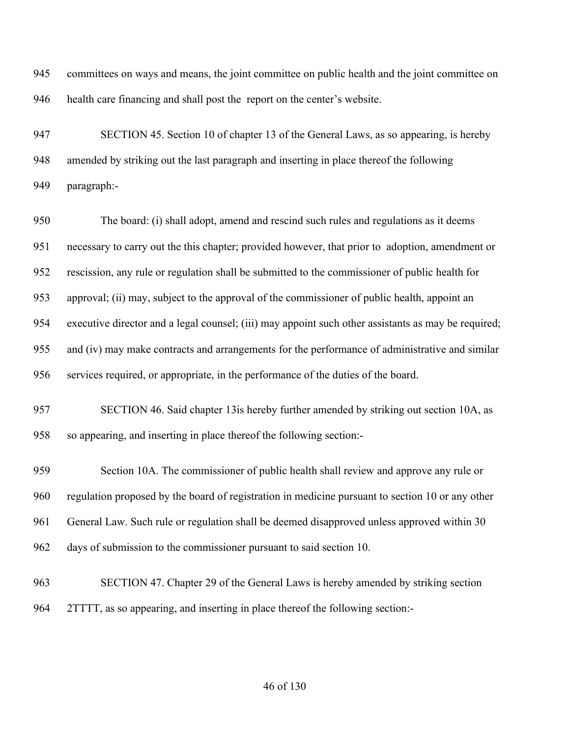committees on ways and means, the joint committee on public health and the joint committee on health care financing and shall post the report on the center's website.

 SECTION 45. Section 10 of chapter 13 of the General Laws, as so appearing, is hereby amended by striking out the last paragraph and inserting in place thereof the following paragraph:-

 The board: (i) shall adopt, amend and rescind such rules and regulations as it deems necessary to carry out the this chapter; provided however, that prior to adoption, amendment or rescission, any rule or regulation shall be submitted to the commissioner of public health for approval; (ii) may, subject to the approval of the commissioner of public health, appoint an executive director and a legal counsel; (iii) may appoint such other assistants as may be required; and (iv) may make contracts and arrangements for the performance of administrative and similar services required, or appropriate, in the performance of the duties of the board.

 SECTION 46. Said chapter 13is hereby further amended by striking out section 10A, as so appearing, and inserting in place thereof the following section:-

 Section 10A. The commissioner of public health shall review and approve any rule or regulation proposed by the board of registration in medicine pursuant to section 10 or any other General Law. Such rule or regulation shall be deemed disapproved unless approved within 30 days of submission to the commissioner pursuant to said section 10.

 SECTION 47. Chapter 29 of the General Laws is hereby amended by striking section 2TTTT, as so appearing, and inserting in place thereof the following section:-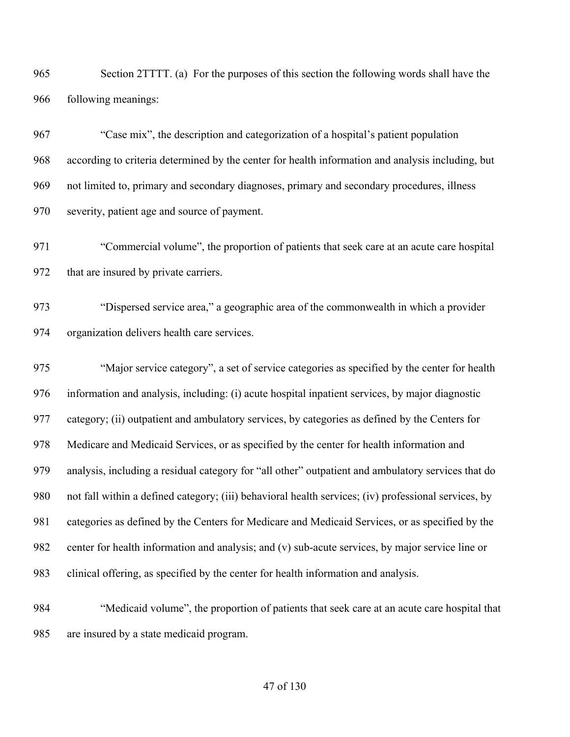Section 2TTTT. (a) For the purposes of this section the following words shall have the following meanings:

 "Case mix", the description and categorization of a hospital's patient population according to criteria determined by the center for health information and analysis including, but not limited to, primary and secondary diagnoses, primary and secondary procedures, illness severity, patient age and source of payment.

 "Commercial volume", the proportion of patients that seek care at an acute care hospital 972 that are insured by private carriers.

 "Dispersed service area," a geographic area of the commonwealth in which a provider organization delivers health care services.

 "Major service category", a set of service categories as specified by the center for health information and analysis, including: (i) acute hospital inpatient services, by major diagnostic category; (ii) outpatient and ambulatory services, by categories as defined by the Centers for Medicare and Medicaid Services, or as specified by the center for health information and analysis, including a residual category for "all other" outpatient and ambulatory services that do not fall within a defined category; (iii) behavioral health services; (iv) professional services, by categories as defined by the Centers for Medicare and Medicaid Services, or as specified by the center for health information and analysis; and (v) sub-acute services, by major service line or clinical offering, as specified by the center for health information and analysis.

 "Medicaid volume", the proportion of patients that seek care at an acute care hospital that are insured by a state medicaid program.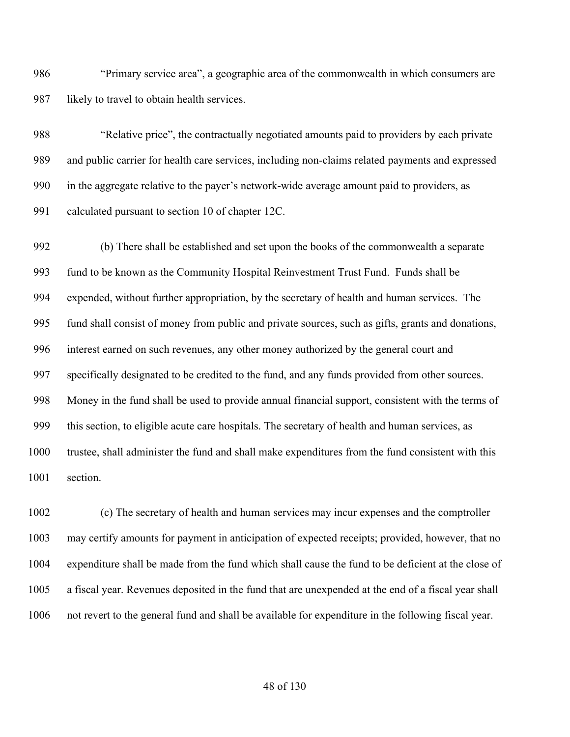"Primary service area", a geographic area of the commonwealth in which consumers are likely to travel to obtain health services.

 "Relative price", the contractually negotiated amounts paid to providers by each private and public carrier for health care services, including non-claims related payments and expressed in the aggregate relative to the payer's network-wide average amount paid to providers, as calculated pursuant to section 10 of chapter 12C.

 (b) There shall be established and set upon the books of the commonwealth a separate fund to be known as the Community Hospital Reinvestment Trust Fund. Funds shall be expended, without further appropriation, by the secretary of health and human services. The fund shall consist of money from public and private sources, such as gifts, grants and donations, interest earned on such revenues, any other money authorized by the general court and specifically designated to be credited to the fund, and any funds provided from other sources. Money in the fund shall be used to provide annual financial support, consistent with the terms of this section, to eligible acute care hospitals. The secretary of health and human services, as trustee, shall administer the fund and shall make expenditures from the fund consistent with this section.

 (c) The secretary of health and human services may incur expenses and the comptroller may certify amounts for payment in anticipation of expected receipts; provided, however, that no expenditure shall be made from the fund which shall cause the fund to be deficient at the close of a fiscal year. Revenues deposited in the fund that are unexpended at the end of a fiscal year shall not revert to the general fund and shall be available for expenditure in the following fiscal year.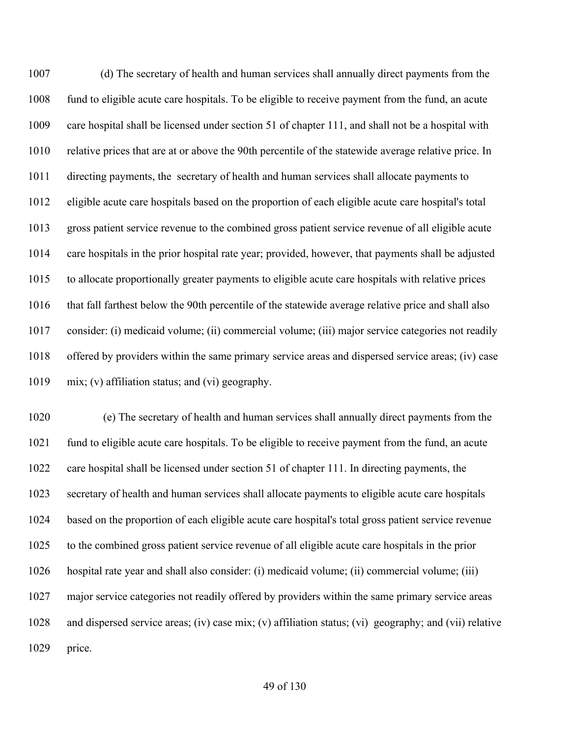(d) The secretary of health and human services shall annually direct payments from the fund to eligible acute care hospitals. To be eligible to receive payment from the fund, an acute care hospital shall be licensed under section 51 of chapter 111, and shall not be a hospital with relative prices that are at or above the 90th percentile of the statewide average relative price. In directing payments, the secretary of health and human services shall allocate payments to eligible acute care hospitals based on the proportion of each eligible acute care hospital's total gross patient service revenue to the combined gross patient service revenue of all eligible acute care hospitals in the prior hospital rate year; provided, however, that payments shall be adjusted to allocate proportionally greater payments to eligible acute care hospitals with relative prices that fall farthest below the 90th percentile of the statewide average relative price and shall also consider: (i) medicaid volume; (ii) commercial volume; (iii) major service categories not readily offered by providers within the same primary service areas and dispersed service areas; (iv) case mix; (v) affiliation status; and (vi) geography.

 (e) The secretary of health and human services shall annually direct payments from the fund to eligible acute care hospitals. To be eligible to receive payment from the fund, an acute care hospital shall be licensed under section 51 of chapter 111. In directing payments, the secretary of health and human services shall allocate payments to eligible acute care hospitals based on the proportion of each eligible acute care hospital's total gross patient service revenue to the combined gross patient service revenue of all eligible acute care hospitals in the prior hospital rate year and shall also consider: (i) medicaid volume; (ii) commercial volume; (iii) major service categories not readily offered by providers within the same primary service areas and dispersed service areas; (iv) case mix; (v) affiliation status; (vi) geography; and (vii) relative price.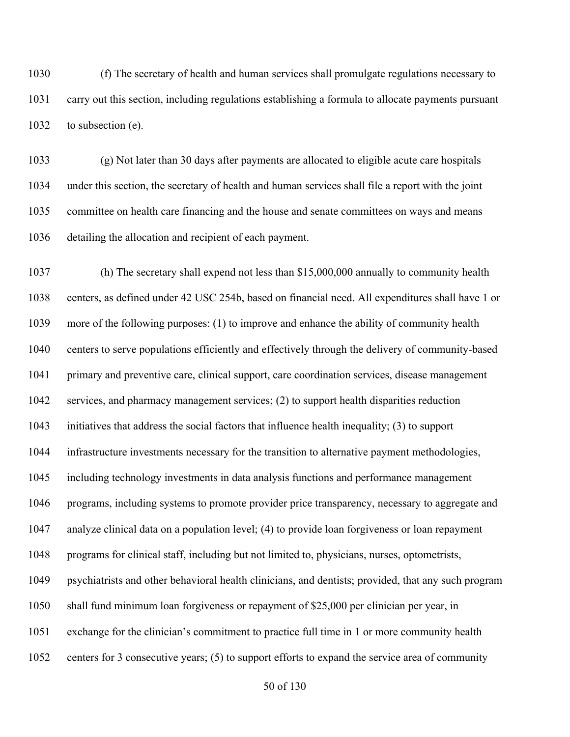(f) The secretary of health and human services shall promulgate regulations necessary to carry out this section, including regulations establishing a formula to allocate payments pursuant to subsection (e).

 (g) Not later than 30 days after payments are allocated to eligible acute care hospitals under this section, the secretary of health and human services shall file a report with the joint committee on health care financing and the house and senate committees on ways and means detailing the allocation and recipient of each payment.

 (h) The secretary shall expend not less than \$15,000,000 annually to community health centers, as defined under 42 USC 254b, based on financial need. All expenditures shall have 1 or more of the following purposes: (1) to improve and enhance the ability of community health centers to serve populations efficiently and effectively through the delivery of community-based primary and preventive care, clinical support, care coordination services, disease management services, and pharmacy management services; (2) to support health disparities reduction initiatives that address the social factors that influence health inequality; (3) to support infrastructure investments necessary for the transition to alternative payment methodologies, including technology investments in data analysis functions and performance management programs, including systems to promote provider price transparency, necessary to aggregate and analyze clinical data on a population level; (4) to provide loan forgiveness or loan repayment programs for clinical staff, including but not limited to, physicians, nurses, optometrists, psychiatrists and other behavioral health clinicians, and dentists; provided, that any such program shall fund minimum loan forgiveness or repayment of \$25,000 per clinician per year, in exchange for the clinician's commitment to practice full time in 1 or more community health centers for 3 consecutive years; (5) to support efforts to expand the service area of community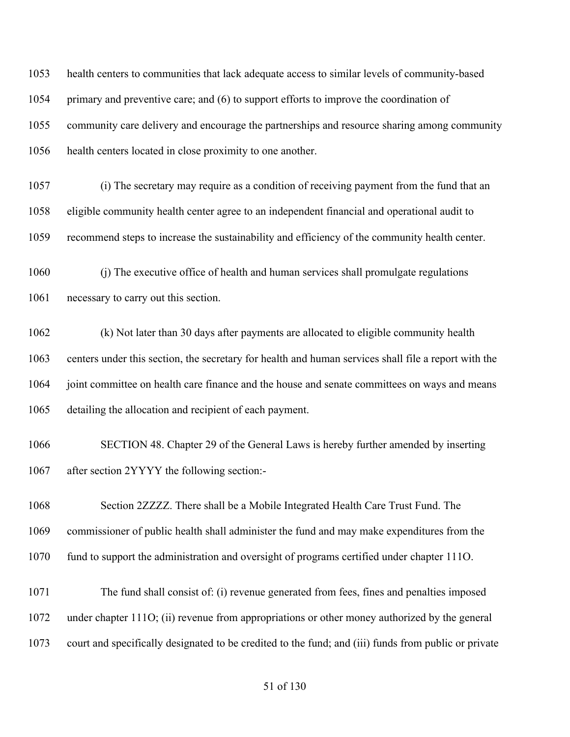health centers to communities that lack adequate access to similar levels of community-based primary and preventive care; and (6) to support efforts to improve the coordination of community care delivery and encourage the partnerships and resource sharing among community health centers located in close proximity to one another.

 (i) The secretary may require as a condition of receiving payment from the fund that an eligible community health center agree to an independent financial and operational audit to recommend steps to increase the sustainability and efficiency of the community health center.

 (j) The executive office of health and human services shall promulgate regulations necessary to carry out this section.

 (k) Not later than 30 days after payments are allocated to eligible community health centers under this section, the secretary for health and human services shall file a report with the joint committee on health care finance and the house and senate committees on ways and means detailing the allocation and recipient of each payment.

 SECTION 48. Chapter 29 of the General Laws is hereby further amended by inserting after section 2YYYY the following section:-

 Section 2ZZZZ. There shall be a Mobile Integrated Health Care Trust Fund. The commissioner of public health shall administer the fund and may make expenditures from the fund to support the administration and oversight of programs certified under chapter 111O.

 The fund shall consist of: (i) revenue generated from fees, fines and penalties imposed under chapter 111O; (ii) revenue from appropriations or other money authorized by the general court and specifically designated to be credited to the fund; and (iii) funds from public or private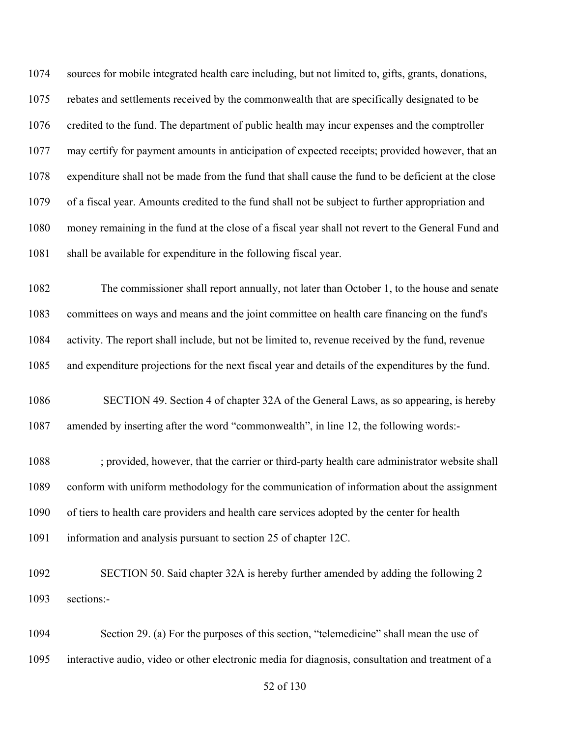sources for mobile integrated health care including, but not limited to, gifts, grants, donations, rebates and settlements received by the commonwealth that are specifically designated to be credited to the fund. The department of public health may incur expenses and the comptroller may certify for payment amounts in anticipation of expected receipts; provided however, that an expenditure shall not be made from the fund that shall cause the fund to be deficient at the close of a fiscal year. Amounts credited to the fund shall not be subject to further appropriation and money remaining in the fund at the close of a fiscal year shall not revert to the General Fund and shall be available for expenditure in the following fiscal year.

 The commissioner shall report annually, not later than October 1, to the house and senate committees on ways and means and the joint committee on health care financing on the fund's activity. The report shall include, but not be limited to, revenue received by the fund, revenue and expenditure projections for the next fiscal year and details of the expenditures by the fund.

 SECTION 49. Section 4 of chapter 32A of the General Laws, as so appearing, is hereby amended by inserting after the word "commonwealth", in line 12, the following words:-

 ; provided, however, that the carrier or third-party health care administrator website shall conform with uniform methodology for the communication of information about the assignment of tiers to health care providers and health care services adopted by the center for health information and analysis pursuant to section 25 of chapter 12C.

 SECTION 50. Said chapter 32A is hereby further amended by adding the following 2 sections:-

 Section 29. (a) For the purposes of this section, "telemedicine" shall mean the use of interactive audio, video or other electronic media for diagnosis, consultation and treatment of a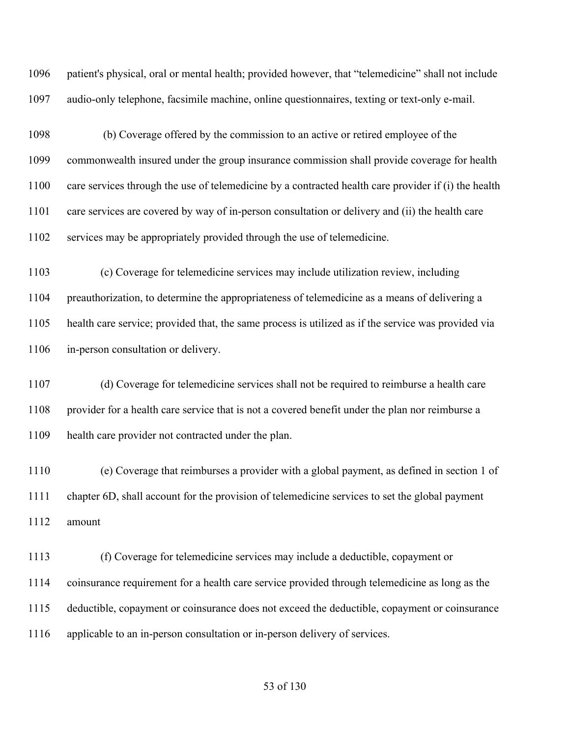patient's physical, oral or mental health; provided however, that "telemedicine" shall not include audio-only telephone, facsimile machine, online questionnaires, texting or text-only e-mail.

 (b) Coverage offered by the commission to an active or retired employee of the commonwealth insured under the group insurance commission shall provide coverage for health care services through the use of telemedicine by a contracted health care provider if (i) the health care services are covered by way of in-person consultation or delivery and (ii) the health care services may be appropriately provided through the use of telemedicine.

 (c) Coverage for telemedicine services may include utilization review, including preauthorization, to determine the appropriateness of telemedicine as a means of delivering a health care service; provided that, the same process is utilized as if the service was provided via in-person consultation or delivery.

 (d) Coverage for telemedicine services shall not be required to reimburse a health care 1108 provider for a health care service that is not a covered benefit under the plan nor reimburse a health care provider not contracted under the plan.

 (e) Coverage that reimburses a provider with a global payment, as defined in section 1 of chapter 6D, shall account for the provision of telemedicine services to set the global payment amount

 (f) Coverage for telemedicine services may include a deductible, copayment or coinsurance requirement for a health care service provided through telemedicine as long as the deductible, copayment or coinsurance does not exceed the deductible, copayment or coinsurance applicable to an in-person consultation or in-person delivery of services.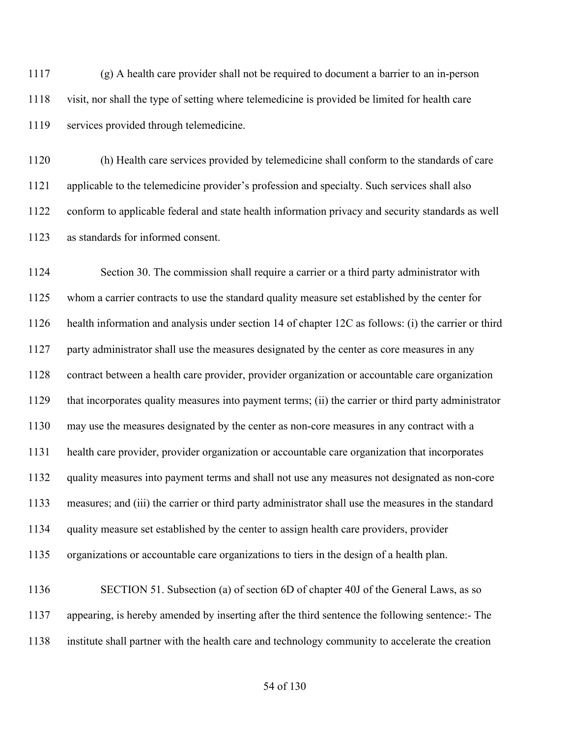(g) A health care provider shall not be required to document a barrier to an in-person visit, nor shall the type of setting where telemedicine is provided be limited for health care services provided through telemedicine.

 (h) Health care services provided by telemedicine shall conform to the standards of care applicable to the telemedicine provider's profession and specialty. Such services shall also conform to applicable federal and state health information privacy and security standards as well as standards for informed consent.

 Section 30. The commission shall require a carrier or a third party administrator with whom a carrier contracts to use the standard quality measure set established by the center for health information and analysis under section 14 of chapter 12C as follows: (i) the carrier or third party administrator shall use the measures designated by the center as core measures in any contract between a health care provider, provider organization or accountable care organization that incorporates quality measures into payment terms; (ii) the carrier or third party administrator may use the measures designated by the center as non-core measures in any contract with a health care provider, provider organization or accountable care organization that incorporates quality measures into payment terms and shall not use any measures not designated as non-core measures; and (iii) the carrier or third party administrator shall use the measures in the standard quality measure set established by the center to assign health care providers, provider organizations or accountable care organizations to tiers in the design of a health plan. 1136 SECTION 51. Subsection (a) of section 6D of chapter 40J of the General Laws, as so

 appearing, is hereby amended by inserting after the third sentence the following sentence:- The institute shall partner with the health care and technology community to accelerate the creation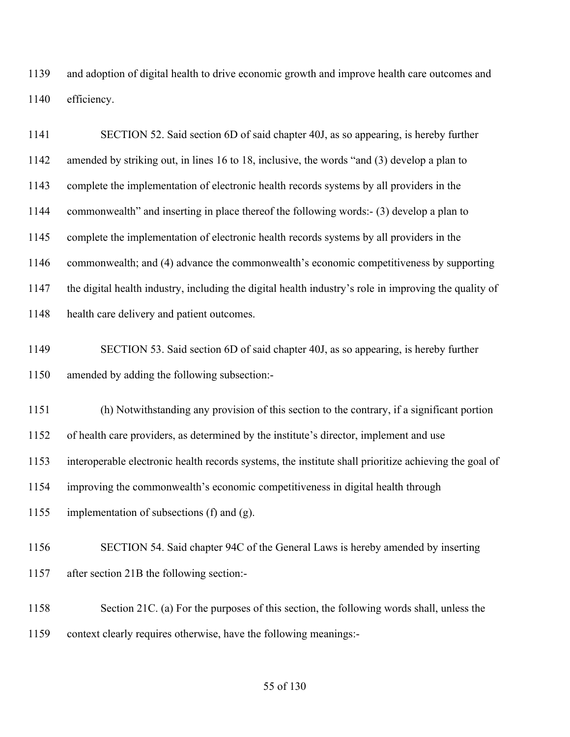and adoption of digital health to drive economic growth and improve health care outcomes and efficiency.

 SECTION 52. Said section 6D of said chapter 40J, as so appearing, is hereby further amended by striking out, in lines 16 to 18, inclusive, the words "and (3) develop a plan to complete the implementation of electronic health records systems by all providers in the commonwealth" and inserting in place thereof the following words:- (3) develop a plan to complete the implementation of electronic health records systems by all providers in the commonwealth; and (4) advance the commonwealth's economic competitiveness by supporting the digital health industry, including the digital health industry's role in improving the quality of health care delivery and patient outcomes. SECTION 53. Said section 6D of said chapter 40J, as so appearing, is hereby further amended by adding the following subsection:- (h) Notwithstanding any provision of this section to the contrary, if a significant portion of health care providers, as determined by the institute's director, implement and use interoperable electronic health records systems, the institute shall prioritize achieving the goal of improving the commonwealth's economic competitiveness in digital health through implementation of subsections (f) and (g). SECTION 54. Said chapter 94C of the General Laws is hereby amended by inserting after section 21B the following section:- Section 21C. (a) For the purposes of this section, the following words shall, unless the

context clearly requires otherwise, have the following meanings:-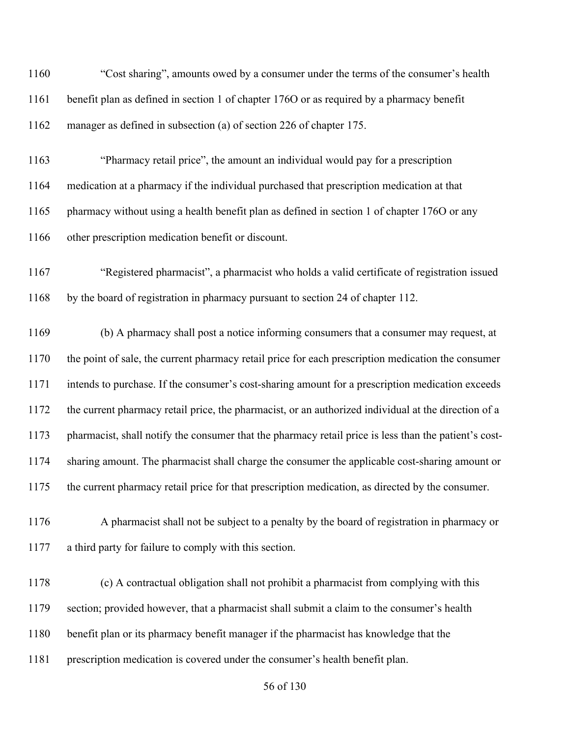| 1160 | "Cost sharing", amounts owed by a consumer under the terms of the consumer's health                   |
|------|-------------------------------------------------------------------------------------------------------|
| 1161 | benefit plan as defined in section 1 of chapter 1760 or as required by a pharmacy benefit             |
| 1162 | manager as defined in subsection (a) of section 226 of chapter 175.                                   |
| 1163 | "Pharmacy retail price", the amount an individual would pay for a prescription                        |
| 1164 | medication at a pharmacy if the individual purchased that prescription medication at that             |
| 1165 | pharmacy without using a health benefit plan as defined in section 1 of chapter 1760 or any           |
| 1166 | other prescription medication benefit or discount.                                                    |
| 1167 | "Registered pharmacist", a pharmacist who holds a valid certificate of registration issued            |
| 1168 | by the board of registration in pharmacy pursuant to section 24 of chapter 112.                       |
| 1169 | (b) A pharmacy shall post a notice informing consumers that a consumer may request, at                |
| 1170 | the point of sale, the current pharmacy retail price for each prescription medication the consumer    |
| 1171 | intends to purchase. If the consumer's cost-sharing amount for a prescription medication exceeds      |
| 1172 | the current pharmacy retail price, the pharmacist, or an authorized individual at the direction of a  |
| 1173 | pharmacist, shall notify the consumer that the pharmacy retail price is less than the patient's cost- |
| 1174 | sharing amount. The pharmacist shall charge the consumer the applicable cost-sharing amount or        |
| 1175 | the current pharmacy retail price for that prescription medication, as directed by the consumer.      |
| 1176 | A pharmacist shall not be subject to a penalty by the board of registration in pharmacy or            |
| 1177 | a third party for failure to comply with this section.                                                |
| 1178 | (c) A contractual obligation shall not prohibit a pharmacist from complying with this                 |
| 1179 | section; provided however, that a pharmacist shall submit a claim to the consumer's health            |
| 1180 | benefit plan or its pharmacy benefit manager if the pharmacist has knowledge that the                 |
| 1181 | prescription medication is covered under the consumer's health benefit plan.                          |
|      | 56 of 130                                                                                             |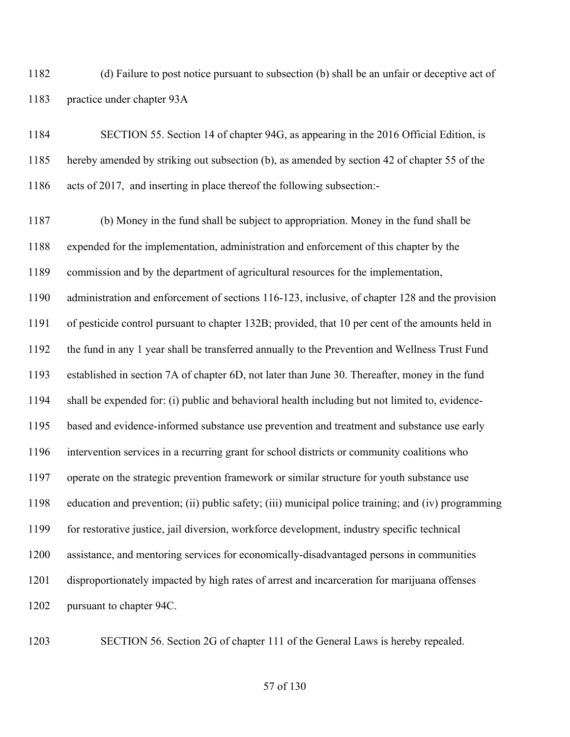(d) Failure to post notice pursuant to subsection (b) shall be an unfair or deceptive act of practice under chapter 93A

 SECTION 55. Section 14 of chapter 94G, as appearing in the 2016 Official Edition, is hereby amended by striking out subsection (b), as amended by section 42 of chapter 55 of the acts of 2017, and inserting in place thereof the following subsection:-

 (b) Money in the fund shall be subject to appropriation. Money in the fund shall be expended for the implementation, administration and enforcement of this chapter by the commission and by the department of agricultural resources for the implementation, administration and enforcement of sections 116-123, inclusive, of chapter 128 and the provision of pesticide control pursuant to chapter 132B; provided, that 10 per cent of the amounts held in the fund in any 1 year shall be transferred annually to the Prevention and Wellness Trust Fund established in section 7A of chapter 6D, not later than June 30. Thereafter, money in the fund shall be expended for: (i) public and behavioral health including but not limited to, evidence- based and evidence-informed substance use prevention and treatment and substance use early intervention services in a recurring grant for school districts or community coalitions who operate on the strategic prevention framework or similar structure for youth substance use education and prevention; (ii) public safety; (iii) municipal police training; and (iv) programming for restorative justice, jail diversion, workforce development, industry specific technical assistance, and mentoring services for economically-disadvantaged persons in communities disproportionately impacted by high rates of arrest and incarceration for marijuana offenses 1202 pursuant to chapter 94C.

SECTION 56. Section 2G of chapter 111 of the General Laws is hereby repealed.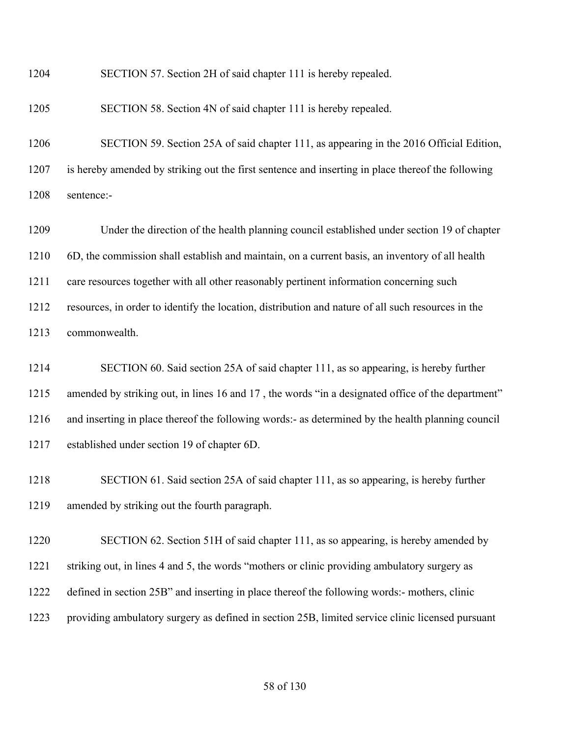SECTION 57. Section 2H of said chapter 111 is hereby repealed.

SECTION 58. Section 4N of said chapter 111 is hereby repealed.

 SECTION 59. Section 25A of said chapter 111, as appearing in the 2016 Official Edition, is hereby amended by striking out the first sentence and inserting in place thereof the following sentence:-

 Under the direction of the health planning council established under section 19 of chapter 6D, the commission shall establish and maintain, on a current basis, an inventory of all health care resources together with all other reasonably pertinent information concerning such resources, in order to identify the location, distribution and nature of all such resources in the commonwealth.

 SECTION 60. Said section 25A of said chapter 111, as so appearing, is hereby further 1215 amended by striking out, in lines 16 and 17, the words "in a designated office of the department" and inserting in place thereof the following words:- as determined by the health planning council established under section 19 of chapter 6D.

 SECTION 61. Said section 25A of said chapter 111, as so appearing, is hereby further amended by striking out the fourth paragraph.

 SECTION 62. Section 51H of said chapter 111, as so appearing, is hereby amended by striking out, in lines 4 and 5, the words "mothers or clinic providing ambulatory surgery as defined in section 25B" and inserting in place thereof the following words:- mothers, clinic providing ambulatory surgery as defined in section 25B, limited service clinic licensed pursuant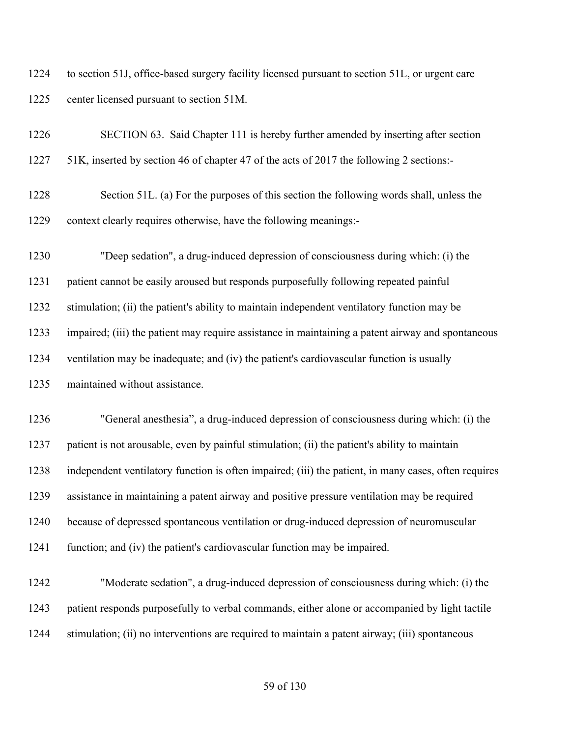to section 51J, office-based surgery facility licensed pursuant to section 51L, or urgent care center licensed pursuant to section 51M.

| 1226 | SECTION 63. Said Chapter 111 is hereby further amended by inserting after section                    |
|------|------------------------------------------------------------------------------------------------------|
| 1227 | 51K, inserted by section 46 of chapter 47 of the acts of 2017 the following 2 sections:-             |
| 1228 | Section 51L. (a) For the purposes of this section the following words shall, unless the              |
| 1229 | context clearly requires otherwise, have the following meanings:-                                    |
| 1230 | "Deep sedation", a drug-induced depression of consciousness during which: (i) the                    |
| 1231 | patient cannot be easily aroused but responds purposefully following repeated painful                |
| 1232 | stimulation; (ii) the patient's ability to maintain independent ventilatory function may be          |
| 1233 | impaired; (iii) the patient may require assistance in maintaining a patent airway and spontaneous    |
| 1234 | ventilation may be inadequate; and (iv) the patient's cardiovascular function is usually             |
| 1235 | maintained without assistance.                                                                       |
| 1236 | "General anesthesia", a drug-induced depression of consciousness during which: (i) the               |
| 1237 | patient is not arousable, even by painful stimulation; (ii) the patient's ability to maintain        |
| 1238 | independent ventilatory function is often impaired; (iii) the patient, in many cases, often requires |
| 1239 | assistance in maintaining a patent airway and positive pressure ventilation may be required          |
| 1240 | because of depressed spontaneous ventilation or drug-induced depression of neuromuscular             |
| 1241 | function; and (iv) the patient's cardiovascular function may be impaired.                            |
| 1242 | "Moderate sedation", a drug-induced depression of consciousness during which: (i) the                |
| 1243 | patient responds purposefully to verbal commands, either alone or accompanied by light tactile       |
| 1244 | stimulation; (ii) no interventions are required to maintain a patent airway; (iii) spontaneous       |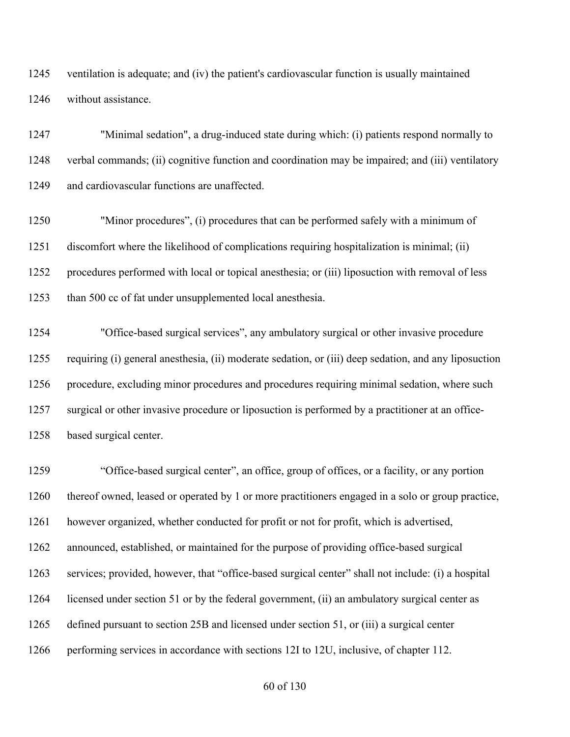ventilation is adequate; and (iv) the patient's cardiovascular function is usually maintained without assistance.

 "Minimal sedation", a drug-induced state during which: (i) patients respond normally to verbal commands; (ii) cognitive function and coordination may be impaired; and (iii) ventilatory and cardiovascular functions are unaffected.

 "Minor procedures", (i) procedures that can be performed safely with a minimum of discomfort where the likelihood of complications requiring hospitalization is minimal; (ii) procedures performed with local or topical anesthesia; or (iii) liposuction with removal of less than 500 cc of fat under unsupplemented local anesthesia.

 "Office-based surgical services", any ambulatory surgical or other invasive procedure requiring (i) general anesthesia, (ii) moderate sedation, or (iii) deep sedation, and any liposuction procedure, excluding minor procedures and procedures requiring minimal sedation, where such surgical or other invasive procedure or liposuction is performed by a practitioner at an office-based surgical center.

 "Office-based surgical center", an office, group of offices, or a facility, or any portion thereof owned, leased or operated by 1 or more practitioners engaged in a solo or group practice, however organized, whether conducted for profit or not for profit, which is advertised, announced, established, or maintained for the purpose of providing office-based surgical services; provided, however, that "office-based surgical center" shall not include: (i) a hospital licensed under section 51 or by the federal government, (ii) an ambulatory surgical center as defined pursuant to section 25B and licensed under section 51, or (iii) a surgical center performing services in accordance with sections 12I to 12U, inclusive, of chapter 112.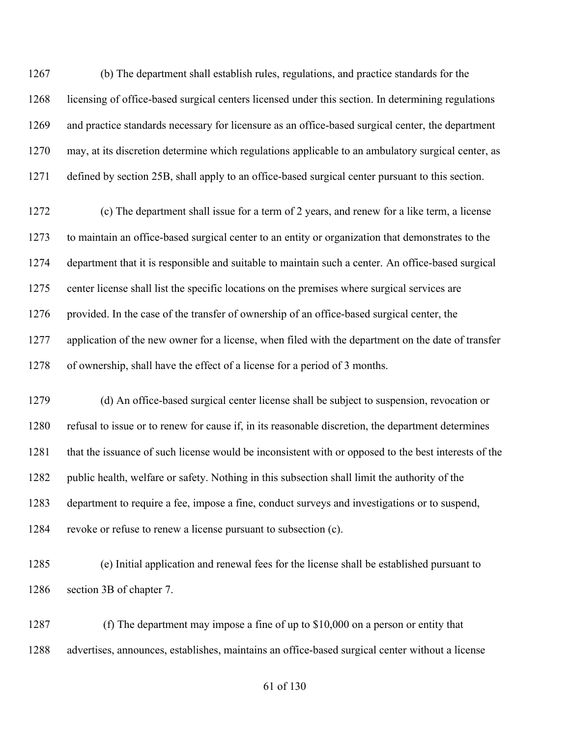(b) The department shall establish rules, regulations, and practice standards for the licensing of office-based surgical centers licensed under this section. In determining regulations and practice standards necessary for licensure as an office-based surgical center, the department may, at its discretion determine which regulations applicable to an ambulatory surgical center, as defined by section 25B, shall apply to an office-based surgical center pursuant to this section.

 (c) The department shall issue for a term of 2 years, and renew for a like term, a license to maintain an office-based surgical center to an entity or organization that demonstrates to the department that it is responsible and suitable to maintain such a center. An office-based surgical center license shall list the specific locations on the premises where surgical services are 1276 provided. In the case of the transfer of ownership of an office-based surgical center, the application of the new owner for a license, when filed with the department on the date of transfer of ownership, shall have the effect of a license for a period of 3 months.

 (d) An office-based surgical center license shall be subject to suspension, revocation or refusal to issue or to renew for cause if, in its reasonable discretion, the department determines that the issuance of such license would be inconsistent with or opposed to the best interests of the public health, welfare or safety. Nothing in this subsection shall limit the authority of the department to require a fee, impose a fine, conduct surveys and investigations or to suspend, revoke or refuse to renew a license pursuant to subsection (c).

 (e) Initial application and renewal fees for the license shall be established pursuant to section 3B of chapter 7.

 (f) The department may impose a fine of up to \$10,000 on a person or entity that advertises, announces, establishes, maintains an office-based surgical center without a license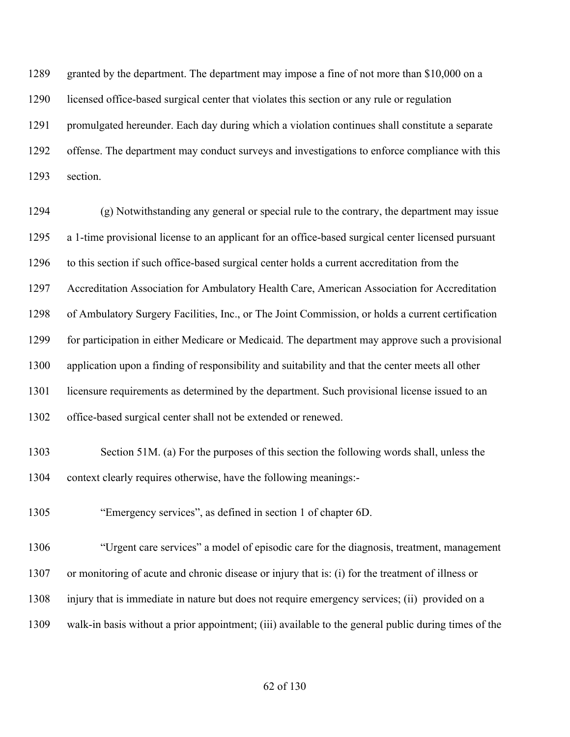granted by the department. The department may impose a fine of not more than \$10,000 on a licensed office-based surgical center that violates this section or any rule or regulation promulgated hereunder. Each day during which a violation continues shall constitute a separate offense. The department may conduct surveys and investigations to enforce compliance with this section.

 (g) Notwithstanding any general or special rule to the contrary, the department may issue a 1-time provisional license to an applicant for an office-based surgical center licensed pursuant to this section if such office-based surgical center holds a current accreditation from the Accreditation Association for Ambulatory Health Care, American Association for Accreditation of Ambulatory Surgery Facilities, Inc., or The Joint Commission, or holds a current certification for participation in either Medicare or Medicaid. The department may approve such a provisional application upon a finding of responsibility and suitability and that the center meets all other licensure requirements as determined by the department. Such provisional license issued to an office-based surgical center shall not be extended or renewed.

 Section 51M. (a) For the purposes of this section the following words shall, unless the context clearly requires otherwise, have the following meanings:-

"Emergency services", as defined in section 1 of chapter 6D.

 "Urgent care services" a model of episodic care for the diagnosis, treatment, management or monitoring of acute and chronic disease or injury that is: (i) for the treatment of illness or injury that is immediate in nature but does not require emergency services; (ii) provided on a walk-in basis without a prior appointment; (iii) available to the general public during times of the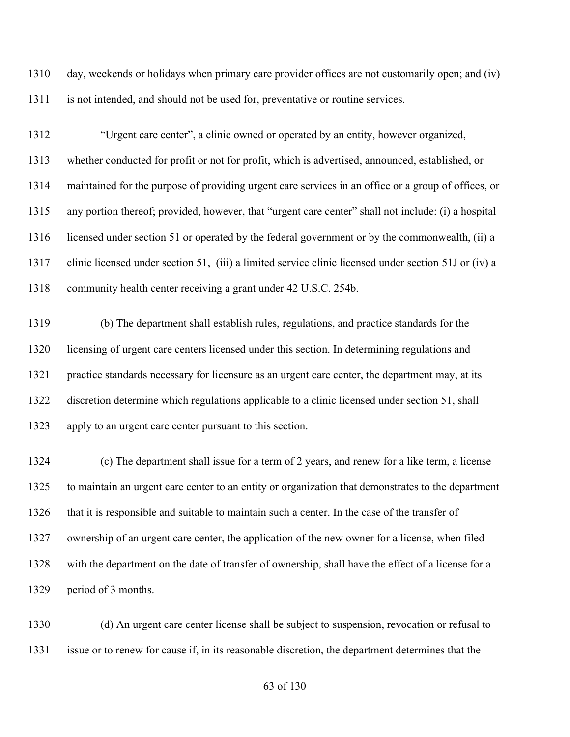day, weekends or holidays when primary care provider offices are not customarily open; and (iv) is not intended, and should not be used for, preventative or routine services.

 "Urgent care center", a clinic owned or operated by an entity, however organized, whether conducted for profit or not for profit, which is advertised, announced, established, or maintained for the purpose of providing urgent care services in an office or a group of offices, or any portion thereof; provided, however, that "urgent care center" shall not include: (i) a hospital licensed under section 51 or operated by the federal government or by the commonwealth, (ii) a clinic licensed under section 51, (iii) a limited service clinic licensed under section 51J or (iv) a 1318 community health center receiving a grant under 42 U.S.C. 254b.

 (b) The department shall establish rules, regulations, and practice standards for the licensing of urgent care centers licensed under this section. In determining regulations and practice standards necessary for licensure as an urgent care center, the department may, at its discretion determine which regulations applicable to a clinic licensed under section 51, shall apply to an urgent care center pursuant to this section.

 (c) The department shall issue for a term of 2 years, and renew for a like term, a license to maintain an urgent care center to an entity or organization that demonstrates to the department that it is responsible and suitable to maintain such a center. In the case of the transfer of ownership of an urgent care center, the application of the new owner for a license, when filed with the department on the date of transfer of ownership, shall have the effect of a license for a period of 3 months.

 (d) An urgent care center license shall be subject to suspension, revocation or refusal to issue or to renew for cause if, in its reasonable discretion, the department determines that the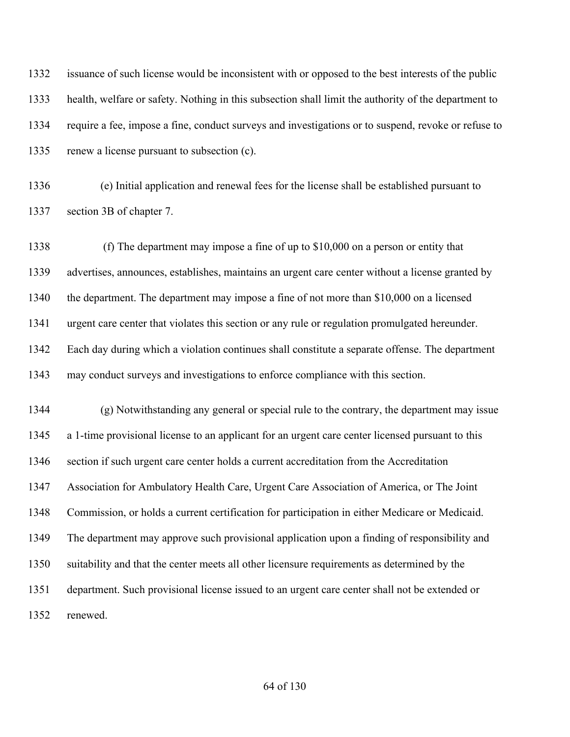issuance of such license would be inconsistent with or opposed to the best interests of the public health, welfare or safety. Nothing in this subsection shall limit the authority of the department to require a fee, impose a fine, conduct surveys and investigations or to suspend, revoke or refuse to renew a license pursuant to subsection (c).

 (e) Initial application and renewal fees for the license shall be established pursuant to section 3B of chapter 7.

 (f) The department may impose a fine of up to \$10,000 on a person or entity that advertises, announces, establishes, maintains an urgent care center without a license granted by the department. The department may impose a fine of not more than \$10,000 on a licensed urgent care center that violates this section or any rule or regulation promulgated hereunder. Each day during which a violation continues shall constitute a separate offense. The department may conduct surveys and investigations to enforce compliance with this section.

 (g) Notwithstanding any general or special rule to the contrary, the department may issue a 1-time provisional license to an applicant for an urgent care center licensed pursuant to this section if such urgent care center holds a current accreditation from the Accreditation Association for Ambulatory Health Care, Urgent Care Association of America, or The Joint Commission, or holds a current certification for participation in either Medicare or Medicaid. The department may approve such provisional application upon a finding of responsibility and suitability and that the center meets all other licensure requirements as determined by the department. Such provisional license issued to an urgent care center shall not be extended or renewed.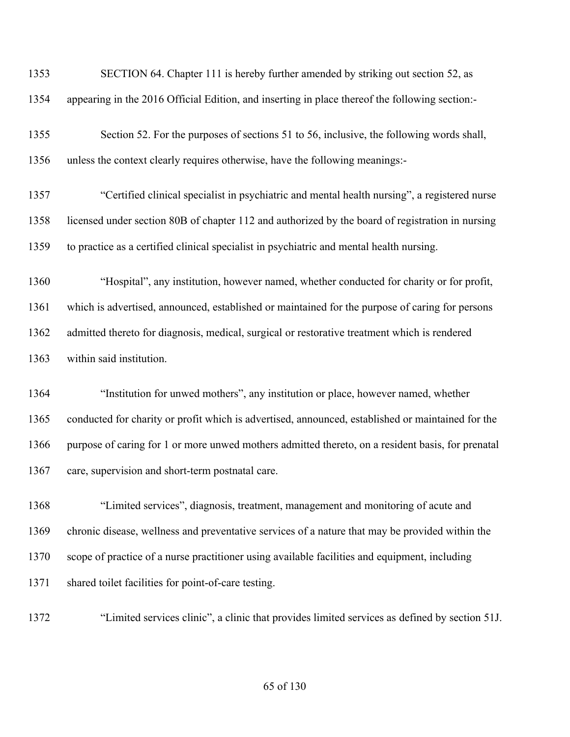| 1353 | SECTION 64. Chapter 111 is hereby further amended by striking out section 52, as                  |
|------|---------------------------------------------------------------------------------------------------|
| 1354 | appearing in the 2016 Official Edition, and inserting in place thereof the following section:-    |
| 1355 | Section 52. For the purposes of sections 51 to 56, inclusive, the following words shall,          |
| 1356 | unless the context clearly requires otherwise, have the following meanings:-                      |
| 1357 | "Certified clinical specialist in psychiatric and mental health nursing", a registered nurse      |
| 1358 | licensed under section 80B of chapter 112 and authorized by the board of registration in nursing  |
| 1359 | to practice as a certified clinical specialist in psychiatric and mental health nursing.          |
| 1360 | "Hospital", any institution, however named, whether conducted for charity or for profit,          |
| 1361 | which is advertised, announced, established or maintained for the purpose of caring for persons   |
| 1362 | admitted thereto for diagnosis, medical, surgical or restorative treatment which is rendered      |
| 1363 | within said institution.                                                                          |
| 1364 | "Institution for unwed mothers", any institution or place, however named, whether                 |
| 1365 |                                                                                                   |
|      | conducted for charity or profit which is advertised, announced, established or maintained for the |
| 1366 | purpose of caring for 1 or more unwed mothers admitted thereto, on a resident basis, for prenatal |
| 1367 | care, supervision and short-term postnatal care.                                                  |
| 1368 | "Limited services", diagnosis, treatment, management and monitoring of acute and                  |
| 1369 | chronic disease, wellness and preventative services of a nature that may be provided within the   |
| 1370 | scope of practice of a nurse practitioner using available facilities and equipment, including     |
| 1371 | shared toilet facilities for point-of-care testing.                                               |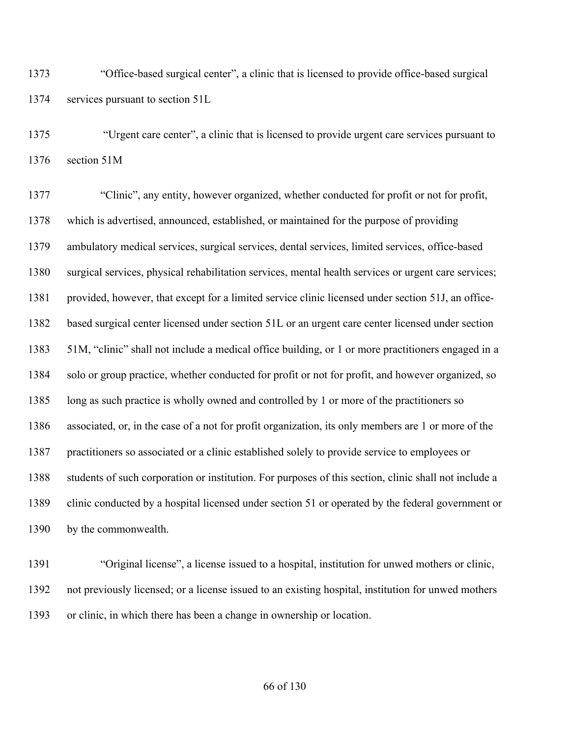"Office-based surgical center", a clinic that is licensed to provide office-based surgical services pursuant to section 51L

 "Urgent care center", a clinic that is licensed to provide urgent care services pursuant to section 51M

 "Clinic", any entity, however organized, whether conducted for profit or not for profit, which is advertised, announced, established, or maintained for the purpose of providing ambulatory medical services, surgical services, dental services, limited services, office-based surgical services, physical rehabilitation services, mental health services or urgent care services; provided, however, that except for a limited service clinic licensed under section 51J, an office- based surgical center licensed under section 51L or an urgent care center licensed under section 51M, "clinic" shall not include a medical office building, or 1 or more practitioners engaged in a solo or group practice, whether conducted for profit or not for profit, and however organized, so 1385 long as such practice is wholly owned and controlled by 1 or more of the practitioners so associated, or, in the case of a not for profit organization, its only members are 1 or more of the practitioners so associated or a clinic established solely to provide service to employees or students of such corporation or institution. For purposes of this section, clinic shall not include a clinic conducted by a hospital licensed under section 51 or operated by the federal government or by the commonwealth.

 "Original license", a license issued to a hospital, institution for unwed mothers or clinic, not previously licensed; or a license issued to an existing hospital, institution for unwed mothers or clinic, in which there has been a change in ownership or location.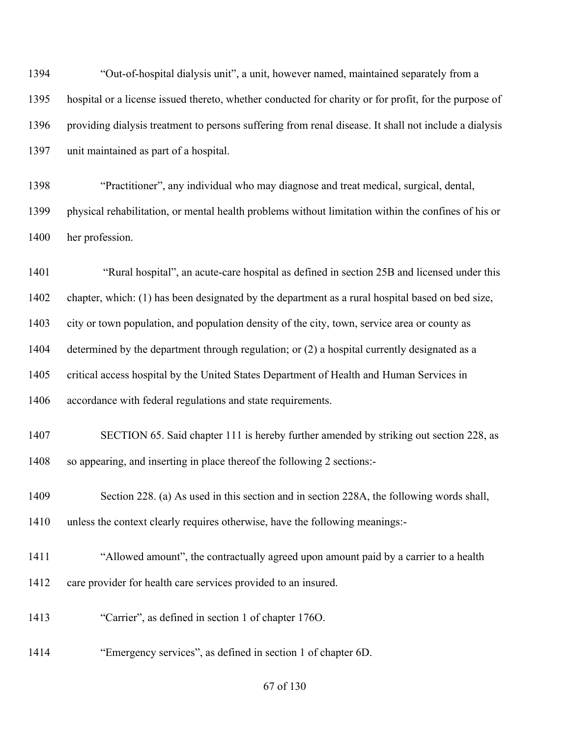"Out-of-hospital dialysis unit", a unit, however named, maintained separately from a hospital or a license issued thereto, whether conducted for charity or for profit, for the purpose of providing dialysis treatment to persons suffering from renal disease. It shall not include a dialysis unit maintained as part of a hospital.

 "Practitioner", any individual who may diagnose and treat medical, surgical, dental, physical rehabilitation, or mental health problems without limitation within the confines of his or her profession.

 "Rural hospital", an acute-care hospital as defined in section 25B and licensed under this chapter, which: (1) has been designated by the department as a rural hospital based on bed size, city or town population, and population density of the city, town, service area or county as determined by the department through regulation; or (2) a hospital currently designated as a critical access hospital by the United States Department of Health and Human Services in accordance with federal regulations and state requirements.

 SECTION 65. Said chapter 111 is hereby further amended by striking out section 228, as so appearing, and inserting in place thereof the following 2 sections:-

 Section 228. (a) As used in this section and in section 228A, the following words shall, unless the context clearly requires otherwise, have the following meanings:-

- "Allowed amount", the contractually agreed upon amount paid by a carrier to a health 1412 care provider for health care services provided to an insured.
- "Carrier", as defined in section 1 of chapter 176O.
- "Emergency services", as defined in section 1 of chapter 6D.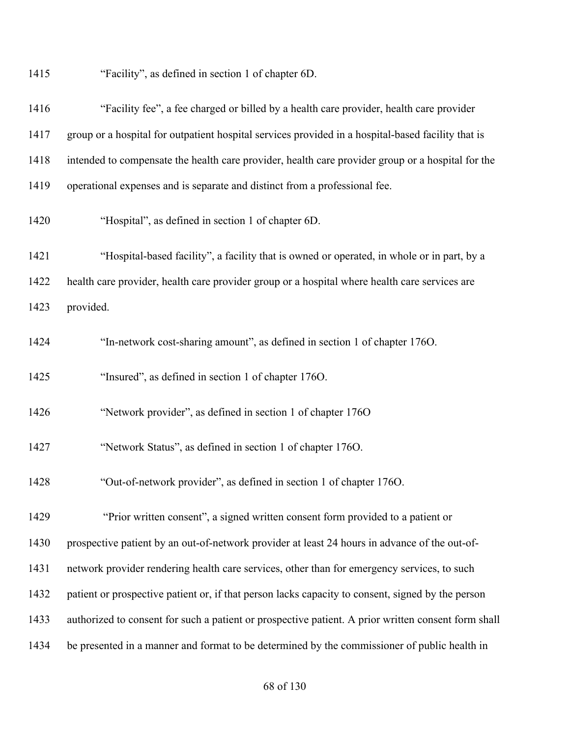"Facility", as defined in section 1 of chapter 6D.

| 1416 | "Facility fee", a fee charged or billed by a health care provider, health care provider             |
|------|-----------------------------------------------------------------------------------------------------|
| 1417 | group or a hospital for outpatient hospital services provided in a hospital-based facility that is  |
| 1418 | intended to compensate the health care provider, health care provider group or a hospital for the   |
| 1419 | operational expenses and is separate and distinct from a professional fee.                          |
| 1420 | "Hospital", as defined in section 1 of chapter 6D.                                                  |
| 1421 | "Hospital-based facility", a facility that is owned or operated, in whole or in part, by a          |
| 1422 | health care provider, health care provider group or a hospital where health care services are       |
| 1423 | provided.                                                                                           |
| 1424 | "In-network cost-sharing amount", as defined in section 1 of chapter 1760.                          |
| 1425 | "Insured", as defined in section 1 of chapter 1760.                                                 |
| 1426 | "Network provider", as defined in section 1 of chapter 1760                                         |
| 1427 | "Network Status", as defined in section 1 of chapter 1760.                                          |
| 1428 | "Out-of-network provider", as defined in section 1 of chapter 1760.                                 |
| 1429 | "Prior written consent", a signed written consent form provided to a patient or                     |
| 1430 | prospective patient by an out-of-network provider at least 24 hours in advance of the out-of-       |
| 1431 | network provider rendering health care services, other than for emergency services, to such         |
| 1432 | patient or prospective patient or, if that person lacks capacity to consent, signed by the person   |
| 1433 | authorized to consent for such a patient or prospective patient. A prior written consent form shall |
| 1434 | be presented in a manner and format to be determined by the commissioner of public health in        |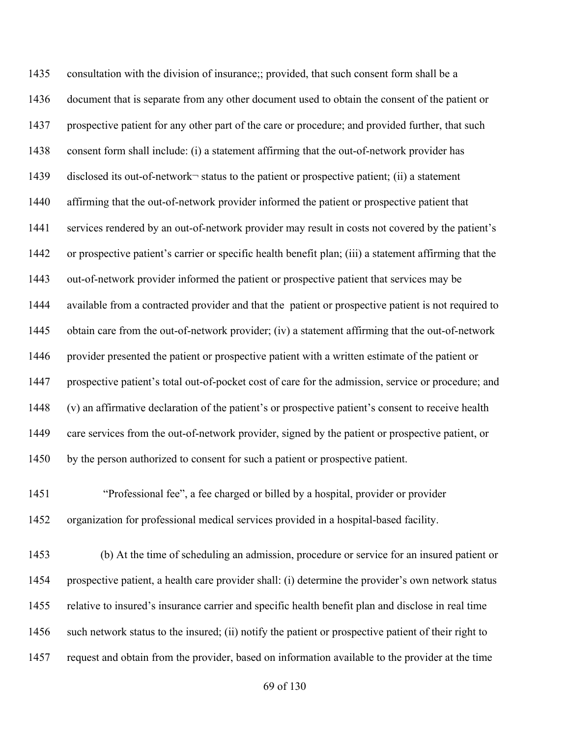consultation with the division of insurance;; provided, that such consent form shall be a document that is separate from any other document used to obtain the consent of the patient or prospective patient for any other part of the care or procedure; and provided further, that such consent form shall include: (i) a statement affirming that the out-of-network provider has 1439 disclosed its out-of-network<sup>-</sup> status to the patient or prospective patient; (ii) a statement affirming that the out-of-network provider informed the patient or prospective patient that services rendered by an out-of-network provider may result in costs not covered by the patient's or prospective patient's carrier or specific health benefit plan; (iii) a statement affirming that the out-of-network provider informed the patient or prospective patient that services may be available from a contracted provider and that the patient or prospective patient is not required to obtain care from the out-of-network provider; (iv) a statement affirming that the out-of-network provider presented the patient or prospective patient with a written estimate of the patient or prospective patient's total out-of-pocket cost of care for the admission, service or procedure; and (v) an affirmative declaration of the patient's or prospective patient's consent to receive health care services from the out-of-network provider, signed by the patient or prospective patient, or by the person authorized to consent for such a patient or prospective patient.

 "Professional fee", a fee charged or billed by a hospital, provider or provider organization for professional medical services provided in a hospital-based facility.

 (b) At the time of scheduling an admission, procedure or service for an insured patient or prospective patient, a health care provider shall: (i) determine the provider's own network status relative to insured's insurance carrier and specific health benefit plan and disclose in real time such network status to the insured; (ii) notify the patient or prospective patient of their right to request and obtain from the provider, based on information available to the provider at the time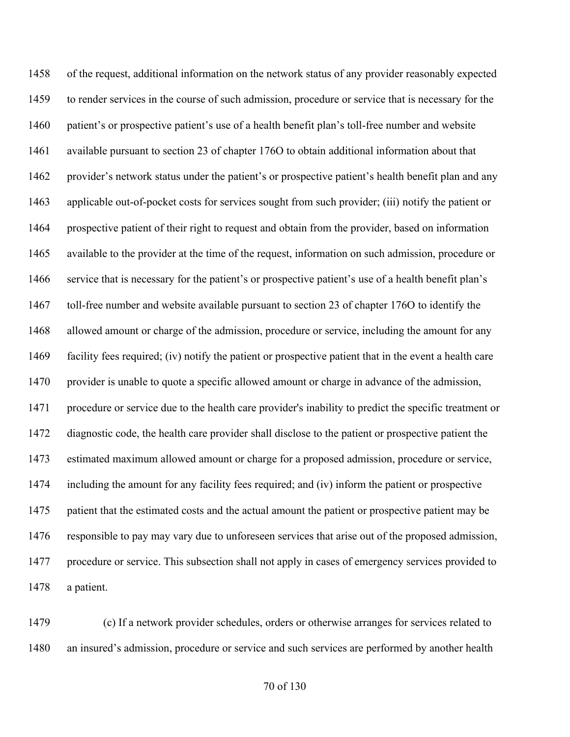of the request, additional information on the network status of any provider reasonably expected to render services in the course of such admission, procedure or service that is necessary for the patient's or prospective patient's use of a health benefit plan's toll-free number and website available pursuant to section 23 of chapter 176O to obtain additional information about that provider's network status under the patient's or prospective patient's health benefit plan and any applicable out-of-pocket costs for services sought from such provider; (iii) notify the patient or prospective patient of their right to request and obtain from the provider, based on information available to the provider at the time of the request, information on such admission, procedure or service that is necessary for the patient's or prospective patient's use of a health benefit plan's toll-free number and website available pursuant to section 23 of chapter 176O to identify the allowed amount or charge of the admission, procedure or service, including the amount for any facility fees required; (iv) notify the patient or prospective patient that in the event a health care provider is unable to quote a specific allowed amount or charge in advance of the admission, procedure or service due to the health care provider's inability to predict the specific treatment or diagnostic code, the health care provider shall disclose to the patient or prospective patient the estimated maximum allowed amount or charge for a proposed admission, procedure or service, including the amount for any facility fees required; and (iv) inform the patient or prospective patient that the estimated costs and the actual amount the patient or prospective patient may be responsible to pay may vary due to unforeseen services that arise out of the proposed admission, procedure or service. This subsection shall not apply in cases of emergency services provided to a patient.

 (c) If a network provider schedules, orders or otherwise arranges for services related to an insured's admission, procedure or service and such services are performed by another health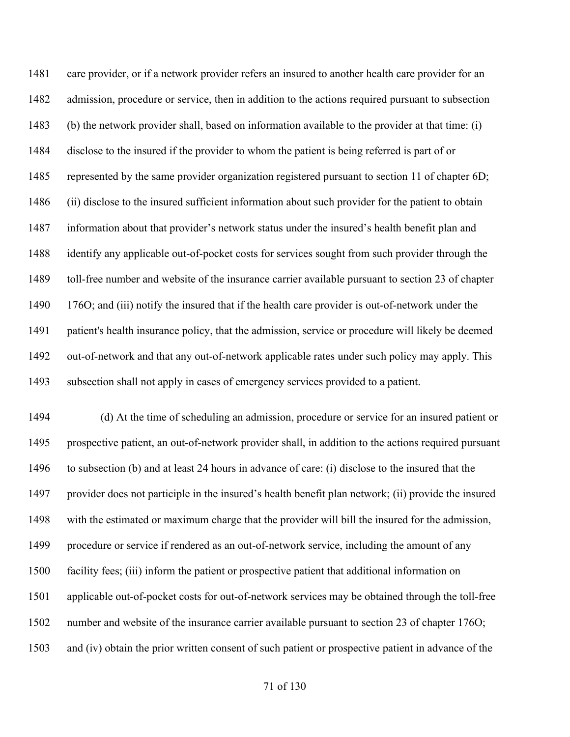care provider, or if a network provider refers an insured to another health care provider for an admission, procedure or service, then in addition to the actions required pursuant to subsection (b) the network provider shall, based on information available to the provider at that time: (i) disclose to the insured if the provider to whom the patient is being referred is part of or 1485 represented by the same provider organization registered pursuant to section 11 of chapter 6D; (ii) disclose to the insured sufficient information about such provider for the patient to obtain information about that provider's network status under the insured's health benefit plan and identify any applicable out-of-pocket costs for services sought from such provider through the toll-free number and website of the insurance carrier available pursuant to section 23 of chapter 1490 176O; and (iii) notify the insured that if the health care provider is out-of-network under the patient's health insurance policy, that the admission, service or procedure will likely be deemed out-of-network and that any out-of-network applicable rates under such policy may apply. This subsection shall not apply in cases of emergency services provided to a patient.

 (d) At the time of scheduling an admission, procedure or service for an insured patient or prospective patient, an out-of-network provider shall, in addition to the actions required pursuant to subsection (b) and at least 24 hours in advance of care: (i) disclose to the insured that the provider does not participle in the insured's health benefit plan network; (ii) provide the insured with the estimated or maximum charge that the provider will bill the insured for the admission, procedure or service if rendered as an out-of-network service, including the amount of any facility fees; (iii) inform the patient or prospective patient that additional information on applicable out-of-pocket costs for out-of-network services may be obtained through the toll-free number and website of the insurance carrier available pursuant to section 23 of chapter 176O; and (iv) obtain the prior written consent of such patient or prospective patient in advance of the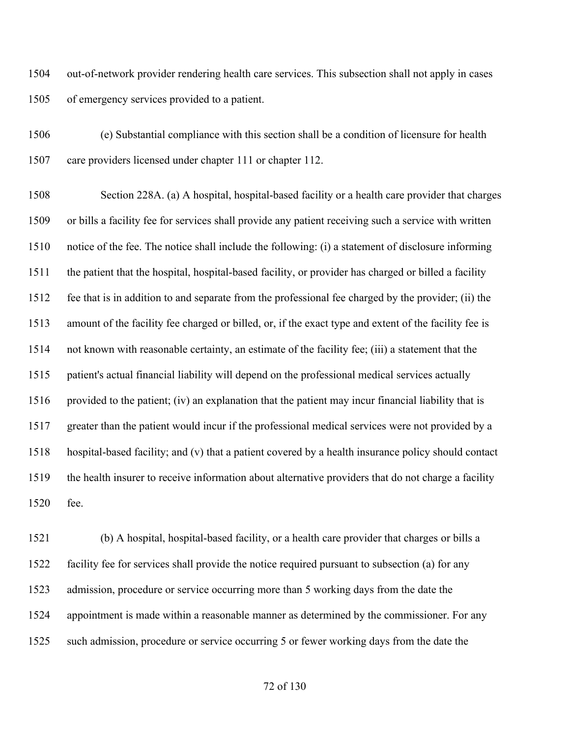out-of-network provider rendering health care services. This subsection shall not apply in cases of emergency services provided to a patient.

 (e) Substantial compliance with this section shall be a condition of licensure for health care providers licensed under chapter 111 or chapter 112.

 Section 228A. (a) A hospital, hospital-based facility or a health care provider that charges or bills a facility fee for services shall provide any patient receiving such a service with written notice of the fee. The notice shall include the following: (i) a statement of disclosure informing the patient that the hospital, hospital-based facility, or provider has charged or billed a facility fee that is in addition to and separate from the professional fee charged by the provider; (ii) the amount of the facility fee charged or billed, or, if the exact type and extent of the facility fee is not known with reasonable certainty, an estimate of the facility fee; (iii) a statement that the patient's actual financial liability will depend on the professional medical services actually provided to the patient; (iv) an explanation that the patient may incur financial liability that is greater than the patient would incur if the professional medical services were not provided by a hospital-based facility; and (v) that a patient covered by a health insurance policy should contact the health insurer to receive information about alternative providers that do not charge a facility fee.

 (b) A hospital, hospital-based facility, or a health care provider that charges or bills a facility fee for services shall provide the notice required pursuant to subsection (a) for any admission, procedure or service occurring more than 5 working days from the date the appointment is made within a reasonable manner as determined by the commissioner. For any such admission, procedure or service occurring 5 or fewer working days from the date the

of 130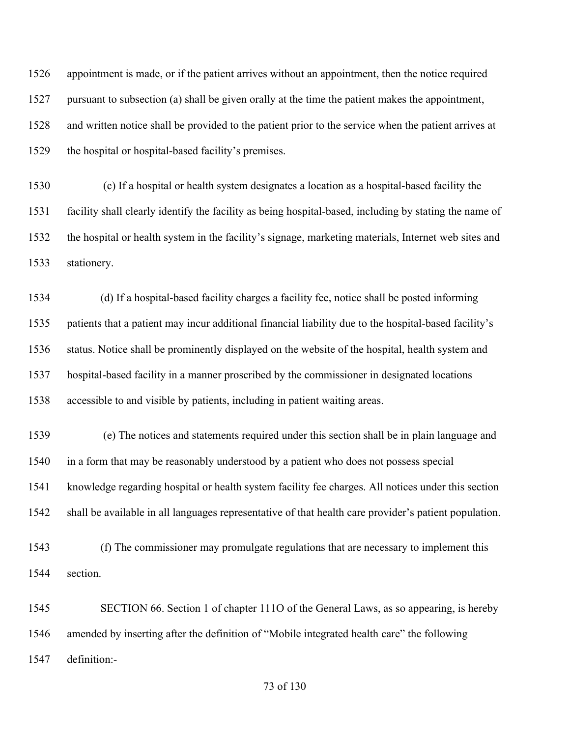appointment is made, or if the patient arrives without an appointment, then the notice required pursuant to subsection (a) shall be given orally at the time the patient makes the appointment, and written notice shall be provided to the patient prior to the service when the patient arrives at the hospital or hospital-based facility's premises.

 (c) If a hospital or health system designates a location as a hospital-based facility the facility shall clearly identify the facility as being hospital-based, including by stating the name of the hospital or health system in the facility's signage, marketing materials, Internet web sites and stationery.

 (d) If a hospital-based facility charges a facility fee, notice shall be posted informing patients that a patient may incur additional financial liability due to the hospital-based facility's status. Notice shall be prominently displayed on the website of the hospital, health system and hospital-based facility in a manner proscribed by the commissioner in designated locations accessible to and visible by patients, including in patient waiting areas.

 (e) The notices and statements required under this section shall be in plain language and in a form that may be reasonably understood by a patient who does not possess special knowledge regarding hospital or health system facility fee charges. All notices under this section shall be available in all languages representative of that health care provider's patient population.

 (f) The commissioner may promulgate regulations that are necessary to implement this section.

 SECTION 66. Section 1 of chapter 111O of the General Laws, as so appearing, is hereby amended by inserting after the definition of "Mobile integrated health care" the following definition:-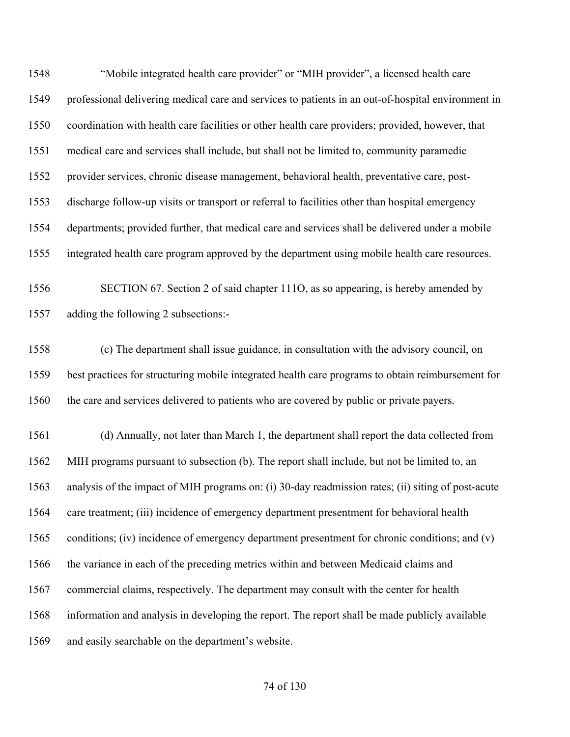"Mobile integrated health care provider" or "MIH provider", a licensed health care professional delivering medical care and services to patients in an out-of-hospital environment in coordination with health care facilities or other health care providers; provided, however, that medical care and services shall include, but shall not be limited to, community paramedic provider services, chronic disease management, behavioral health, preventative care, post- discharge follow-up visits or transport or referral to facilities other than hospital emergency departments; provided further, that medical care and services shall be delivered under a mobile integrated health care program approved by the department using mobile health care resources. SECTION 67. Section 2 of said chapter 111O, as so appearing, is hereby amended by adding the following 2 subsections:- (c) The department shall issue guidance, in consultation with the advisory council, on best practices for structuring mobile integrated health care programs to obtain reimbursement for the care and services delivered to patients who are covered by public or private payers. (d) Annually, not later than March 1, the department shall report the data collected from MIH programs pursuant to subsection (b). The report shall include, but not be limited to, an analysis of the impact of MIH programs on: (i) 30-day readmission rates; (ii) siting of post-acute care treatment; (iii) incidence of emergency department presentment for behavioral health conditions; (iv) incidence of emergency department presentment for chronic conditions; and (v) the variance in each of the preceding metrics within and between Medicaid claims and commercial claims, respectively. The department may consult with the center for health information and analysis in developing the report. The report shall be made publicly available

and easily searchable on the department's website.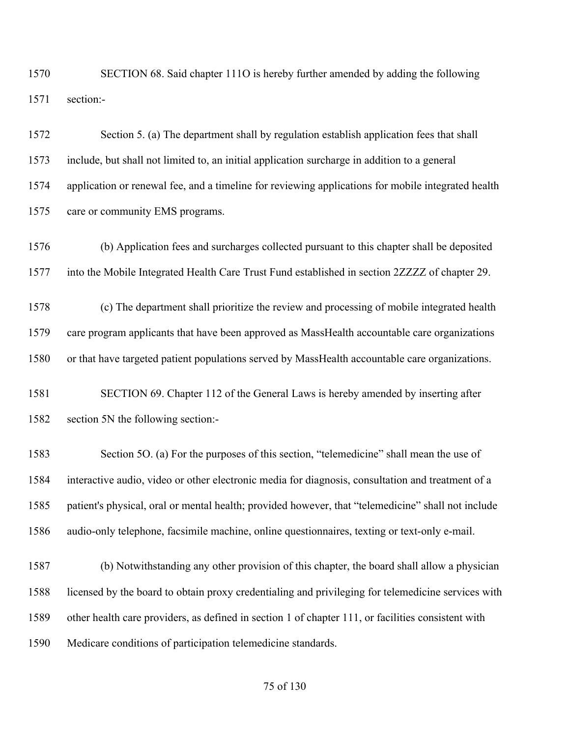SECTION 68. Said chapter 111O is hereby further amended by adding the following section:-

 Section 5. (a) The department shall by regulation establish application fees that shall include, but shall not limited to, an initial application surcharge in addition to a general application or renewal fee, and a timeline for reviewing applications for mobile integrated health care or community EMS programs.

 (b) Application fees and surcharges collected pursuant to this chapter shall be deposited into the Mobile Integrated Health Care Trust Fund established in section 2ZZZZ of chapter 29.

 (c) The department shall prioritize the review and processing of mobile integrated health care program applicants that have been approved as MassHealth accountable care organizations or that have targeted patient populations served by MassHealth accountable care organizations.

 SECTION 69. Chapter 112 of the General Laws is hereby amended by inserting after section 5N the following section:-

 Section 5O. (a) For the purposes of this section, "telemedicine" shall mean the use of interactive audio, video or other electronic media for diagnosis, consultation and treatment of a patient's physical, oral or mental health; provided however, that "telemedicine" shall not include audio-only telephone, facsimile machine, online questionnaires, texting or text-only e-mail.

 (b) Notwithstanding any other provision of this chapter, the board shall allow a physician licensed by the board to obtain proxy credentialing and privileging for telemedicine services with other health care providers, as defined in section 1 of chapter 111, or facilities consistent with Medicare conditions of participation telemedicine standards.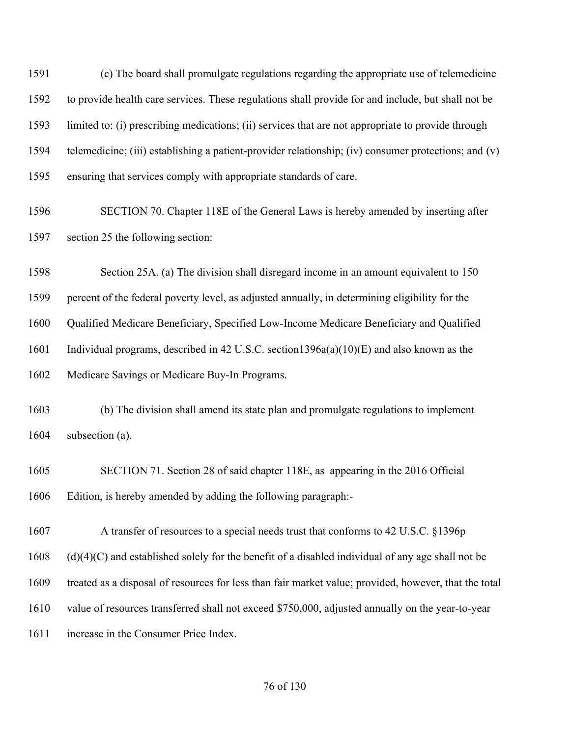(c) The board shall promulgate regulations regarding the appropriate use of telemedicine to provide health care services. These regulations shall provide for and include, but shall not be limited to: (i) prescribing medications; (ii) services that are not appropriate to provide through telemedicine; (iii) establishing a patient-provider relationship; (iv) consumer protections; and (v) ensuring that services comply with appropriate standards of care.

 SECTION 70. Chapter 118E of the General Laws is hereby amended by inserting after section 25 the following section:

Section 25A. (a) The division shall disregard income in an amount equivalent to 150

percent of the federal poverty level, as adjusted annually, in determining eligibility for the

Qualified Medicare Beneficiary, Specified Low-Income Medicare Beneficiary and Qualified

1601 Individual programs, described in 42 U.S.C. section 1396a(a)(10)(E) and also known as the

Medicare Savings or Medicare Buy-In Programs.

 (b) The division shall amend its state plan and promulgate regulations to implement subsection (a).

 SECTION 71. Section 28 of said chapter 118E, as appearing in the 2016 Official Edition, is hereby amended by adding the following paragraph:-

A transfer of resources to a special needs trust that conforms to 42 U.S.C. §1396p

(d)(4)(C) and established solely for the benefit of a disabled individual of any age shall not be

treated as a disposal of resources for less than fair market value; provided, however, that the total

value of resources transferred shall not exceed \$750,000, adjusted annually on the year-to-year

increase in the Consumer Price Index.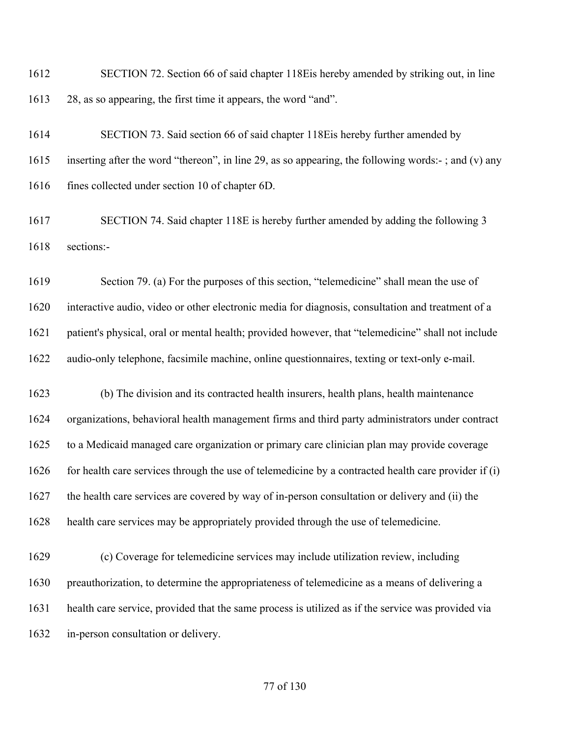SECTION 72. Section 66 of said chapter 118Eis hereby amended by striking out, in line 28, as so appearing, the first time it appears, the word "and".

 SECTION 73. Said section 66 of said chapter 118Eis hereby further amended by inserting after the word "thereon", in line 29, as so appearing, the following words:- ; and (v) any fines collected under section 10 of chapter 6D.

 SECTION 74. Said chapter 118E is hereby further amended by adding the following 3 sections:-

 Section 79. (a) For the purposes of this section, "telemedicine" shall mean the use of interactive audio, video or other electronic media for diagnosis, consultation and treatment of a patient's physical, oral or mental health; provided however, that "telemedicine" shall not include audio-only telephone, facsimile machine, online questionnaires, texting or text-only e-mail.

 (b) The division and its contracted health insurers, health plans, health maintenance organizations, behavioral health management firms and third party administrators under contract to a Medicaid managed care organization or primary care clinician plan may provide coverage 1626 for health care services through the use of telemedicine by a contracted health care provider if  $(i)$  the health care services are covered by way of in-person consultation or delivery and (ii) the health care services may be appropriately provided through the use of telemedicine.

 (c) Coverage for telemedicine services may include utilization review, including preauthorization, to determine the appropriateness of telemedicine as a means of delivering a health care service, provided that the same process is utilized as if the service was provided via in-person consultation or delivery.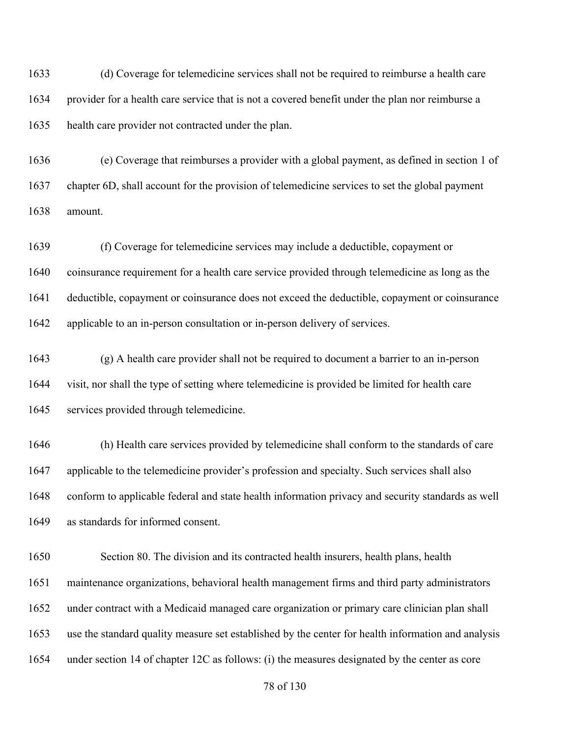(d) Coverage for telemedicine services shall not be required to reimburse a health care provider for a health care service that is not a covered benefit under the plan nor reimburse a health care provider not contracted under the plan.

 (e) Coverage that reimburses a provider with a global payment, as defined in section 1 of chapter 6D, shall account for the provision of telemedicine services to set the global payment amount.

 (f) Coverage for telemedicine services may include a deductible, copayment or coinsurance requirement for a health care service provided through telemedicine as long as the deductible, copayment or coinsurance does not exceed the deductible, copayment or coinsurance applicable to an in-person consultation or in-person delivery of services.

 (g) A health care provider shall not be required to document a barrier to an in-person visit, nor shall the type of setting where telemedicine is provided be limited for health care services provided through telemedicine.

 (h) Health care services provided by telemedicine shall conform to the standards of care applicable to the telemedicine provider's profession and specialty. Such services shall also conform to applicable federal and state health information privacy and security standards as well as standards for informed consent.

 Section 80. The division and its contracted health insurers, health plans, health maintenance organizations, behavioral health management firms and third party administrators under contract with a Medicaid managed care organization or primary care clinician plan shall use the standard quality measure set established by the center for health information and analysis under section 14 of chapter 12C as follows: (i) the measures designated by the center as core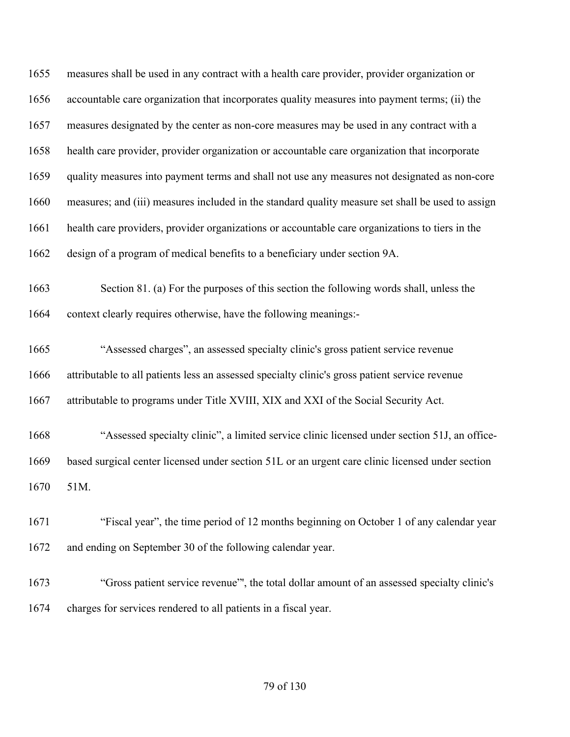measures shall be used in any contract with a health care provider, provider organization or accountable care organization that incorporates quality measures into payment terms; (ii) the measures designated by the center as non-core measures may be used in any contract with a health care provider, provider organization or accountable care organization that incorporate quality measures into payment terms and shall not use any measures not designated as non-core measures; and (iii) measures included in the standard quality measure set shall be used to assign health care providers, provider organizations or accountable care organizations to tiers in the design of a program of medical benefits to a beneficiary under section 9A. Section 81. (a) For the purposes of this section the following words shall, unless the context clearly requires otherwise, have the following meanings:- "Assessed charges", an assessed specialty clinic's gross patient service revenue attributable to all patients less an assessed specialty clinic's gross patient service revenue attributable to programs under Title XVIII, XIX and XXI of the Social Security Act. "Assessed specialty clinic", a limited service clinic licensed under section 51J, an office- based surgical center licensed under section 51L or an urgent care clinic licensed under section 51M. "Fiscal year", the time period of 12 months beginning on October 1 of any calendar year and ending on September 30 of the following calendar year.

 "Gross patient service revenue"', the total dollar amount of an assessed specialty clinic's charges for services rendered to all patients in a fiscal year.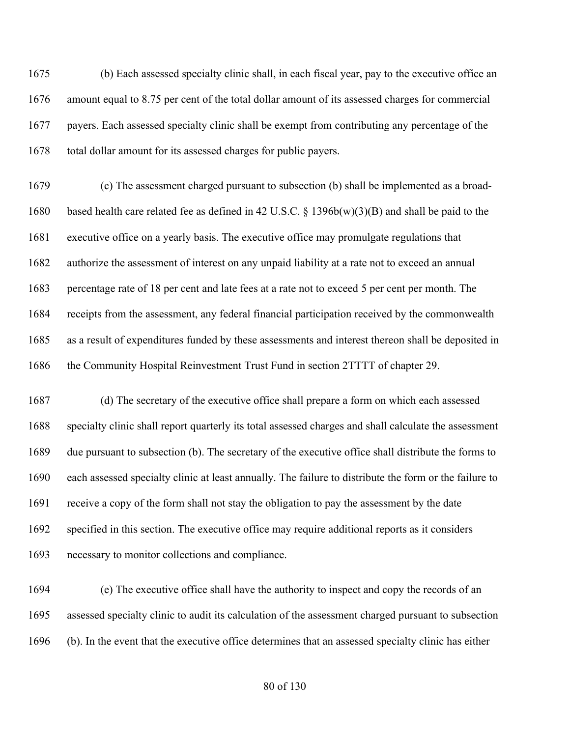(b) Each assessed specialty clinic shall, in each fiscal year, pay to the executive office an amount equal to 8.75 per cent of the total dollar amount of its assessed charges for commercial payers. Each assessed specialty clinic shall be exempt from contributing any percentage of the total dollar amount for its assessed charges for public payers.

 (c) The assessment charged pursuant to subsection (b) shall be implemented as a broad- based health care related fee as defined in 42 U.S.C. § 1396b(w)(3)(B) and shall be paid to the executive office on a yearly basis. The executive office may promulgate regulations that authorize the assessment of interest on any unpaid liability at a rate not to exceed an annual percentage rate of 18 per cent and late fees at a rate not to exceed 5 per cent per month. The receipts from the assessment, any federal financial participation received by the commonwealth as a result of expenditures funded by these assessments and interest thereon shall be deposited in the Community Hospital Reinvestment Trust Fund in section 2TTTT of chapter 29.

 (d) The secretary of the executive office shall prepare a form on which each assessed specialty clinic shall report quarterly its total assessed charges and shall calculate the assessment due pursuant to subsection (b). The secretary of the executive office shall distribute the forms to each assessed specialty clinic at least annually. The failure to distribute the form or the failure to receive a copy of the form shall not stay the obligation to pay the assessment by the date specified in this section. The executive office may require additional reports as it considers necessary to monitor collections and compliance.

 (e) The executive office shall have the authority to inspect and copy the records of an assessed specialty clinic to audit its calculation of the assessment charged pursuant to subsection (b). In the event that the executive office determines that an assessed specialty clinic has either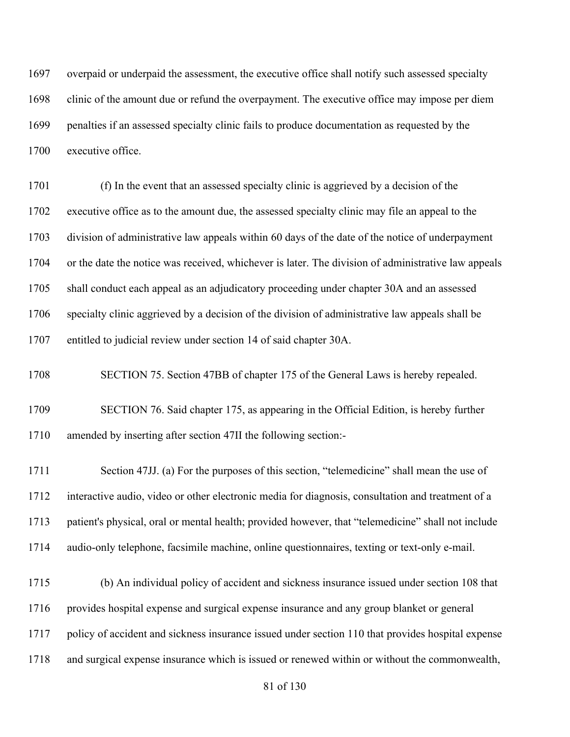overpaid or underpaid the assessment, the executive office shall notify such assessed specialty clinic of the amount due or refund the overpayment. The executive office may impose per diem penalties if an assessed specialty clinic fails to produce documentation as requested by the executive office.

 (f) In the event that an assessed specialty clinic is aggrieved by a decision of the executive office as to the amount due, the assessed specialty clinic may file an appeal to the division of administrative law appeals within 60 days of the date of the notice of underpayment or the date the notice was received, whichever is later. The division of administrative law appeals shall conduct each appeal as an adjudicatory proceeding under chapter 30A and an assessed specialty clinic aggrieved by a decision of the division of administrative law appeals shall be entitled to judicial review under section 14 of said chapter 30A.

SECTION 75. Section 47BB of chapter 175 of the General Laws is hereby repealed.

 SECTION 76. Said chapter 175, as appearing in the Official Edition, is hereby further amended by inserting after section 47II the following section:-

 Section 47JJ. (a) For the purposes of this section, "telemedicine" shall mean the use of interactive audio, video or other electronic media for diagnosis, consultation and treatment of a patient's physical, oral or mental health; provided however, that "telemedicine" shall not include audio-only telephone, facsimile machine, online questionnaires, texting or text-only e-mail.

 (b) An individual policy of accident and sickness insurance issued under section 108 that 1716 provides hospital expense and surgical expense insurance and any group blanket or general policy of accident and sickness insurance issued under section 110 that provides hospital expense and surgical expense insurance which is issued or renewed within or without the commonwealth,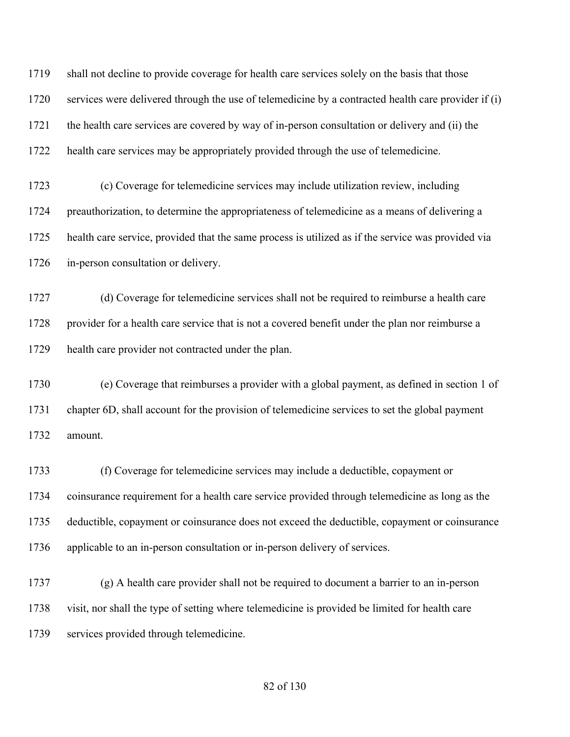shall not decline to provide coverage for health care services solely on the basis that those services were delivered through the use of telemedicine by a contracted health care provider if (i) the health care services are covered by way of in-person consultation or delivery and (ii) the health care services may be appropriately provided through the use of telemedicine.

 (c) Coverage for telemedicine services may include utilization review, including preauthorization, to determine the appropriateness of telemedicine as a means of delivering a health care service, provided that the same process is utilized as if the service was provided via in-person consultation or delivery.

 (d) Coverage for telemedicine services shall not be required to reimburse a health care 1728 provider for a health care service that is not a covered benefit under the plan nor reimburse a health care provider not contracted under the plan.

 (e) Coverage that reimburses a provider with a global payment, as defined in section 1 of chapter 6D, shall account for the provision of telemedicine services to set the global payment amount.

 (f) Coverage for telemedicine services may include a deductible, copayment or coinsurance requirement for a health care service provided through telemedicine as long as the deductible, copayment or coinsurance does not exceed the deductible, copayment or coinsurance applicable to an in-person consultation or in-person delivery of services.

 (g) A health care provider shall not be required to document a barrier to an in-person visit, nor shall the type of setting where telemedicine is provided be limited for health care services provided through telemedicine.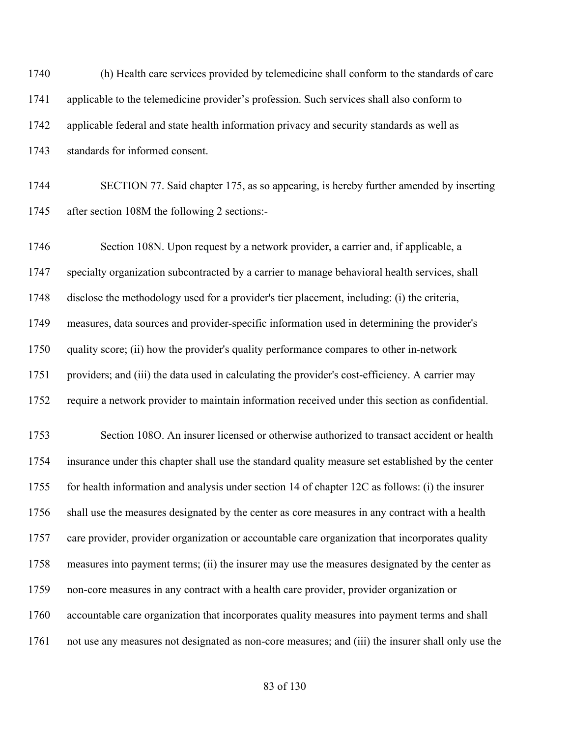| 1740 | (h) Health care services provided by telemedicine shall conform to the standards of care           |
|------|----------------------------------------------------------------------------------------------------|
| 1741 | applicable to the telemedicine provider's profession. Such services shall also conform to          |
| 1742 | applicable federal and state health information privacy and security standards as well as          |
| 1743 | standards for informed consent.                                                                    |
| 1744 | SECTION 77. Said chapter 175, as so appearing, is hereby further amended by inserting              |
| 1745 | after section 108M the following 2 sections:-                                                      |
| 1746 | Section 108N. Upon request by a network provider, a carrier and, if applicable, a                  |
| 1747 | specialty organization subcontracted by a carrier to manage behavioral health services, shall      |
| 1748 | disclose the methodology used for a provider's tier placement, including: (i) the criteria,        |
| 1749 | measures, data sources and provider-specific information used in determining the provider's        |
| 1750 | quality score; (ii) how the provider's quality performance compares to other in-network            |
| 1751 | providers; and (iii) the data used in calculating the provider's cost-efficiency. A carrier may    |
| 1752 | require a network provider to maintain information received under this section as confidential.    |
| 1753 | Section 108O. An insurer licensed or otherwise authorized to transact accident or health           |
| 1754 | insurance under this chapter shall use the standard quality measure set established by the center  |
| 1755 | for health information and analysis under section 14 of chapter 12C as follows: (i) the insurer    |
| 1756 | shall use the measures designated by the center as core measures in any contract with a health     |
| 1757 | care provider, provider organization or accountable care organization that incorporates quality    |
| 1758 | measures into payment terms; (ii) the insurer may use the measures designated by the center as     |
| 1759 | non-core measures in any contract with a health care provider, provider organization or            |
| 1760 | accountable care organization that incorporates quality measures into payment terms and shall      |
| 1761 | not use any measures not designated as non-core measures; and (iii) the insurer shall only use the |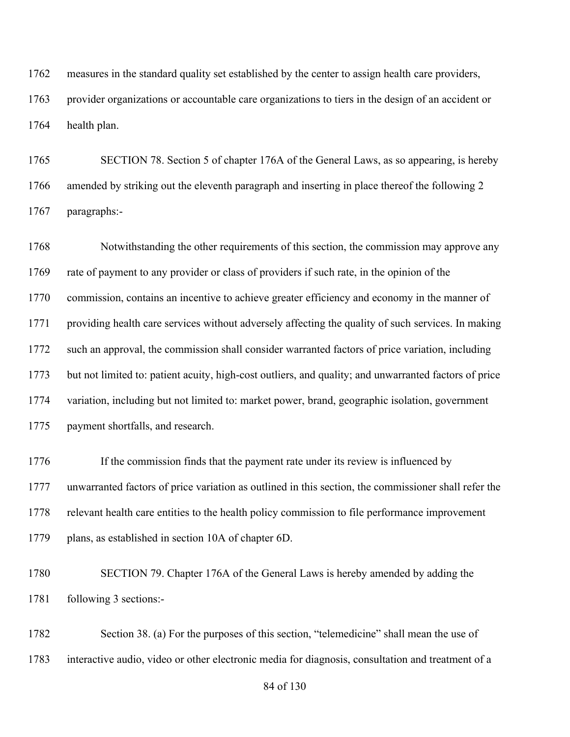measures in the standard quality set established by the center to assign health care providers,

 provider organizations or accountable care organizations to tiers in the design of an accident or health plan.

 SECTION 78. Section 5 of chapter 176A of the General Laws, as so appearing, is hereby amended by striking out the eleventh paragraph and inserting in place thereof the following 2 paragraphs:-

1768 Notwithstanding the other requirements of this section, the commission may approve any rate of payment to any provider or class of providers if such rate, in the opinion of the commission, contains an incentive to achieve greater efficiency and economy in the manner of providing health care services without adversely affecting the quality of such services. In making such an approval, the commission shall consider warranted factors of price variation, including but not limited to: patient acuity, high-cost outliers, and quality; and unwarranted factors of price variation, including but not limited to: market power, brand, geographic isolation, government payment shortfalls, and research.

1776 If the commission finds that the payment rate under its review is influenced by unwarranted factors of price variation as outlined in this section, the commissioner shall refer the relevant health care entities to the health policy commission to file performance improvement plans, as established in section 10A of chapter 6D.

 SECTION 79. Chapter 176A of the General Laws is hereby amended by adding the following 3 sections:-

 Section 38. (a) For the purposes of this section, "telemedicine" shall mean the use of interactive audio, video or other electronic media for diagnosis, consultation and treatment of a

of 130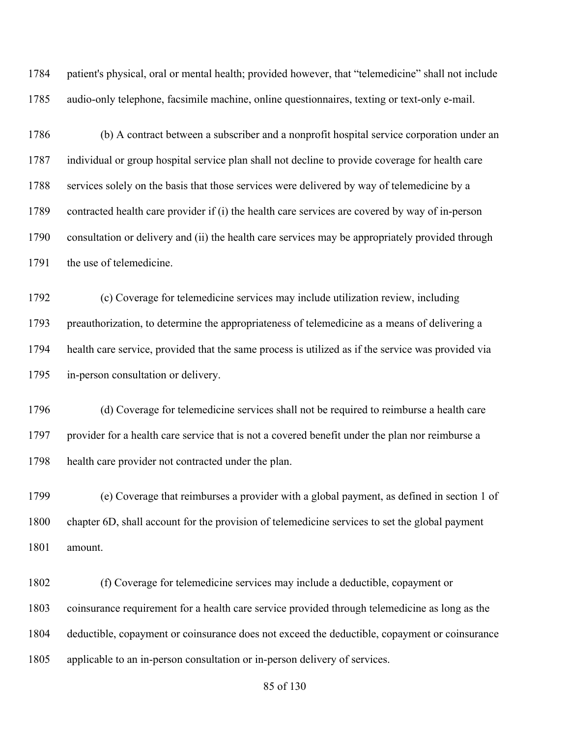patient's physical, oral or mental health; provided however, that "telemedicine" shall not include audio-only telephone, facsimile machine, online questionnaires, texting or text-only e-mail.

 (b) A contract between a subscriber and a nonprofit hospital service corporation under an individual or group hospital service plan shall not decline to provide coverage for health care 1788 services solely on the basis that those services were delivered by way of telemedicine by a contracted health care provider if (i) the health care services are covered by way of in-person consultation or delivery and (ii) the health care services may be appropriately provided through 1791 the use of telemedicine.

 (c) Coverage for telemedicine services may include utilization review, including preauthorization, to determine the appropriateness of telemedicine as a means of delivering a health care service, provided that the same process is utilized as if the service was provided via in-person consultation or delivery.

 (d) Coverage for telemedicine services shall not be required to reimburse a health care provider for a health care service that is not a covered benefit under the plan nor reimburse a health care provider not contracted under the plan.

 (e) Coverage that reimburses a provider with a global payment, as defined in section 1 of chapter 6D, shall account for the provision of telemedicine services to set the global payment amount.

 (f) Coverage for telemedicine services may include a deductible, copayment or coinsurance requirement for a health care service provided through telemedicine as long as the deductible, copayment or coinsurance does not exceed the deductible, copayment or coinsurance applicable to an in-person consultation or in-person delivery of services.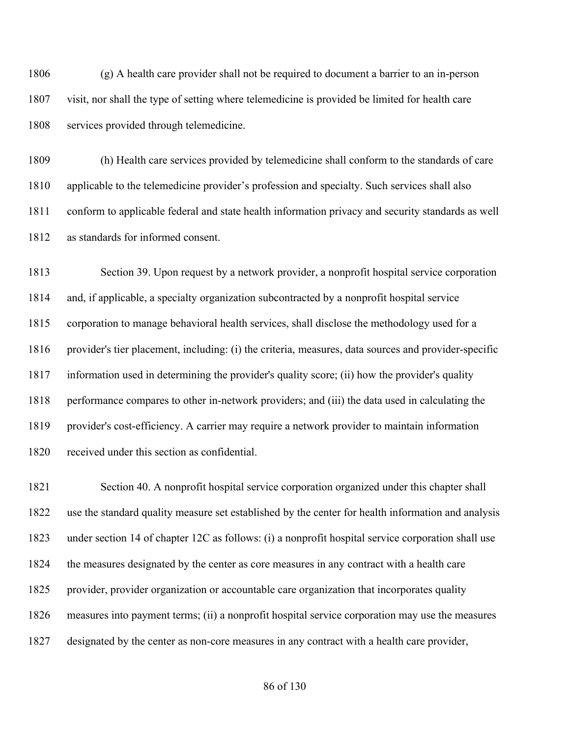(g) A health care provider shall not be required to document a barrier to an in-person visit, nor shall the type of setting where telemedicine is provided be limited for health care services provided through telemedicine.

 (h) Health care services provided by telemedicine shall conform to the standards of care applicable to the telemedicine provider's profession and specialty. Such services shall also conform to applicable federal and state health information privacy and security standards as well as standards for informed consent.

 Section 39. Upon request by a network provider, a nonprofit hospital service corporation and, if applicable, a specialty organization subcontracted by a nonprofit hospital service corporation to manage behavioral health services, shall disclose the methodology used for a provider's tier placement, including: (i) the criteria, measures, data sources and provider-specific information used in determining the provider's quality score; (ii) how the provider's quality performance compares to other in-network providers; and (iii) the data used in calculating the provider's cost-efficiency. A carrier may require a network provider to maintain information received under this section as confidential.

 Section 40. A nonprofit hospital service corporation organized under this chapter shall use the standard quality measure set established by the center for health information and analysis under section 14 of chapter 12C as follows: (i) a nonprofit hospital service corporation shall use the measures designated by the center as core measures in any contract with a health care provider, provider organization or accountable care organization that incorporates quality measures into payment terms; (ii) a nonprofit hospital service corporation may use the measures designated by the center as non-core measures in any contract with a health care provider,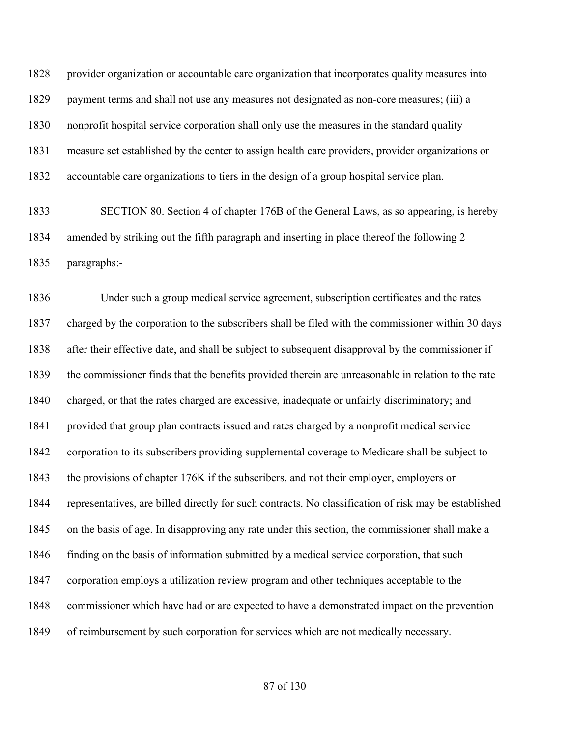provider organization or accountable care organization that incorporates quality measures into payment terms and shall not use any measures not designated as non-core measures; (iii) a nonprofit hospital service corporation shall only use the measures in the standard quality measure set established by the center to assign health care providers, provider organizations or accountable care organizations to tiers in the design of a group hospital service plan.

 SECTION 80. Section 4 of chapter 176B of the General Laws, as so appearing, is hereby amended by striking out the fifth paragraph and inserting in place thereof the following 2 paragraphs:-

 Under such a group medical service agreement, subscription certificates and the rates charged by the corporation to the subscribers shall be filed with the commissioner within 30 days after their effective date, and shall be subject to subsequent disapproval by the commissioner if the commissioner finds that the benefits provided therein are unreasonable in relation to the rate charged, or that the rates charged are excessive, inadequate or unfairly discriminatory; and provided that group plan contracts issued and rates charged by a nonprofit medical service corporation to its subscribers providing supplemental coverage to Medicare shall be subject to the provisions of chapter 176K if the subscribers, and not their employer, employers or representatives, are billed directly for such contracts. No classification of risk may be established on the basis of age. In disapproving any rate under this section, the commissioner shall make a finding on the basis of information submitted by a medical service corporation, that such corporation employs a utilization review program and other techniques acceptable to the commissioner which have had or are expected to have a demonstrated impact on the prevention of reimbursement by such corporation for services which are not medically necessary.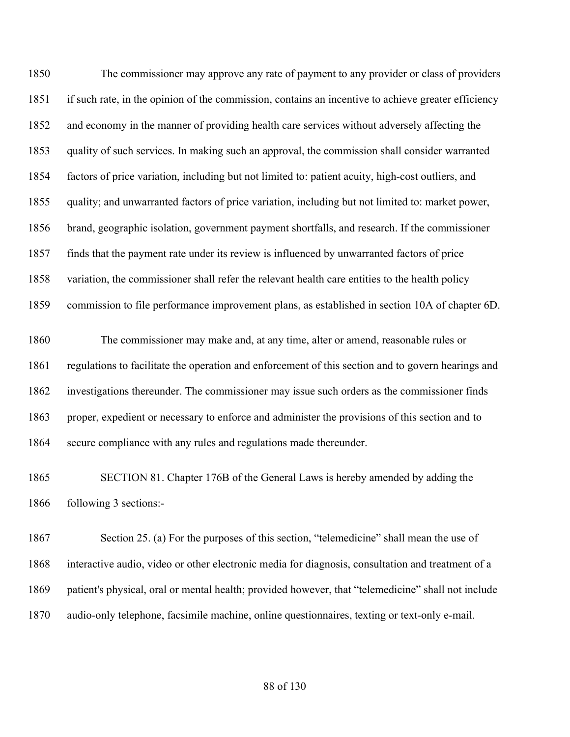The commissioner may approve any rate of payment to any provider or class of providers if such rate, in the opinion of the commission, contains an incentive to achieve greater efficiency and economy in the manner of providing health care services without adversely affecting the quality of such services. In making such an approval, the commission shall consider warranted factors of price variation, including but not limited to: patient acuity, high-cost outliers, and quality; and unwarranted factors of price variation, including but not limited to: market power, brand, geographic isolation, government payment shortfalls, and research. If the commissioner finds that the payment rate under its review is influenced by unwarranted factors of price variation, the commissioner shall refer the relevant health care entities to the health policy commission to file performance improvement plans, as established in section 10A of chapter 6D.

 The commissioner may make and, at any time, alter or amend, reasonable rules or regulations to facilitate the operation and enforcement of this section and to govern hearings and investigations thereunder. The commissioner may issue such orders as the commissioner finds proper, expedient or necessary to enforce and administer the provisions of this section and to secure compliance with any rules and regulations made thereunder.

 SECTION 81. Chapter 176B of the General Laws is hereby amended by adding the following 3 sections:-

 Section 25. (a) For the purposes of this section, "telemedicine" shall mean the use of interactive audio, video or other electronic media for diagnosis, consultation and treatment of a patient's physical, oral or mental health; provided however, that "telemedicine" shall not include audio-only telephone, facsimile machine, online questionnaires, texting or text-only e-mail.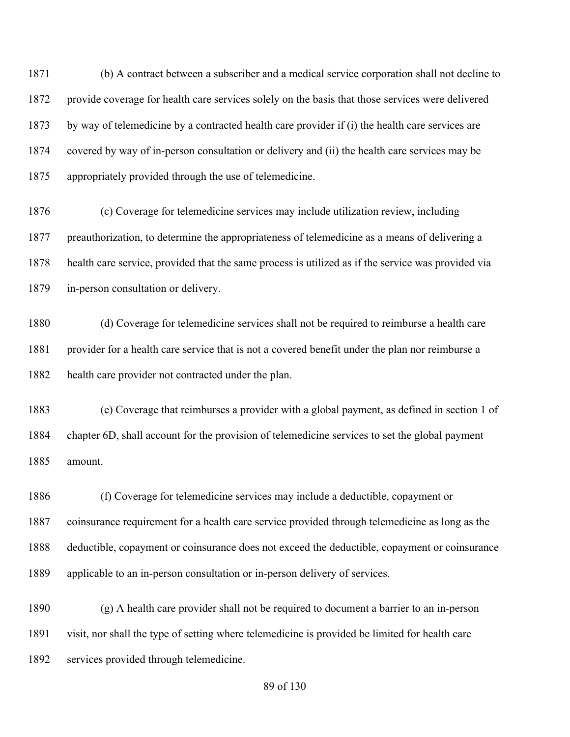(b) A contract between a subscriber and a medical service corporation shall not decline to provide coverage for health care services solely on the basis that those services were delivered by way of telemedicine by a contracted health care provider if (i) the health care services are covered by way of in-person consultation or delivery and (ii) the health care services may be appropriately provided through the use of telemedicine.

 (c) Coverage for telemedicine services may include utilization review, including preauthorization, to determine the appropriateness of telemedicine as a means of delivering a health care service, provided that the same process is utilized as if the service was provided via in-person consultation or delivery.

 (d) Coverage for telemedicine services shall not be required to reimburse a health care 1881 provider for a health care service that is not a covered benefit under the plan nor reimburse a health care provider not contracted under the plan.

 (e) Coverage that reimburses a provider with a global payment, as defined in section 1 of chapter 6D, shall account for the provision of telemedicine services to set the global payment amount.

 (f) Coverage for telemedicine services may include a deductible, copayment or coinsurance requirement for a health care service provided through telemedicine as long as the deductible, copayment or coinsurance does not exceed the deductible, copayment or coinsurance applicable to an in-person consultation or in-person delivery of services.

 (g) A health care provider shall not be required to document a barrier to an in-person visit, nor shall the type of setting where telemedicine is provided be limited for health care services provided through telemedicine.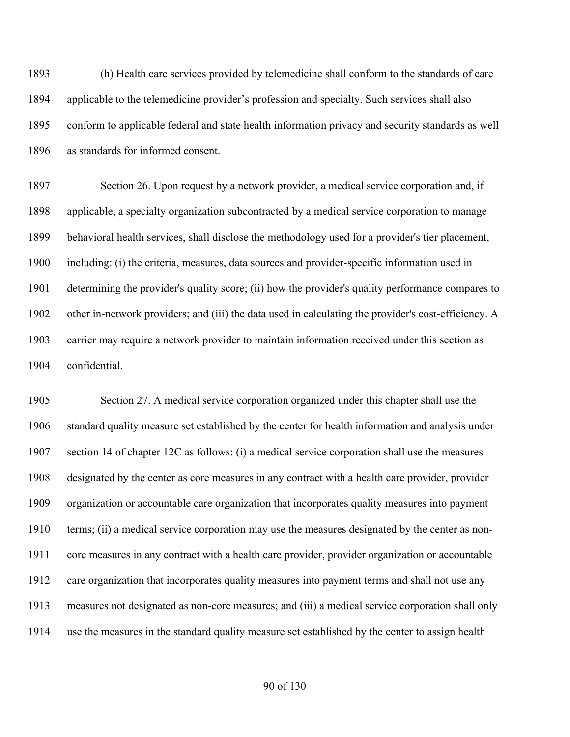(h) Health care services provided by telemedicine shall conform to the standards of care applicable to the telemedicine provider's profession and specialty. Such services shall also conform to applicable federal and state health information privacy and security standards as well as standards for informed consent.

 Section 26. Upon request by a network provider, a medical service corporation and, if applicable, a specialty organization subcontracted by a medical service corporation to manage behavioral health services, shall disclose the methodology used for a provider's tier placement, including: (i) the criteria, measures, data sources and provider-specific information used in determining the provider's quality score; (ii) how the provider's quality performance compares to other in-network providers; and (iii) the data used in calculating the provider's cost-efficiency. A carrier may require a network provider to maintain information received under this section as confidential.

 Section 27. A medical service corporation organized under this chapter shall use the standard quality measure set established by the center for health information and analysis under section 14 of chapter 12C as follows: (i) a medical service corporation shall use the measures designated by the center as core measures in any contract with a health care provider, provider organization or accountable care organization that incorporates quality measures into payment terms; (ii) a medical service corporation may use the measures designated by the center as non- core measures in any contract with a health care provider, provider organization or accountable care organization that incorporates quality measures into payment terms and shall not use any measures not designated as non-core measures; and (iii) a medical service corporation shall only use the measures in the standard quality measure set established by the center to assign health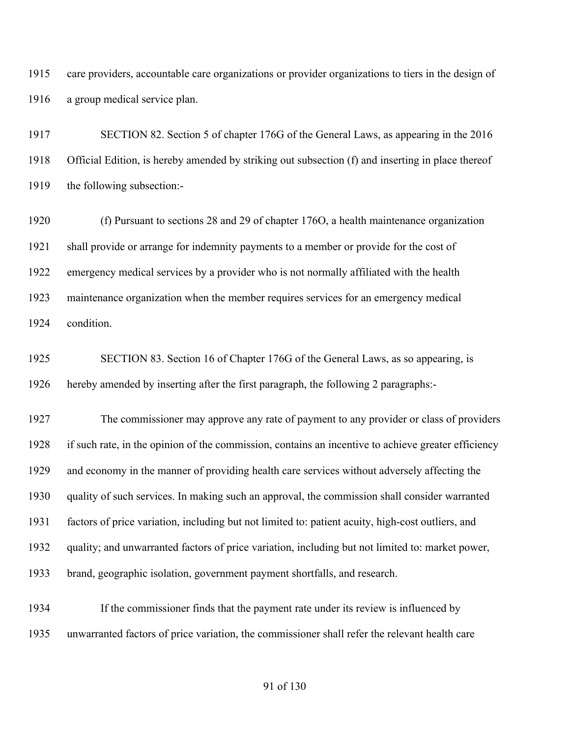care providers, accountable care organizations or provider organizations to tiers in the design of a group medical service plan.

 SECTION 82. Section 5 of chapter 176G of the General Laws, as appearing in the 2016 Official Edition, is hereby amended by striking out subsection (f) and inserting in place thereof the following subsection:-

 (f) Pursuant to sections 28 and 29 of chapter 176O, a health maintenance organization shall provide or arrange for indemnity payments to a member or provide for the cost of emergency medical services by a provider who is not normally affiliated with the health maintenance organization when the member requires services for an emergency medical condition.

 SECTION 83. Section 16 of Chapter 176G of the General Laws, as so appearing, is hereby amended by inserting after the first paragraph, the following 2 paragraphs:-

 The commissioner may approve any rate of payment to any provider or class of providers if such rate, in the opinion of the commission, contains an incentive to achieve greater efficiency and economy in the manner of providing health care services without adversely affecting the quality of such services. In making such an approval, the commission shall consider warranted factors of price variation, including but not limited to: patient acuity, high-cost outliers, and quality; and unwarranted factors of price variation, including but not limited to: market power, brand, geographic isolation, government payment shortfalls, and research.

 If the commissioner finds that the payment rate under its review is influenced by unwarranted factors of price variation, the commissioner shall refer the relevant health care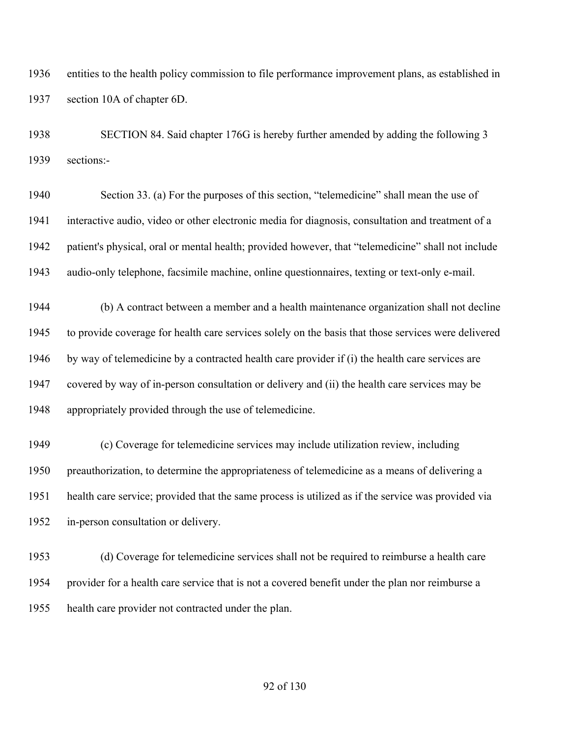entities to the health policy commission to file performance improvement plans, as established in section 10A of chapter 6D.

 SECTION 84. Said chapter 176G is hereby further amended by adding the following 3 sections:-

 Section 33. (a) For the purposes of this section, "telemedicine" shall mean the use of interactive audio, video or other electronic media for diagnosis, consultation and treatment of a patient's physical, oral or mental health; provided however, that "telemedicine" shall not include audio-only telephone, facsimile machine, online questionnaires, texting or text-only e-mail.

 (b) A contract between a member and a health maintenance organization shall not decline to provide coverage for health care services solely on the basis that those services were delivered by way of telemedicine by a contracted health care provider if (i) the health care services are covered by way of in-person consultation or delivery and (ii) the health care services may be appropriately provided through the use of telemedicine.

 (c) Coverage for telemedicine services may include utilization review, including preauthorization, to determine the appropriateness of telemedicine as a means of delivering a health care service; provided that the same process is utilized as if the service was provided via in-person consultation or delivery.

 (d) Coverage for telemedicine services shall not be required to reimburse a health care provider for a health care service that is not a covered benefit under the plan nor reimburse a health care provider not contracted under the plan.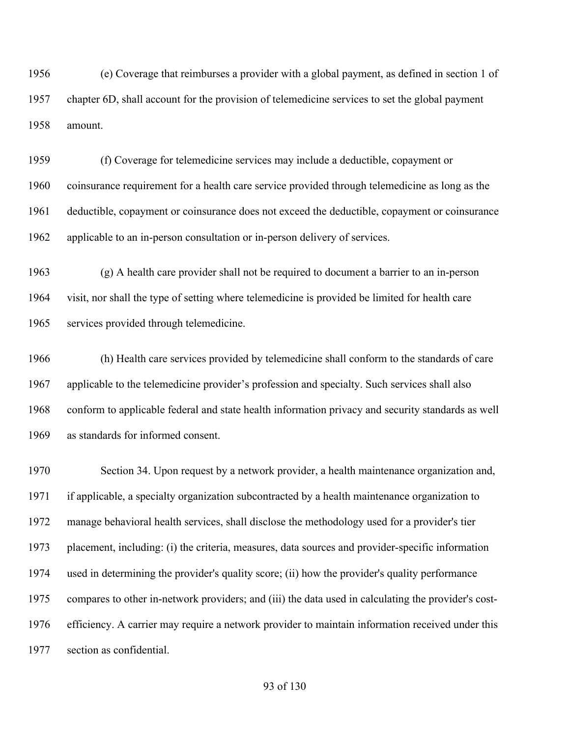(e) Coverage that reimburses a provider with a global payment, as defined in section 1 of chapter 6D, shall account for the provision of telemedicine services to set the global payment amount.

 (f) Coverage for telemedicine services may include a deductible, copayment or coinsurance requirement for a health care service provided through telemedicine as long as the deductible, copayment or coinsurance does not exceed the deductible, copayment or coinsurance applicable to an in-person consultation or in-person delivery of services.

 (g) A health care provider shall not be required to document a barrier to an in-person visit, nor shall the type of setting where telemedicine is provided be limited for health care services provided through telemedicine.

 (h) Health care services provided by telemedicine shall conform to the standards of care applicable to the telemedicine provider's profession and specialty. Such services shall also conform to applicable federal and state health information privacy and security standards as well as standards for informed consent.

 Section 34. Upon request by a network provider, a health maintenance organization and, if applicable, a specialty organization subcontracted by a health maintenance organization to manage behavioral health services, shall disclose the methodology used for a provider's tier placement, including: (i) the criteria, measures, data sources and provider-specific information used in determining the provider's quality score; (ii) how the provider's quality performance compares to other in-network providers; and (iii) the data used in calculating the provider's cost- efficiency. A carrier may require a network provider to maintain information received under this section as confidential.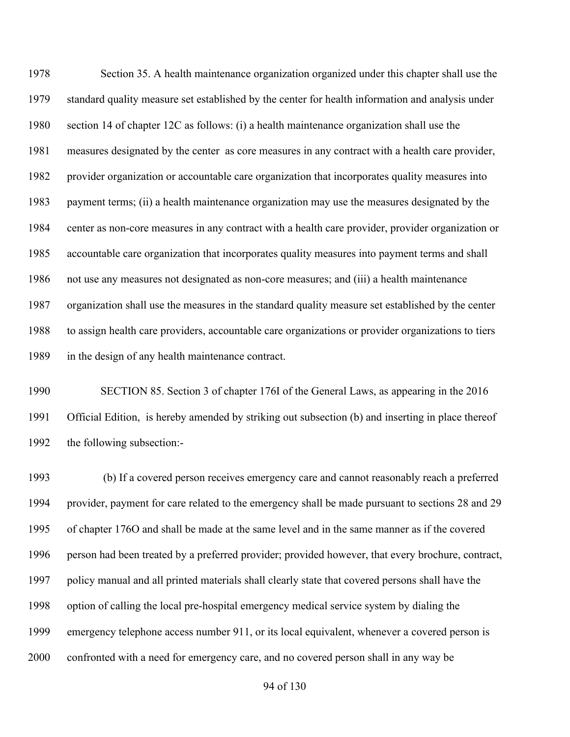Section 35. A health maintenance organization organized under this chapter shall use the standard quality measure set established by the center for health information and analysis under section 14 of chapter 12C as follows: (i) a health maintenance organization shall use the measures designated by the center as core measures in any contract with a health care provider, provider organization or accountable care organization that incorporates quality measures into payment terms; (ii) a health maintenance organization may use the measures designated by the center as non-core measures in any contract with a health care provider, provider organization or accountable care organization that incorporates quality measures into payment terms and shall not use any measures not designated as non-core measures; and (iii) a health maintenance organization shall use the measures in the standard quality measure set established by the center to assign health care providers, accountable care organizations or provider organizations to tiers in the design of any health maintenance contract.

 SECTION 85. Section 3 of chapter 176I of the General Laws, as appearing in the 2016 Official Edition, is hereby amended by striking out subsection (b) and inserting in place thereof the following subsection:-

 (b) If a covered person receives emergency care and cannot reasonably reach a preferred provider, payment for care related to the emergency shall be made pursuant to sections 28 and 29 of chapter 176O and shall be made at the same level and in the same manner as if the covered person had been treated by a preferred provider; provided however, that every brochure, contract, policy manual and all printed materials shall clearly state that covered persons shall have the option of calling the local pre-hospital emergency medical service system by dialing the emergency telephone access number 911, or its local equivalent, whenever a covered person is confronted with a need for emergency care, and no covered person shall in any way be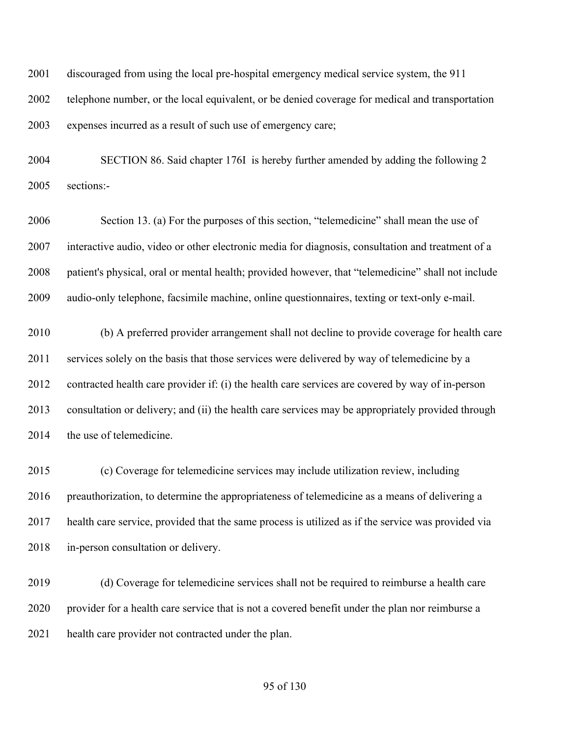discouraged from using the local pre-hospital emergency medical service system, the 911 telephone number, or the local equivalent, or be denied coverage for medical and transportation expenses incurred as a result of such use of emergency care;

 SECTION 86. Said chapter 176I is hereby further amended by adding the following 2 sections:-

 Section 13. (a) For the purposes of this section, "telemedicine" shall mean the use of interactive audio, video or other electronic media for diagnosis, consultation and treatment of a patient's physical, oral or mental health; provided however, that "telemedicine" shall not include audio-only telephone, facsimile machine, online questionnaires, texting or text-only e-mail.

 (b) A preferred provider arrangement shall not decline to provide coverage for health care services solely on the basis that those services were delivered by way of telemedicine by a contracted health care provider if: (i) the health care services are covered by way of in-person consultation or delivery; and (ii) the health care services may be appropriately provided through 2014 the use of telemedicine.

 (c) Coverage for telemedicine services may include utilization review, including preauthorization, to determine the appropriateness of telemedicine as a means of delivering a health care service, provided that the same process is utilized as if the service was provided via in-person consultation or delivery.

 (d) Coverage for telemedicine services shall not be required to reimburse a health care provider for a health care service that is not a covered benefit under the plan nor reimburse a health care provider not contracted under the plan.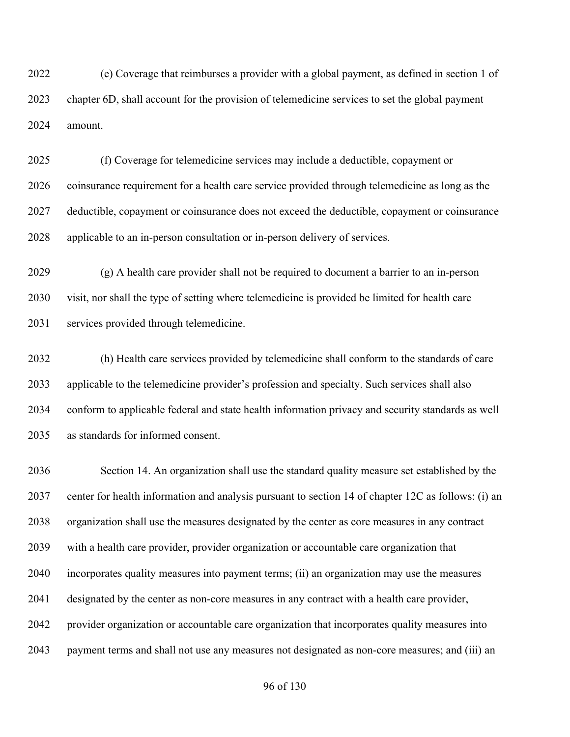(e) Coverage that reimburses a provider with a global payment, as defined in section 1 of chapter 6D, shall account for the provision of telemedicine services to set the global payment amount.

 (f) Coverage for telemedicine services may include a deductible, copayment or coinsurance requirement for a health care service provided through telemedicine as long as the deductible, copayment or coinsurance does not exceed the deductible, copayment or coinsurance applicable to an in-person consultation or in-person delivery of services.

 (g) A health care provider shall not be required to document a barrier to an in-person visit, nor shall the type of setting where telemedicine is provided be limited for health care services provided through telemedicine.

 (h) Health care services provided by telemedicine shall conform to the standards of care applicable to the telemedicine provider's profession and specialty. Such services shall also conform to applicable federal and state health information privacy and security standards as well as standards for informed consent.

 Section 14. An organization shall use the standard quality measure set established by the center for health information and analysis pursuant to section 14 of chapter 12C as follows: (i) an organization shall use the measures designated by the center as core measures in any contract with a health care provider, provider organization or accountable care organization that incorporates quality measures into payment terms; (ii) an organization may use the measures designated by the center as non-core measures in any contract with a health care provider, provider organization or accountable care organization that incorporates quality measures into payment terms and shall not use any measures not designated as non-core measures; and (iii) an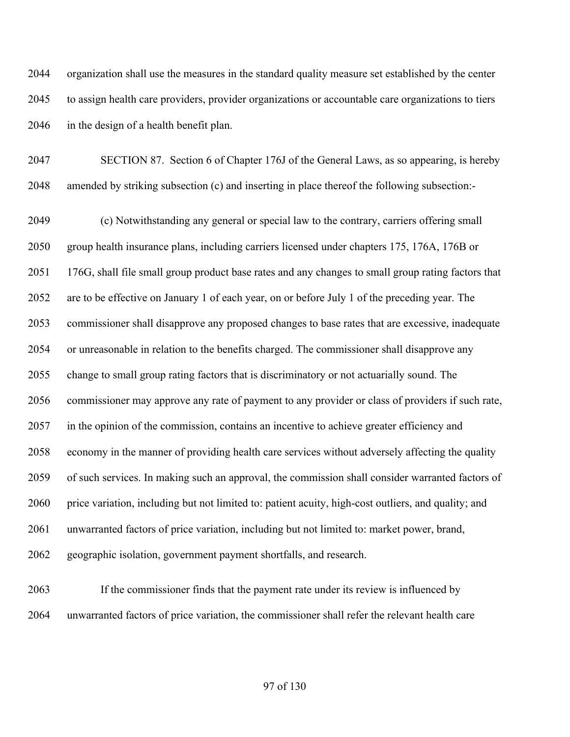organization shall use the measures in the standard quality measure set established by the center to assign health care providers, provider organizations or accountable care organizations to tiers in the design of a health benefit plan.

 SECTION 87. Section 6 of Chapter 176J of the General Laws, as so appearing, is hereby amended by striking subsection (c) and inserting in place thereof the following subsection:-

 (c) Notwithstanding any general or special law to the contrary, carriers offering small group health insurance plans, including carriers licensed under chapters 175, 176A, 176B or 176G, shall file small group product base rates and any changes to small group rating factors that are to be effective on January 1 of each year, on or before July 1 of the preceding year. The commissioner shall disapprove any proposed changes to base rates that are excessive, inadequate or unreasonable in relation to the benefits charged. The commissioner shall disapprove any change to small group rating factors that is discriminatory or not actuarially sound. The commissioner may approve any rate of payment to any provider or class of providers if such rate, in the opinion of the commission, contains an incentive to achieve greater efficiency and economy in the manner of providing health care services without adversely affecting the quality of such services. In making such an approval, the commission shall consider warranted factors of price variation, including but not limited to: patient acuity, high-cost outliers, and quality; and unwarranted factors of price variation, including but not limited to: market power, brand, geographic isolation, government payment shortfalls, and research.

 If the commissioner finds that the payment rate under its review is influenced by unwarranted factors of price variation, the commissioner shall refer the relevant health care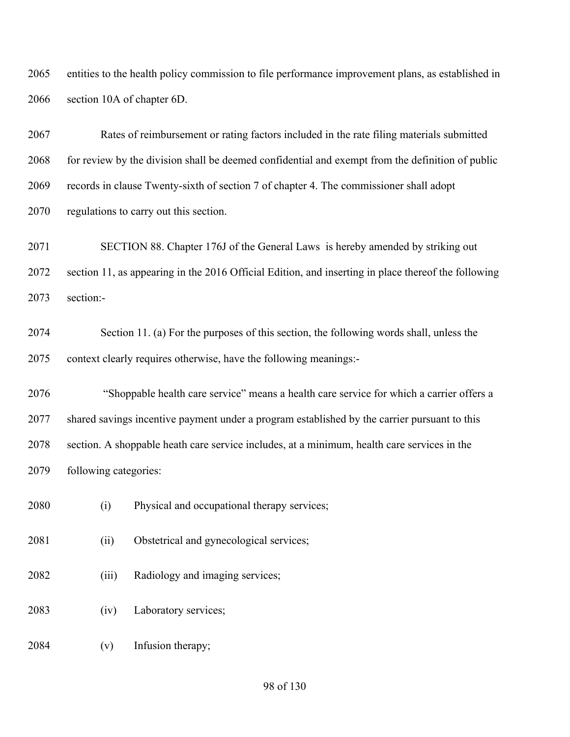entities to the health policy commission to file performance improvement plans, as established in section 10A of chapter 6D.

 Rates of reimbursement or rating factors included in the rate filing materials submitted for review by the division shall be deemed confidential and exempt from the definition of public records in clause Twenty-sixth of section 7 of chapter 4. The commissioner shall adopt regulations to carry out this section.

 SECTION 88. Chapter 176J of the General Laws is hereby amended by striking out section 11, as appearing in the 2016 Official Edition, and inserting in place thereof the following section:-

 Section 11. (a) For the purposes of this section, the following words shall, unless the context clearly requires otherwise, have the following meanings:-

 "Shoppable health care service" means a health care service for which a carrier offers a shared savings incentive payment under a program established by the carrier pursuant to this section. A shoppable heath care service includes, at a minimum, health care services in the following categories:

- (i) Physical and occupational therapy services;
- (ii) Obstetrical and gynecological services;
- (iii) Radiology and imaging services;
- (iv) Laboratory services;
- (v) Infusion therapy;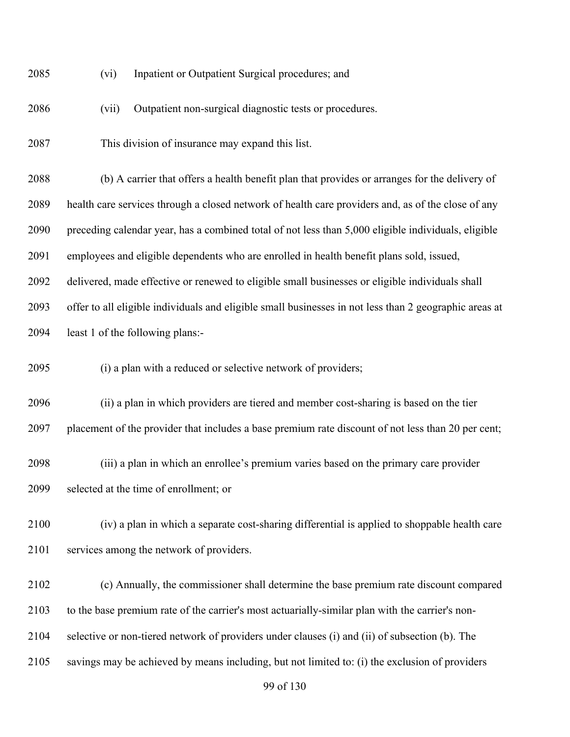| 2085<br>Inpatient or Outpatient Surgical procedures; and<br>(V1) |
|------------------------------------------------------------------|
|------------------------------------------------------------------|

(vii) Outpatient non-surgical diagnostic tests or procedures.

This division of insurance may expand this list.

 (b) A carrier that offers a health benefit plan that provides or arranges for the delivery of health care services through a closed network of health care providers and, as of the close of any preceding calendar year, has a combined total of not less than 5,000 eligible individuals, eligible employees and eligible dependents who are enrolled in health benefit plans sold, issued, delivered, made effective or renewed to eligible small businesses or eligible individuals shall offer to all eligible individuals and eligible small businesses in not less than 2 geographic areas at least 1 of the following plans:-

(i) a plan with a reduced or selective network of providers;

 (ii) a plan in which providers are tiered and member cost-sharing is based on the tier placement of the provider that includes a base premium rate discount of not less than 20 per cent;

 (iii) a plan in which an enrollee's premium varies based on the primary care provider selected at the time of enrollment; or

 (iv) a plan in which a separate cost-sharing differential is applied to shoppable health care services among the network of providers.

(c) Annually, the commissioner shall determine the base premium rate discount compared

to the base premium rate of the carrier's most actuarially-similar plan with the carrier's non-

selective or non-tiered network of providers under clauses (i) and (ii) of subsection (b). The

savings may be achieved by means including, but not limited to: (i) the exclusion of providers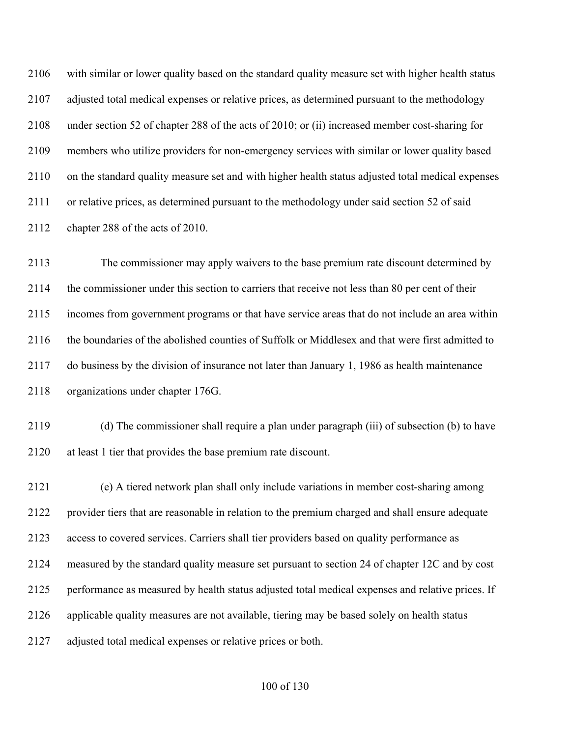with similar or lower quality based on the standard quality measure set with higher health status adjusted total medical expenses or relative prices, as determined pursuant to the methodology under section 52 of chapter 288 of the acts of 2010; or (ii) increased member cost-sharing for members who utilize providers for non-emergency services with similar or lower quality based on the standard quality measure set and with higher health status adjusted total medical expenses or relative prices, as determined pursuant to the methodology under said section 52 of said chapter 288 of the acts of 2010.

 The commissioner may apply waivers to the base premium rate discount determined by the commissioner under this section to carriers that receive not less than 80 per cent of their incomes from government programs or that have service areas that do not include an area within the boundaries of the abolished counties of Suffolk or Middlesex and that were first admitted to do business by the division of insurance not later than January 1, 1986 as health maintenance organizations under chapter 176G.

 (d) The commissioner shall require a plan under paragraph (iii) of subsection (b) to have at least 1 tier that provides the base premium rate discount.

 (e) A tiered network plan shall only include variations in member cost-sharing among provider tiers that are reasonable in relation to the premium charged and shall ensure adequate access to covered services. Carriers shall tier providers based on quality performance as measured by the standard quality measure set pursuant to section 24 of chapter 12C and by cost performance as measured by health status adjusted total medical expenses and relative prices. If applicable quality measures are not available, tiering may be based solely on health status adjusted total medical expenses or relative prices or both.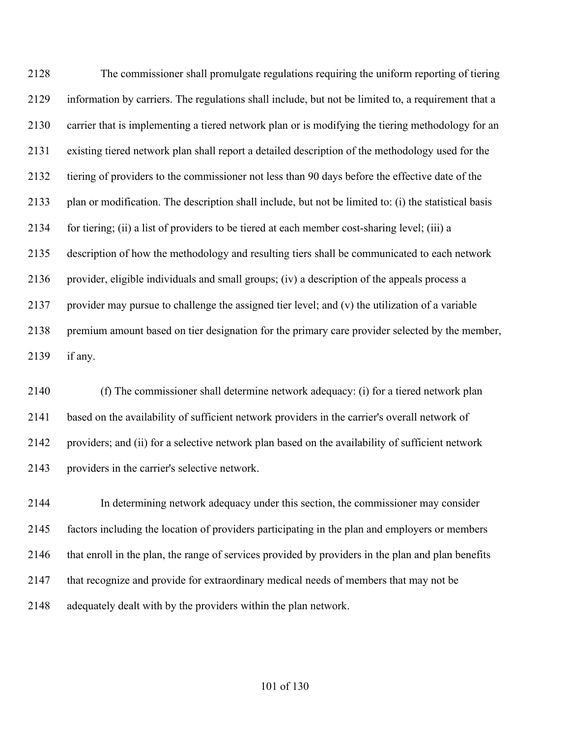The commissioner shall promulgate regulations requiring the uniform reporting of tiering information by carriers. The regulations shall include, but not be limited to, a requirement that a carrier that is implementing a tiered network plan or is modifying the tiering methodology for an existing tiered network plan shall report a detailed description of the methodology used for the tiering of providers to the commissioner not less than 90 days before the effective date of the plan or modification. The description shall include, but not be limited to: (i) the statistical basis for tiering; (ii) a list of providers to be tiered at each member cost-sharing level; (iii) a description of how the methodology and resulting tiers shall be communicated to each network provider, eligible individuals and small groups; (iv) a description of the appeals process a provider may pursue to challenge the assigned tier level; and (v) the utilization of a variable premium amount based on tier designation for the primary care provider selected by the member, if any.

 (f) The commissioner shall determine network adequacy: (i) for a tiered network plan based on the availability of sufficient network providers in the carrier's overall network of providers; and (ii) for a selective network plan based on the availability of sufficient network providers in the carrier's selective network.

 In determining network adequacy under this section, the commissioner may consider factors including the location of providers participating in the plan and employers or members that enroll in the plan, the range of services provided by providers in the plan and plan benefits that recognize and provide for extraordinary medical needs of members that may not be adequately dealt with by the providers within the plan network.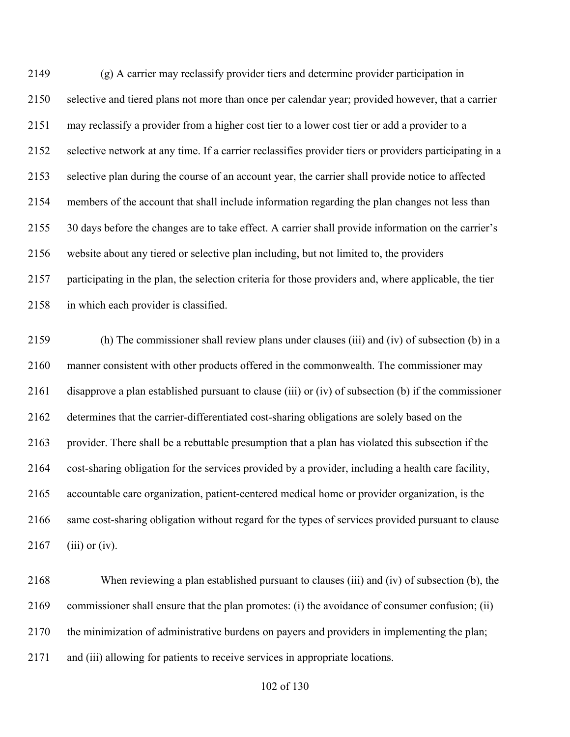(g) A carrier may reclassify provider tiers and determine provider participation in selective and tiered plans not more than once per calendar year; provided however, that a carrier may reclassify a provider from a higher cost tier to a lower cost tier or add a provider to a selective network at any time. If a carrier reclassifies provider tiers or providers participating in a selective plan during the course of an account year, the carrier shall provide notice to affected members of the account that shall include information regarding the plan changes not less than 30 days before the changes are to take effect. A carrier shall provide information on the carrier's website about any tiered or selective plan including, but not limited to, the providers participating in the plan, the selection criteria for those providers and, where applicable, the tier in which each provider is classified.

 (h) The commissioner shall review plans under clauses (iii) and (iv) of subsection (b) in a manner consistent with other products offered in the commonwealth. The commissioner may disapprove a plan established pursuant to clause (iii) or (iv) of subsection (b) if the commissioner determines that the carrier-differentiated cost-sharing obligations are solely based on the provider. There shall be a rebuttable presumption that a plan has violated this subsection if the cost-sharing obligation for the services provided by a provider, including a health care facility, accountable care organization, patient-centered medical home or provider organization, is the same cost-sharing obligation without regard for the types of services provided pursuant to clause 2167 (iii) or (iv).

 When reviewing a plan established pursuant to clauses (iii) and (iv) of subsection (b), the commissioner shall ensure that the plan promotes: (i) the avoidance of consumer confusion; (ii) the minimization of administrative burdens on payers and providers in implementing the plan; and (iii) allowing for patients to receive services in appropriate locations.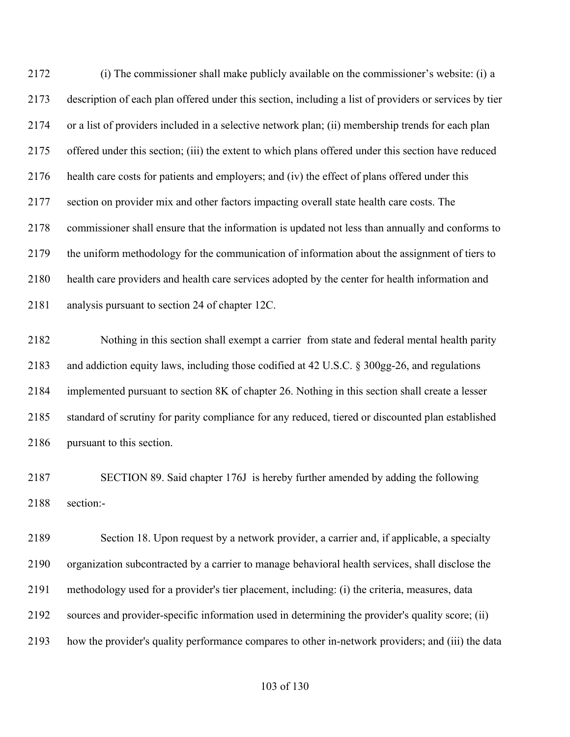(i) The commissioner shall make publicly available on the commissioner's website: (i) a description of each plan offered under this section, including a list of providers or services by tier or a list of providers included in a selective network plan; (ii) membership trends for each plan offered under this section; (iii) the extent to which plans offered under this section have reduced health care costs for patients and employers; and (iv) the effect of plans offered under this section on provider mix and other factors impacting overall state health care costs. The commissioner shall ensure that the information is updated not less than annually and conforms to the uniform methodology for the communication of information about the assignment of tiers to health care providers and health care services adopted by the center for health information and analysis pursuant to section 24 of chapter 12C.

 Nothing in this section shall exempt a carrier from state and federal mental health parity and addiction equity laws, including those codified at 42 U.S.C. § 300gg-26, and regulations implemented pursuant to section 8K of chapter 26. Nothing in this section shall create a lesser standard of scrutiny for parity compliance for any reduced, tiered or discounted plan established pursuant to this section.

 SECTION 89. Said chapter 176J is hereby further amended by adding the following section:-

 Section 18. Upon request by a network provider, a carrier and, if applicable, a specialty organization subcontracted by a carrier to manage behavioral health services, shall disclose the methodology used for a provider's tier placement, including: (i) the criteria, measures, data sources and provider-specific information used in determining the provider's quality score; (ii) how the provider's quality performance compares to other in-network providers; and (iii) the data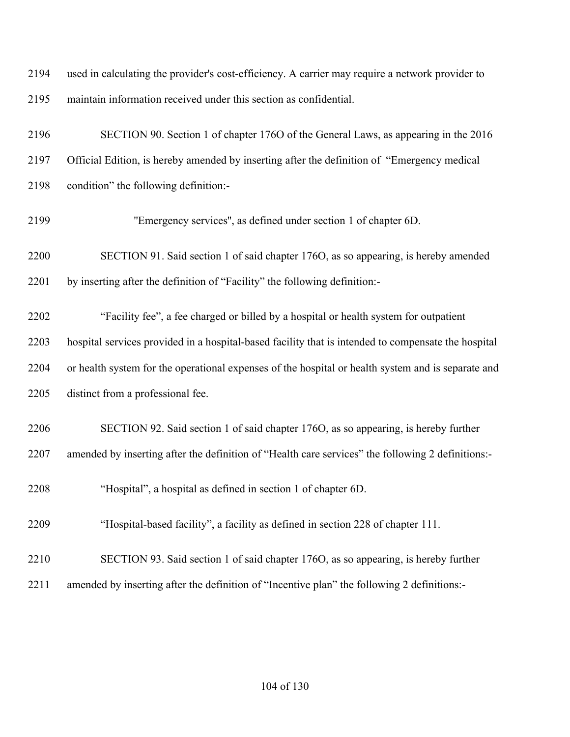| 2194 | used in calculating the provider's cost-efficiency. A carrier may require a network provider to     |
|------|-----------------------------------------------------------------------------------------------------|
| 2195 | maintain information received under this section as confidential.                                   |
| 2196 | SECTION 90. Section 1 of chapter 1760 of the General Laws, as appearing in the 2016                 |
| 2197 | Official Edition, is hereby amended by inserting after the definition of "Emergency medical         |
| 2198 | condition" the following definition:-                                                               |
| 2199 | "Emergency services", as defined under section 1 of chapter 6D.                                     |
| 2200 | SECTION 91. Said section 1 of said chapter 176O, as so appearing, is hereby amended                 |
| 2201 | by inserting after the definition of "Facility" the following definition:-                          |
| 2202 | "Facility fee", a fee charged or billed by a hospital or health system for outpatient               |
| 2203 | hospital services provided in a hospital-based facility that is intended to compensate the hospital |
| 2204 | or health system for the operational expenses of the hospital or health system and is separate and  |
| 2205 | distinct from a professional fee.                                                                   |
| 2206 | SECTION 92. Said section 1 of said chapter 1760, as so appearing, is hereby further                 |
| 2207 | amended by inserting after the definition of "Health care services" the following 2 definitions:-   |
| 2208 | "Hospital", a hospital as defined in section 1 of chapter 6D.                                       |
| 2209 | "Hospital-based facility", a facility as defined in section 228 of chapter 111.                     |
| 2210 | SECTION 93. Said section 1 of said chapter 1760, as so appearing, is hereby further                 |
| 2211 | amended by inserting after the definition of "Incentive plan" the following 2 definitions:-         |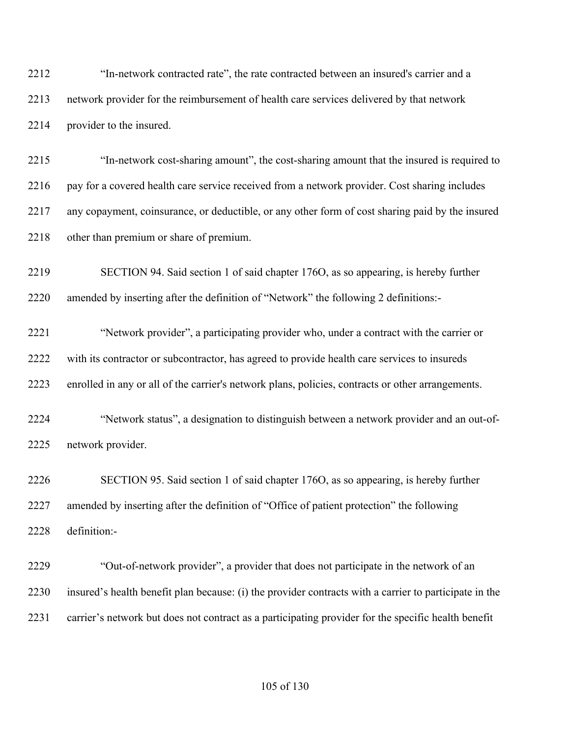"In-network contracted rate", the rate contracted between an insured's carrier and a network provider for the reimbursement of health care services delivered by that network provider to the insured.

 "In-network cost-sharing amount", the cost-sharing amount that the insured is required to 2216 pay for a covered health care service received from a network provider. Cost sharing includes any copayment, coinsurance, or deductible, or any other form of cost sharing paid by the insured other than premium or share of premium.

 SECTION 94. Said section 1 of said chapter 176O, as so appearing, is hereby further amended by inserting after the definition of "Network" the following 2 definitions:-

 "Network provider", a participating provider who, under a contract with the carrier or with its contractor or subcontractor, has agreed to provide health care services to insureds enrolled in any or all of the carrier's network plans, policies, contracts or other arrangements.

 "Network status", a designation to distinguish between a network provider and an out-of-network provider.

 SECTION 95. Said section 1 of said chapter 176O, as so appearing, is hereby further amended by inserting after the definition of "Office of patient protection" the following definition:-

 "Out-of-network provider", a provider that does not participate in the network of an insured's health benefit plan because: (i) the provider contracts with a carrier to participate in the carrier's network but does not contract as a participating provider for the specific health benefit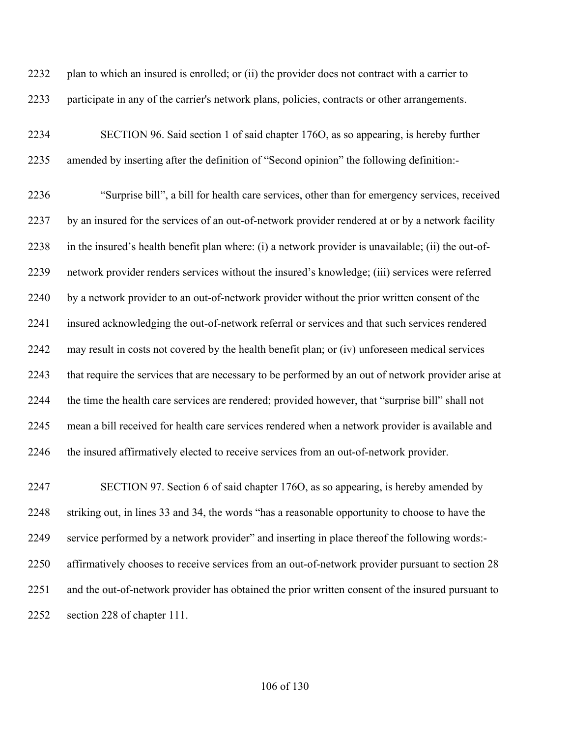plan to which an insured is enrolled; or (ii) the provider does not contract with a carrier to participate in any of the carrier's network plans, policies, contracts or other arrangements.

 SECTION 96. Said section 1 of said chapter 176O, as so appearing, is hereby further amended by inserting after the definition of "Second opinion" the following definition:-

 "Surprise bill", a bill for health care services, other than for emergency services, received by an insured for the services of an out-of-network provider rendered at or by a network facility in the insured's health benefit plan where: (i) a network provider is unavailable; (ii) the out-of- network provider renders services without the insured's knowledge; (iii) services were referred by a network provider to an out-of-network provider without the prior written consent of the insured acknowledging the out-of-network referral or services and that such services rendered may result in costs not covered by the health benefit plan; or (iv) unforeseen medical services that require the services that are necessary to be performed by an out of network provider arise at the time the health care services are rendered; provided however, that "surprise bill" shall not mean a bill received for health care services rendered when a network provider is available and the insured affirmatively elected to receive services from an out-of-network provider.

 SECTION 97. Section 6 of said chapter 176O, as so appearing, is hereby amended by striking out, in lines 33 and 34, the words "has a reasonable opportunity to choose to have the service performed by a network provider" and inserting in place thereof the following words:- affirmatively chooses to receive services from an out-of-network provider pursuant to section 28 and the out-of-network provider has obtained the prior written consent of the insured pursuant to section 228 of chapter 111.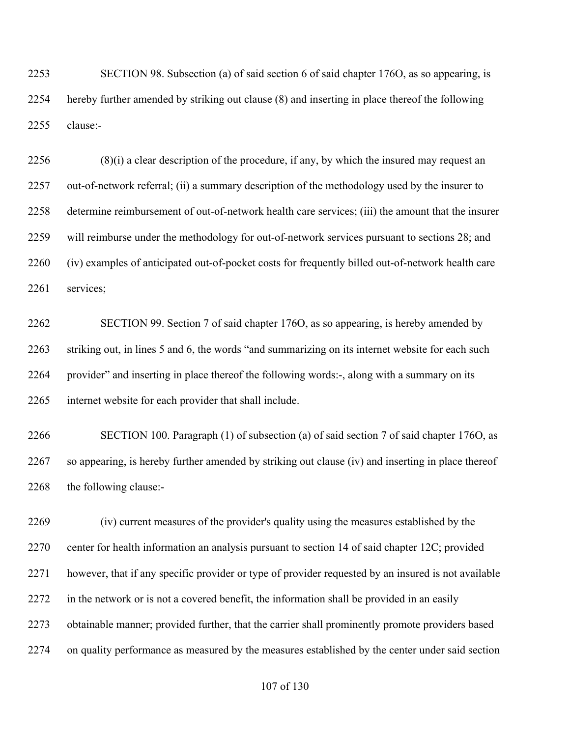SECTION 98. Subsection (a) of said section 6 of said chapter 176O, as so appearing, is hereby further amended by striking out clause (8) and inserting in place thereof the following clause:-

 (8)(i) a clear description of the procedure, if any, by which the insured may request an out-of-network referral; (ii) a summary description of the methodology used by the insurer to determine reimbursement of out-of-network health care services; (iii) the amount that the insurer will reimburse under the methodology for out-of-network services pursuant to sections 28; and (iv) examples of anticipated out-of-pocket costs for frequently billed out-of-network health care services;

 SECTION 99. Section 7 of said chapter 176O, as so appearing, is hereby amended by striking out, in lines 5 and 6, the words "and summarizing on its internet website for each such provider" and inserting in place thereof the following words:-, along with a summary on its internet website for each provider that shall include.

 SECTION 100. Paragraph (1) of subsection (a) of said section 7 of said chapter 176O, as so appearing, is hereby further amended by striking out clause (iv) and inserting in place thereof the following clause:-

 (iv) current measures of the provider's quality using the measures established by the center for health information an analysis pursuant to section 14 of said chapter 12C; provided however, that if any specific provider or type of provider requested by an insured is not available in the network or is not a covered benefit, the information shall be provided in an easily obtainable manner; provided further, that the carrier shall prominently promote providers based on quality performance as measured by the measures established by the center under said section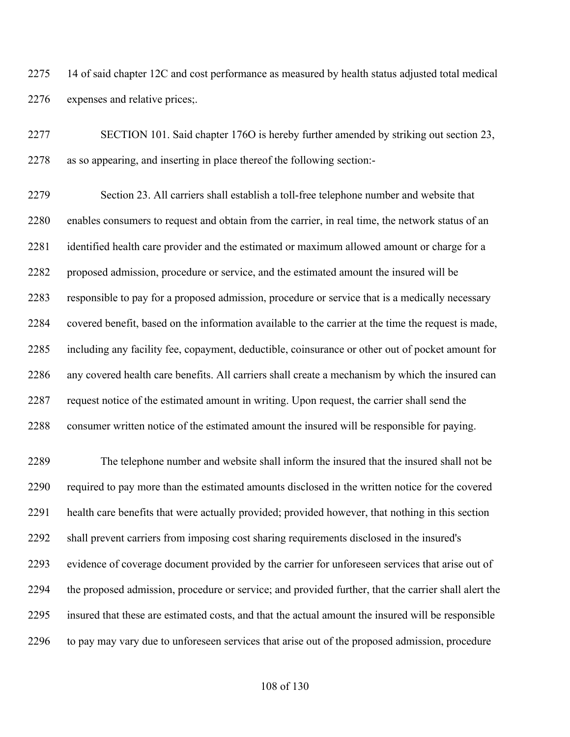14 of said chapter 12C and cost performance as measured by health status adjusted total medical expenses and relative prices;.

 SECTION 101. Said chapter 176O is hereby further amended by striking out section 23, as so appearing, and inserting in place thereof the following section:-

 Section 23. All carriers shall establish a toll-free telephone number and website that enables consumers to request and obtain from the carrier, in real time, the network status of an identified health care provider and the estimated or maximum allowed amount or charge for a proposed admission, procedure or service, and the estimated amount the insured will be responsible to pay for a proposed admission, procedure or service that is a medically necessary covered benefit, based on the information available to the carrier at the time the request is made, including any facility fee, copayment, deductible, coinsurance or other out of pocket amount for any covered health care benefits. All carriers shall create a mechanism by which the insured can request notice of the estimated amount in writing. Upon request, the carrier shall send the consumer written notice of the estimated amount the insured will be responsible for paying.

 The telephone number and website shall inform the insured that the insured shall not be required to pay more than the estimated amounts disclosed in the written notice for the covered health care benefits that were actually provided; provided however, that nothing in this section shall prevent carriers from imposing cost sharing requirements disclosed in the insured's evidence of coverage document provided by the carrier for unforeseen services that arise out of the proposed admission, procedure or service; and provided further, that the carrier shall alert the insured that these are estimated costs, and that the actual amount the insured will be responsible to pay may vary due to unforeseen services that arise out of the proposed admission, procedure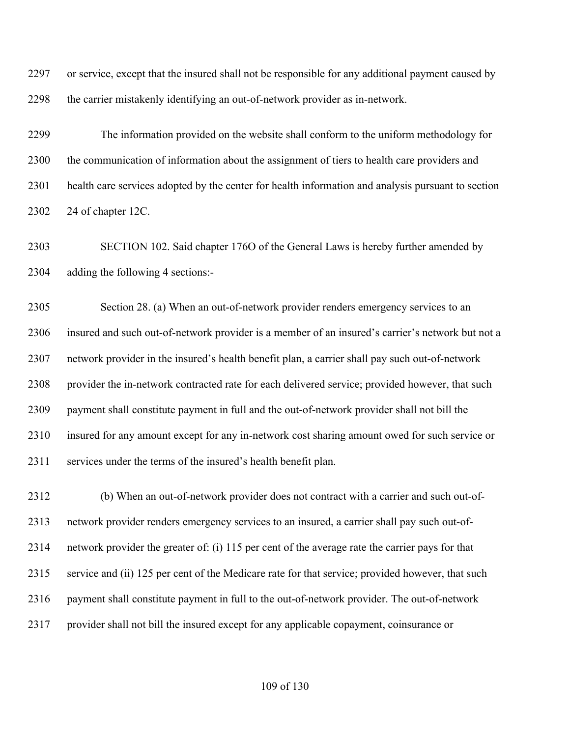or service, except that the insured shall not be responsible for any additional payment caused by the carrier mistakenly identifying an out-of-network provider as in-network.

 The information provided on the website shall conform to the uniform methodology for the communication of information about the assignment of tiers to health care providers and health care services adopted by the center for health information and analysis pursuant to section 24 of chapter 12C.

 SECTION 102. Said chapter 176O of the General Laws is hereby further amended by adding the following 4 sections:-

 Section 28. (a) When an out-of-network provider renders emergency services to an insured and such out-of-network provider is a member of an insured's carrier's network but not a network provider in the insured's health benefit plan, a carrier shall pay such out-of-network 2308 provider the in-network contracted rate for each delivered service; provided however, that such payment shall constitute payment in full and the out-of-network provider shall not bill the insured for any amount except for any in-network cost sharing amount owed for such service or services under the terms of the insured's health benefit plan.

 (b) When an out-of-network provider does not contract with a carrier and such out-of- network provider renders emergency services to an insured, a carrier shall pay such out-of- network provider the greater of: (i) 115 per cent of the average rate the carrier pays for that service and (ii) 125 per cent of the Medicare rate for that service; provided however, that such payment shall constitute payment in full to the out-of-network provider. The out-of-network provider shall not bill the insured except for any applicable copayment, coinsurance or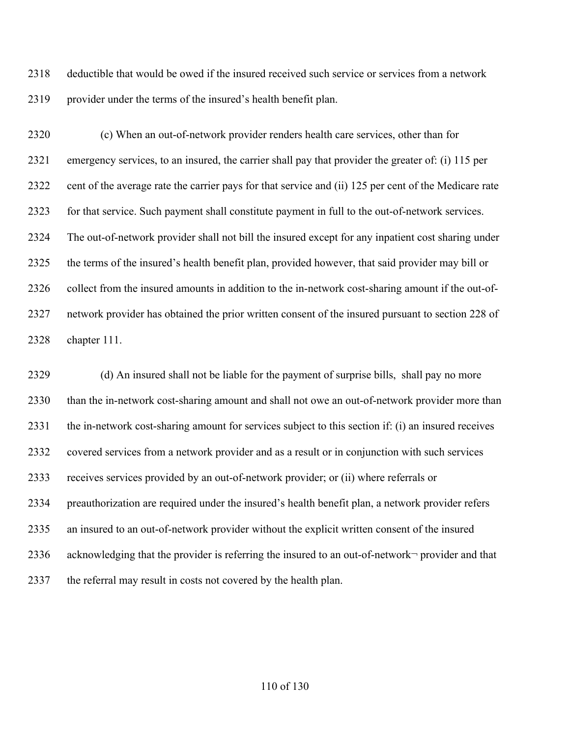deductible that would be owed if the insured received such service or services from a network provider under the terms of the insured's health benefit plan.

 (c) When an out-of-network provider renders health care services, other than for emergency services, to an insured, the carrier shall pay that provider the greater of: (i) 115 per cent of the average rate the carrier pays for that service and (ii) 125 per cent of the Medicare rate for that service. Such payment shall constitute payment in full to the out-of-network services. The out-of-network provider shall not bill the insured except for any inpatient cost sharing under the terms of the insured's health benefit plan, provided however, that said provider may bill or collect from the insured amounts in addition to the in-network cost-sharing amount if the out-of- network provider has obtained the prior written consent of the insured pursuant to section 228 of chapter 111.

 (d) An insured shall not be liable for the payment of surprise bills, shall pay no more than the in-network cost-sharing amount and shall not owe an out-of-network provider more than the in-network cost-sharing amount for services subject to this section if: (i) an insured receives covered services from a network provider and as a result or in conjunction with such services receives services provided by an out-of-network provider; or (ii) where referrals or preauthorization are required under the insured's health benefit plan, a network provider refers an insured to an out-of-network provider without the explicit written consent of the insured acknowledging that the provider is referring the insured to an out-of-network¬ provider and that the referral may result in costs not covered by the health plan.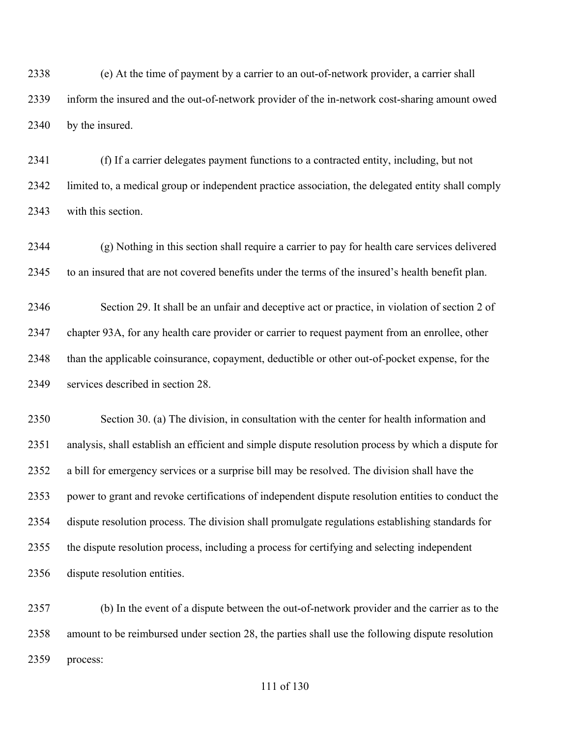(e) At the time of payment by a carrier to an out-of-network provider, a carrier shall inform the insured and the out-of-network provider of the in-network cost-sharing amount owed by the insured.

 (f) If a carrier delegates payment functions to a contracted entity, including, but not limited to, a medical group or independent practice association, the delegated entity shall comply with this section.

 (g) Nothing in this section shall require a carrier to pay for health care services delivered to an insured that are not covered benefits under the terms of the insured's health benefit plan.

 Section 29. It shall be an unfair and deceptive act or practice, in violation of section 2 of chapter 93A, for any health care provider or carrier to request payment from an enrollee, other than the applicable coinsurance, copayment, deductible or other out-of-pocket expense, for the services described in section 28.

 Section 30. (a) The division, in consultation with the center for health information and analysis, shall establish an efficient and simple dispute resolution process by which a dispute for a bill for emergency services or a surprise bill may be resolved. The division shall have the power to grant and revoke certifications of independent dispute resolution entities to conduct the dispute resolution process. The division shall promulgate regulations establishing standards for the dispute resolution process, including a process for certifying and selecting independent dispute resolution entities.

 (b) In the event of a dispute between the out-of-network provider and the carrier as to the amount to be reimbursed under section 28, the parties shall use the following dispute resolution process: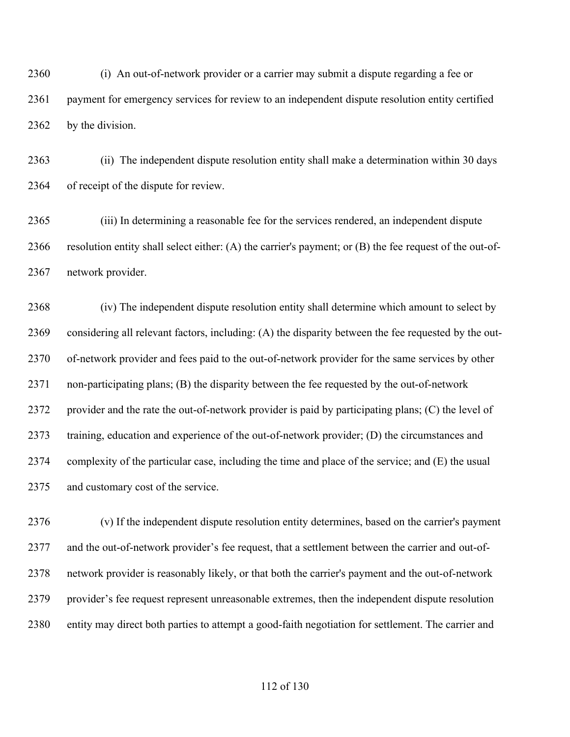(i) An out-of-network provider or a carrier may submit a dispute regarding a fee or payment for emergency services for review to an independent dispute resolution entity certified by the division.

 (ii) The independent dispute resolution entity shall make a determination within 30 days of receipt of the dispute for review.

 (iii) In determining a reasonable fee for the services rendered, an independent dispute resolution entity shall select either: (A) the carrier's payment; or (B) the fee request of the out-of-network provider.

 (iv) The independent dispute resolution entity shall determine which amount to select by considering all relevant factors, including: (A) the disparity between the fee requested by the out- of-network provider and fees paid to the out-of-network provider for the same services by other non-participating plans; (B) the disparity between the fee requested by the out-of-network provider and the rate the out-of-network provider is paid by participating plans; (C) the level of training, education and experience of the out-of-network provider; (D) the circumstances and complexity of the particular case, including the time and place of the service; and (E) the usual and customary cost of the service.

 (v) If the independent dispute resolution entity determines, based on the carrier's payment and the out-of-network provider's fee request, that a settlement between the carrier and out-of- network provider is reasonably likely, or that both the carrier's payment and the out-of-network provider's fee request represent unreasonable extremes, then the independent dispute resolution entity may direct both parties to attempt a good-faith negotiation for settlement. The carrier and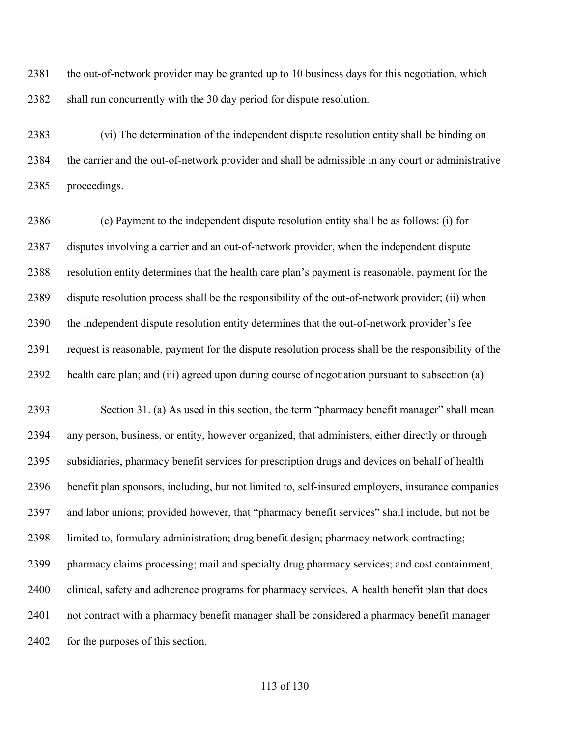the out-of-network provider may be granted up to 10 business days for this negotiation, which shall run concurrently with the 30 day period for dispute resolution.

 (vi) The determination of the independent dispute resolution entity shall be binding on the carrier and the out-of-network provider and shall be admissible in any court or administrative proceedings.

 (c) Payment to the independent dispute resolution entity shall be as follows: (i) for disputes involving a carrier and an out-of-network provider, when the independent dispute resolution entity determines that the health care plan's payment is reasonable, payment for the dispute resolution process shall be the responsibility of the out-of-network provider; (ii) when the independent dispute resolution entity determines that the out-of-network provider's fee request is reasonable, payment for the dispute resolution process shall be the responsibility of the health care plan; and (iii) agreed upon during course of negotiation pursuant to subsection (a)

 Section 31. (a) As used in this section, the term "pharmacy benefit manager" shall mean any person, business, or entity, however organized, that administers, either directly or through subsidiaries, pharmacy benefit services for prescription drugs and devices on behalf of health benefit plan sponsors, including, but not limited to, self-insured employers, insurance companies and labor unions; provided however, that "pharmacy benefit services" shall include, but not be limited to, formulary administration; drug benefit design; pharmacy network contracting; pharmacy claims processing; mail and specialty drug pharmacy services; and cost containment, clinical, safety and adherence programs for pharmacy services. A health benefit plan that does not contract with a pharmacy benefit manager shall be considered a pharmacy benefit manager 2402 for the purposes of this section.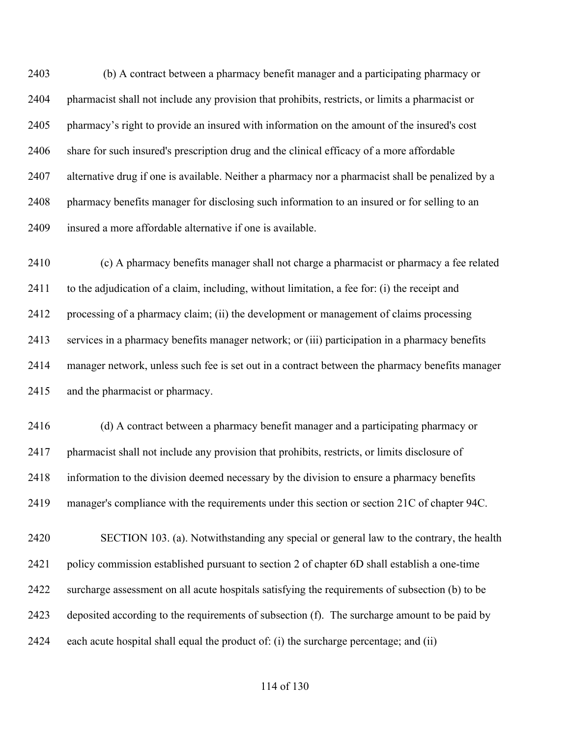(b) A contract between a pharmacy benefit manager and a participating pharmacy or pharmacist shall not include any provision that prohibits, restricts, or limits a pharmacist or pharmacy's right to provide an insured with information on the amount of the insured's cost share for such insured's prescription drug and the clinical efficacy of a more affordable alternative drug if one is available. Neither a pharmacy nor a pharmacist shall be penalized by a pharmacy benefits manager for disclosing such information to an insured or for selling to an insured a more affordable alternative if one is available.

 (c) A pharmacy benefits manager shall not charge a pharmacist or pharmacy a fee related to the adjudication of a claim, including, without limitation, a fee for: (i) the receipt and processing of a pharmacy claim; (ii) the development or management of claims processing services in a pharmacy benefits manager network; or (iii) participation in a pharmacy benefits manager network, unless such fee is set out in a contract between the pharmacy benefits manager and the pharmacist or pharmacy.

 (d) A contract between a pharmacy benefit manager and a participating pharmacy or pharmacist shall not include any provision that prohibits, restricts, or limits disclosure of information to the division deemed necessary by the division to ensure a pharmacy benefits manager's compliance with the requirements under this section or section 21C of chapter 94C.

 SECTION 103. (a). Notwithstanding any special or general law to the contrary, the health policy commission established pursuant to section 2 of chapter 6D shall establish a one-time surcharge assessment on all acute hospitals satisfying the requirements of subsection (b) to be deposited according to the requirements of subsection (f). The surcharge amount to be paid by 2424 each acute hospital shall equal the product of: (i) the surcharge percentage; and (ii)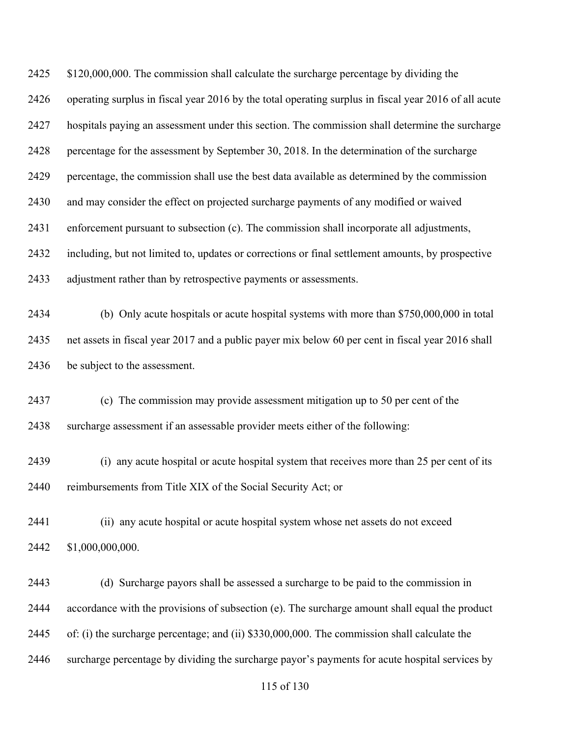2425 \$120,000,000. The commission shall calculate the surcharge percentage by dividing the operating surplus in fiscal year 2016 by the total operating surplus in fiscal year 2016 of all acute hospitals paying an assessment under this section. The commission shall determine the surcharge percentage for the assessment by September 30, 2018. In the determination of the surcharge percentage, the commission shall use the best data available as determined by the commission and may consider the effect on projected surcharge payments of any modified or waived enforcement pursuant to subsection (c). The commission shall incorporate all adjustments, including, but not limited to, updates or corrections or final settlement amounts, by prospective adjustment rather than by retrospective payments or assessments. (b) Only acute hospitals or acute hospital systems with more than \$750,000,000 in total net assets in fiscal year 2017 and a public payer mix below 60 per cent in fiscal year 2016 shall be subject to the assessment. (c) The commission may provide assessment mitigation up to 50 per cent of the surcharge assessment if an assessable provider meets either of the following: (i) any acute hospital or acute hospital system that receives more than 25 per cent of its reimbursements from Title XIX of the Social Security Act; or (ii) any acute hospital or acute hospital system whose net assets do not exceed \$1,000,000,000. (d) Surcharge payors shall be assessed a surcharge to be paid to the commission in accordance with the provisions of subsection (e). The surcharge amount shall equal the product

of: (i) the surcharge percentage; and (ii) \$330,000,000. The commission shall calculate the

surcharge percentage by dividing the surcharge payor's payments for acute hospital services by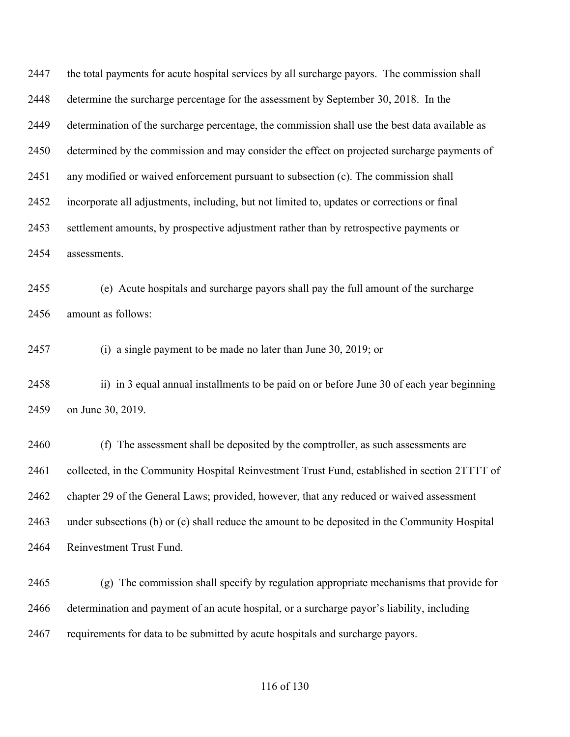the total payments for acute hospital services by all surcharge payors. The commission shall determine the surcharge percentage for the assessment by September 30, 2018. In the determination of the surcharge percentage, the commission shall use the best data available as determined by the commission and may consider the effect on projected surcharge payments of any modified or waived enforcement pursuant to subsection (c). The commission shall incorporate all adjustments, including, but not limited to, updates or corrections or final settlement amounts, by prospective adjustment rather than by retrospective payments or assessments.

 (e) Acute hospitals and surcharge payors shall pay the full amount of the surcharge amount as follows:

(i) a single payment to be made no later than June 30, 2019; or

 ii) in 3 equal annual installments to be paid on or before June 30 of each year beginning on June 30, 2019.

 (f) The assessment shall be deposited by the comptroller, as such assessments are 2461 collected, in the Community Hospital Reinvestment Trust Fund, established in section 2TTTT of chapter 29 of the General Laws; provided, however, that any reduced or waived assessment under subsections (b) or (c) shall reduce the amount to be deposited in the Community Hospital Reinvestment Trust Fund.

 (g) The commission shall specify by regulation appropriate mechanisms that provide for determination and payment of an acute hospital, or a surcharge payor's liability, including requirements for data to be submitted by acute hospitals and surcharge payors.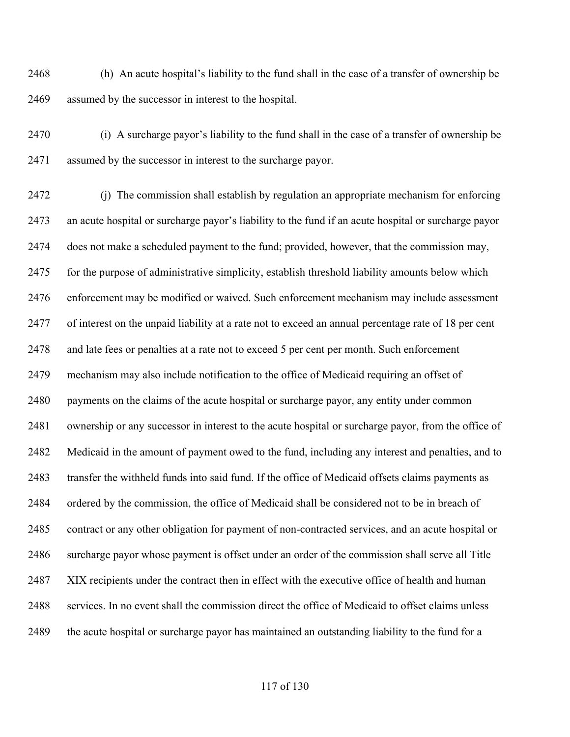(h) An acute hospital's liability to the fund shall in the case of a transfer of ownership be assumed by the successor in interest to the hospital.

 (i) A surcharge payor's liability to the fund shall in the case of a transfer of ownership be assumed by the successor in interest to the surcharge payor.

 (j) The commission shall establish by regulation an appropriate mechanism for enforcing an acute hospital or surcharge payor's liability to the fund if an acute hospital or surcharge payor does not make a scheduled payment to the fund; provided, however, that the commission may, for the purpose of administrative simplicity, establish threshold liability amounts below which enforcement may be modified or waived. Such enforcement mechanism may include assessment of interest on the unpaid liability at a rate not to exceed an annual percentage rate of 18 per cent and late fees or penalties at a rate not to exceed 5 per cent per month. Such enforcement mechanism may also include notification to the office of Medicaid requiring an offset of payments on the claims of the acute hospital or surcharge payor, any entity under common ownership or any successor in interest to the acute hospital or surcharge payor, from the office of Medicaid in the amount of payment owed to the fund, including any interest and penalties, and to transfer the withheld funds into said fund. If the office of Medicaid offsets claims payments as ordered by the commission, the office of Medicaid shall be considered not to be in breach of contract or any other obligation for payment of non-contracted services, and an acute hospital or surcharge payor whose payment is offset under an order of the commission shall serve all Title XIX recipients under the contract then in effect with the executive office of health and human services. In no event shall the commission direct the office of Medicaid to offset claims unless the acute hospital or surcharge payor has maintained an outstanding liability to the fund for a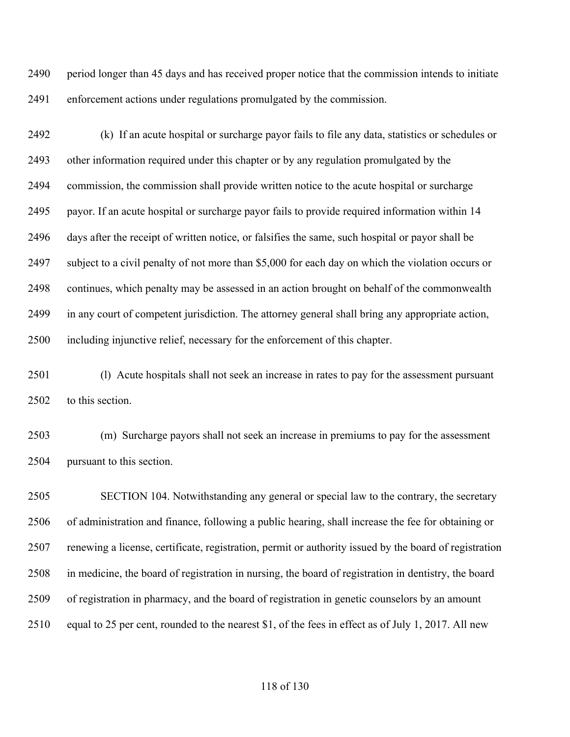period longer than 45 days and has received proper notice that the commission intends to initiate enforcement actions under regulations promulgated by the commission.

 (k) If an acute hospital or surcharge payor fails to file any data, statistics or schedules or other information required under this chapter or by any regulation promulgated by the commission, the commission shall provide written notice to the acute hospital or surcharge payor. If an acute hospital or surcharge payor fails to provide required information within 14 days after the receipt of written notice, or falsifies the same, such hospital or payor shall be subject to a civil penalty of not more than \$5,000 for each day on which the violation occurs or continues, which penalty may be assessed in an action brought on behalf of the commonwealth in any court of competent jurisdiction. The attorney general shall bring any appropriate action, including injunctive relief, necessary for the enforcement of this chapter.

2501 (l) Acute hospitals shall not seek an increase in rates to pay for the assessment pursuant to this section.

 (m) Surcharge payors shall not seek an increase in premiums to pay for the assessment pursuant to this section.

 SECTION 104. Notwithstanding any general or special law to the contrary, the secretary of administration and finance, following a public hearing, shall increase the fee for obtaining or renewing a license, certificate, registration, permit or authority issued by the board of registration in medicine, the board of registration in nursing, the board of registration in dentistry, the board of registration in pharmacy, and the board of registration in genetic counselors by an amount equal to 25 per cent, rounded to the nearest \$1, of the fees in effect as of July 1, 2017. All new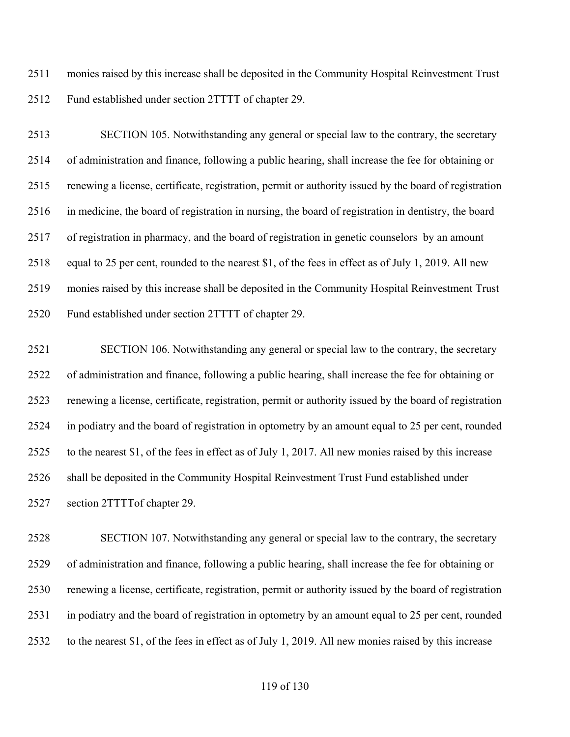monies raised by this increase shall be deposited in the Community Hospital Reinvestment Trust Fund established under section 2TTTT of chapter 29.

 SECTION 105. Notwithstanding any general or special law to the contrary, the secretary of administration and finance, following a public hearing, shall increase the fee for obtaining or renewing a license, certificate, registration, permit or authority issued by the board of registration in medicine, the board of registration in nursing, the board of registration in dentistry, the board of registration in pharmacy, and the board of registration in genetic counselors by an amount equal to 25 per cent, rounded to the nearest \$1, of the fees in effect as of July 1, 2019. All new monies raised by this increase shall be deposited in the Community Hospital Reinvestment Trust Fund established under section 2TTTT of chapter 29.

 SECTION 106. Notwithstanding any general or special law to the contrary, the secretary of administration and finance, following a public hearing, shall increase the fee for obtaining or renewing a license, certificate, registration, permit or authority issued by the board of registration in podiatry and the board of registration in optometry by an amount equal to 25 per cent, rounded to the nearest \$1, of the fees in effect as of July 1, 2017. All new monies raised by this increase shall be deposited in the Community Hospital Reinvestment Trust Fund established under section 2TTTTof chapter 29.

 SECTION 107. Notwithstanding any general or special law to the contrary, the secretary of administration and finance, following a public hearing, shall increase the fee for obtaining or renewing a license, certificate, registration, permit or authority issued by the board of registration in podiatry and the board of registration in optometry by an amount equal to 25 per cent, rounded to the nearest \$1, of the fees in effect as of July 1, 2019. All new monies raised by this increase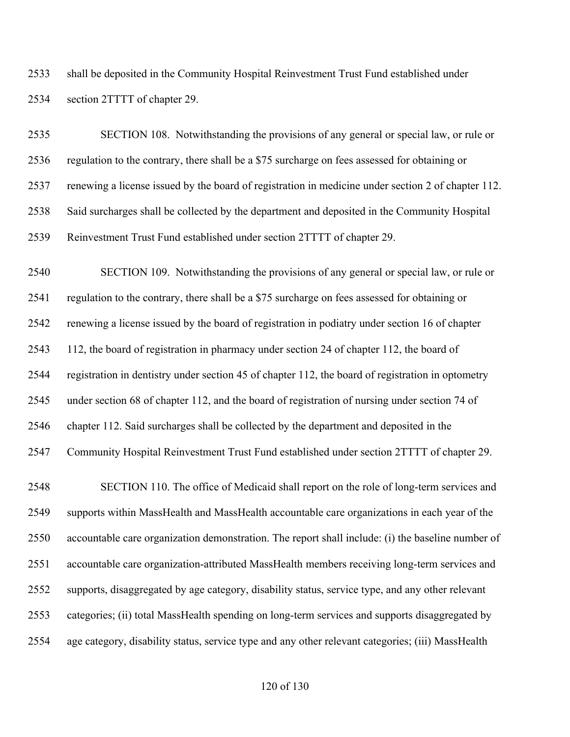shall be deposited in the Community Hospital Reinvestment Trust Fund established under section 2TTTT of chapter 29.

 SECTION 108. Notwithstanding the provisions of any general or special law, or rule or regulation to the contrary, there shall be a \$75 surcharge on fees assessed for obtaining or renewing a license issued by the board of registration in medicine under section 2 of chapter 112. Said surcharges shall be collected by the department and deposited in the Community Hospital Reinvestment Trust Fund established under section 2TTTT of chapter 29.

 SECTION 109. Notwithstanding the provisions of any general or special law, or rule or regulation to the contrary, there shall be a \$75 surcharge on fees assessed for obtaining or renewing a license issued by the board of registration in podiatry under section 16 of chapter 112, the board of registration in pharmacy under section 24 of chapter 112, the board of registration in dentistry under section 45 of chapter 112, the board of registration in optometry under section 68 of chapter 112, and the board of registration of nursing under section 74 of chapter 112. Said surcharges shall be collected by the department and deposited in the Community Hospital Reinvestment Trust Fund established under section 2TTTT of chapter 29. SECTION 110. The office of Medicaid shall report on the role of long-term services and supports within MassHealth and MassHealth accountable care organizations in each year of the accountable care organization demonstration. The report shall include: (i) the baseline number of accountable care organization-attributed MassHealth members receiving long-term services and supports, disaggregated by age category, disability status, service type, and any other relevant categories; (ii) total MassHealth spending on long-term services and supports disaggregated by age category, disability status, service type and any other relevant categories; (iii) MassHealth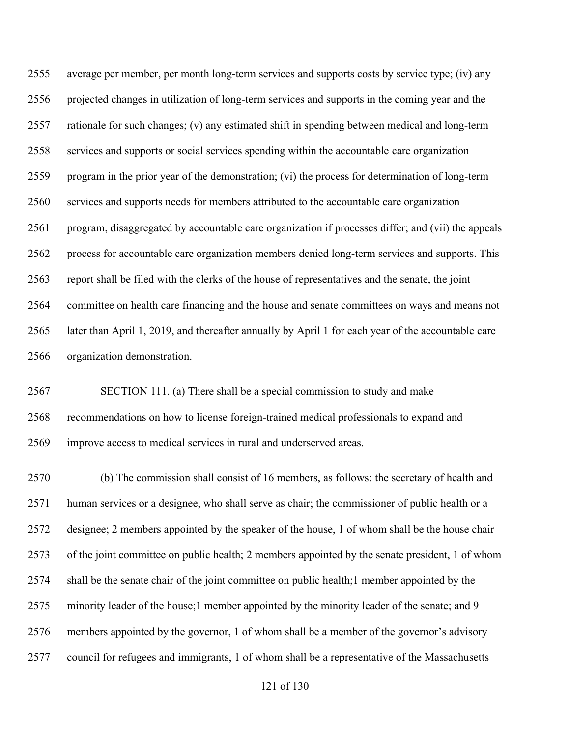average per member, per month long-term services and supports costs by service type; (iv) any projected changes in utilization of long-term services and supports in the coming year and the rationale for such changes; (v) any estimated shift in spending between medical and long-term services and supports or social services spending within the accountable care organization program in the prior year of the demonstration; (vi) the process for determination of long-term services and supports needs for members attributed to the accountable care organization program, disaggregated by accountable care organization if processes differ; and (vii) the appeals process for accountable care organization members denied long-term services and supports. This report shall be filed with the clerks of the house of representatives and the senate, the joint committee on health care financing and the house and senate committees on ways and means not later than April 1, 2019, and thereafter annually by April 1 for each year of the accountable care organization demonstration.

 SECTION 111. (a) There shall be a special commission to study and make recommendations on how to license foreign-trained medical professionals to expand and improve access to medical services in rural and underserved areas.

 (b) The commission shall consist of 16 members, as follows: the secretary of health and human services or a designee, who shall serve as chair; the commissioner of public health or a designee; 2 members appointed by the speaker of the house, 1 of whom shall be the house chair of the joint committee on public health; 2 members appointed by the senate president, 1 of whom shall be the senate chair of the joint committee on public health;1 member appointed by the 2575 minority leader of the house;1 member appointed by the minority leader of the senate; and 9 members appointed by the governor, 1 of whom shall be a member of the governor's advisory council for refugees and immigrants, 1 of whom shall be a representative of the Massachusetts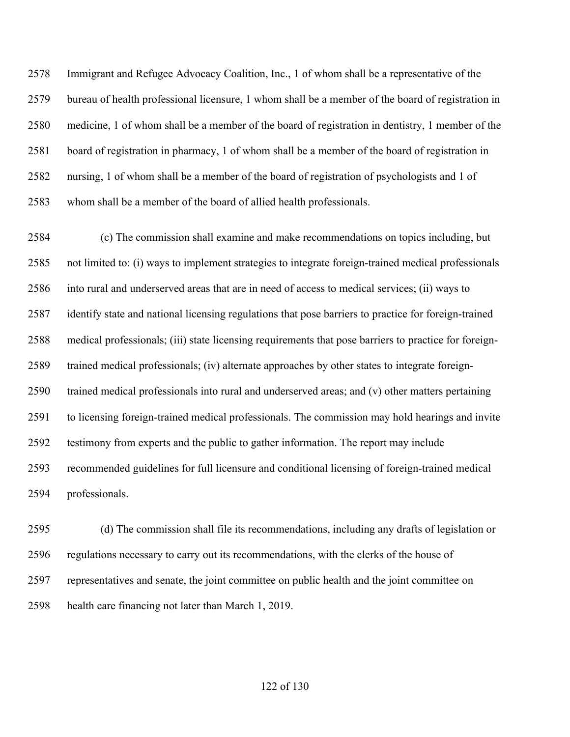Immigrant and Refugee Advocacy Coalition, Inc., 1 of whom shall be a representative of the bureau of health professional licensure, 1 whom shall be a member of the board of registration in medicine, 1 of whom shall be a member of the board of registration in dentistry, 1 member of the board of registration in pharmacy, 1 of whom shall be a member of the board of registration in nursing, 1 of whom shall be a member of the board of registration of psychologists and 1 of whom shall be a member of the board of allied health professionals.

 (c) The commission shall examine and make recommendations on topics including, but not limited to: (i) ways to implement strategies to integrate foreign-trained medical professionals into rural and underserved areas that are in need of access to medical services; (ii) ways to identify state and national licensing regulations that pose barriers to practice for foreign-trained medical professionals; (iii) state licensing requirements that pose barriers to practice for foreign- trained medical professionals; (iv) alternate approaches by other states to integrate foreign- trained medical professionals into rural and underserved areas; and (v) other matters pertaining to licensing foreign-trained medical professionals. The commission may hold hearings and invite testimony from experts and the public to gather information. The report may include recommended guidelines for full licensure and conditional licensing of foreign-trained medical professionals.

 (d) The commission shall file its recommendations, including any drafts of legislation or regulations necessary to carry out its recommendations, with the clerks of the house of representatives and senate, the joint committee on public health and the joint committee on health care financing not later than March 1, 2019.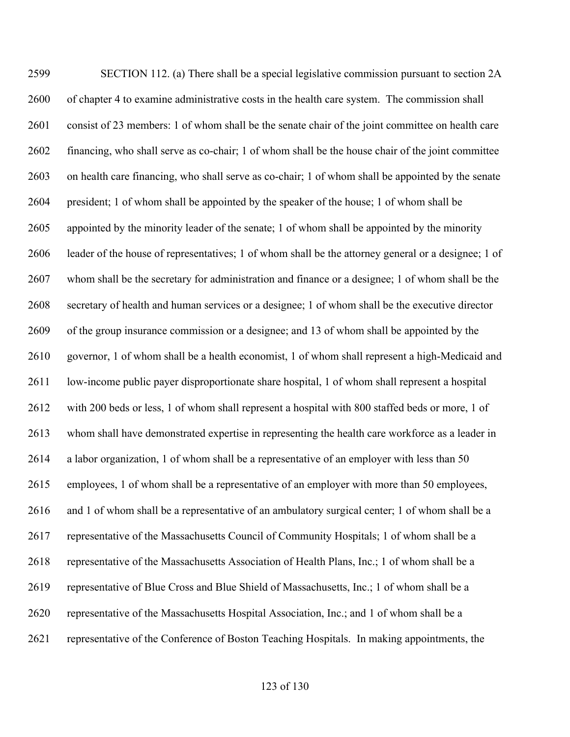SECTION 112. (a) There shall be a special legislative commission pursuant to section 2A of chapter 4 to examine administrative costs in the health care system. The commission shall consist of 23 members: 1 of whom shall be the senate chair of the joint committee on health care financing, who shall serve as co-chair; 1 of whom shall be the house chair of the joint committee on health care financing, who shall serve as co-chair; 1 of whom shall be appointed by the senate president; 1 of whom shall be appointed by the speaker of the house; 1 of whom shall be appointed by the minority leader of the senate; 1 of whom shall be appointed by the minority leader of the house of representatives; 1 of whom shall be the attorney general or a designee; 1 of whom shall be the secretary for administration and finance or a designee; 1 of whom shall be the secretary of health and human services or a designee; 1 of whom shall be the executive director of the group insurance commission or a designee; and 13 of whom shall be appointed by the governor, 1 of whom shall be a health economist, 1 of whom shall represent a high-Medicaid and 2611 low-income public payer disproportionate share hospital, 1 of whom shall represent a hospital with 200 beds or less, 1 of whom shall represent a hospital with 800 staffed beds or more, 1 of whom shall have demonstrated expertise in representing the health care workforce as a leader in a labor organization, 1 of whom shall be a representative of an employer with less than 50 employees, 1 of whom shall be a representative of an employer with more than 50 employees, and 1 of whom shall be a representative of an ambulatory surgical center; 1 of whom shall be a representative of the Massachusetts Council of Community Hospitals; 1 of whom shall be a representative of the Massachusetts Association of Health Plans, Inc.; 1 of whom shall be a representative of Blue Cross and Blue Shield of Massachusetts, Inc.; 1 of whom shall be a representative of the Massachusetts Hospital Association, Inc.; and 1 of whom shall be a representative of the Conference of Boston Teaching Hospitals. In making appointments, the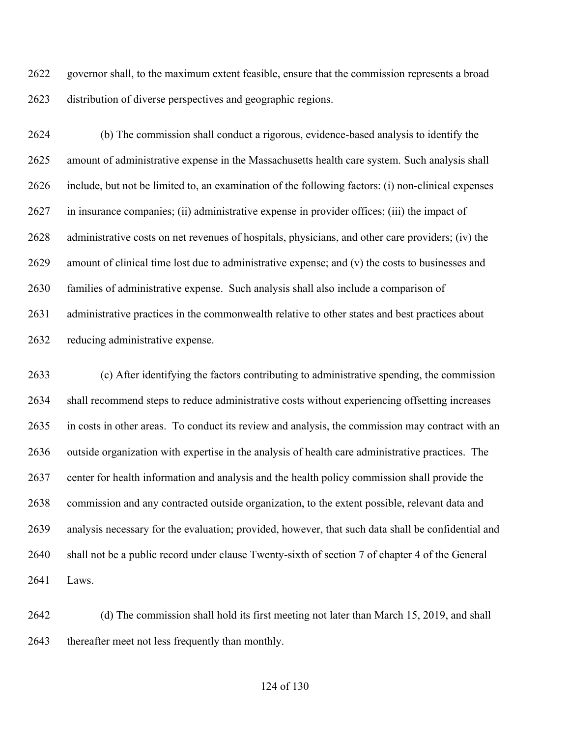governor shall, to the maximum extent feasible, ensure that the commission represents a broad distribution of diverse perspectives and geographic regions.

 (b) The commission shall conduct a rigorous, evidence-based analysis to identify the amount of administrative expense in the Massachusetts health care system. Such analysis shall include, but not be limited to, an examination of the following factors: (i) non-clinical expenses in insurance companies; (ii) administrative expense in provider offices; (iii) the impact of administrative costs on net revenues of hospitals, physicians, and other care providers; (iv) the amount of clinical time lost due to administrative expense; and (v) the costs to businesses and families of administrative expense. Such analysis shall also include a comparison of administrative practices in the commonwealth relative to other states and best practices about reducing administrative expense.

 (c) After identifying the factors contributing to administrative spending, the commission shall recommend steps to reduce administrative costs without experiencing offsetting increases in costs in other areas. To conduct its review and analysis, the commission may contract with an outside organization with expertise in the analysis of health care administrative practices. The center for health information and analysis and the health policy commission shall provide the commission and any contracted outside organization, to the extent possible, relevant data and analysis necessary for the evaluation; provided, however, that such data shall be confidential and shall not be a public record under clause Twenty-sixth of section 7 of chapter 4 of the General Laws.

 (d) The commission shall hold its first meeting not later than March 15, 2019, and shall thereafter meet not less frequently than monthly.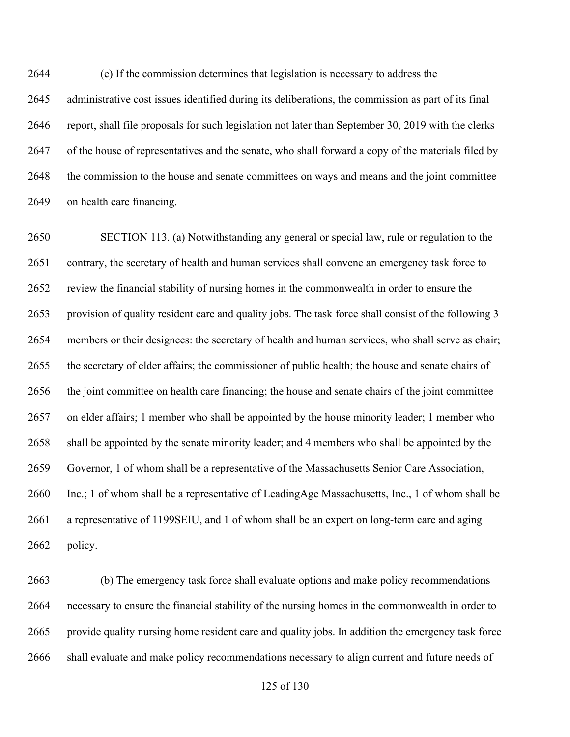(e) If the commission determines that legislation is necessary to address the administrative cost issues identified during its deliberations, the commission as part of its final report, shall file proposals for such legislation not later than September 30, 2019 with the clerks of the house of representatives and the senate, who shall forward a copy of the materials filed by the commission to the house and senate committees on ways and means and the joint committee on health care financing.

 SECTION 113. (a) Notwithstanding any general or special law, rule or regulation to the contrary, the secretary of health and human services shall convene an emergency task force to review the financial stability of nursing homes in the commonwealth in order to ensure the provision of quality resident care and quality jobs. The task force shall consist of the following 3 members or their designees: the secretary of health and human services, who shall serve as chair; the secretary of elder affairs; the commissioner of public health; the house and senate chairs of the joint committee on health care financing; the house and senate chairs of the joint committee on elder affairs; 1 member who shall be appointed by the house minority leader; 1 member who shall be appointed by the senate minority leader; and 4 members who shall be appointed by the Governor, 1 of whom shall be a representative of the Massachusetts Senior Care Association, Inc.; 1 of whom shall be a representative of LeadingAge Massachusetts, Inc., 1 of whom shall be a representative of 1199SEIU, and 1 of whom shall be an expert on long-term care and aging policy.

 (b) The emergency task force shall evaluate options and make policy recommendations necessary to ensure the financial stability of the nursing homes in the commonwealth in order to provide quality nursing home resident care and quality jobs. In addition the emergency task force shall evaluate and make policy recommendations necessary to align current and future needs of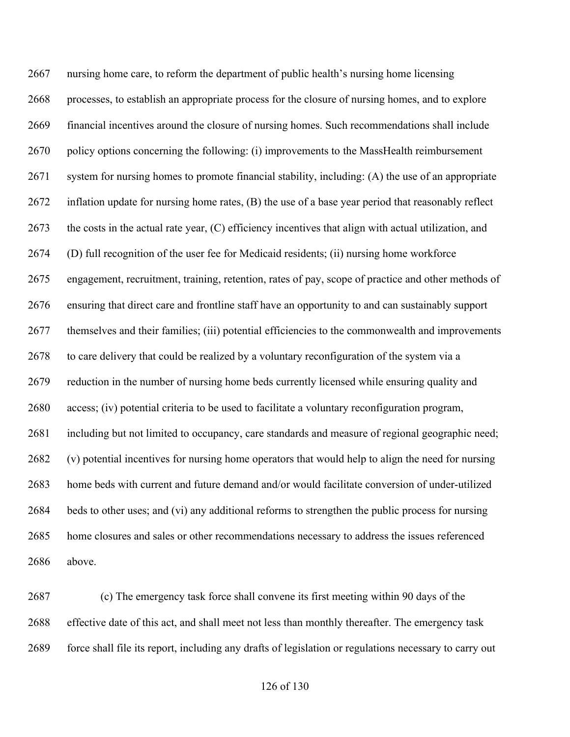nursing home care, to reform the department of public health's nursing home licensing processes, to establish an appropriate process for the closure of nursing homes, and to explore financial incentives around the closure of nursing homes. Such recommendations shall include 2670 policy options concerning the following: (i) improvements to the MassHealth reimbursement system for nursing homes to promote financial stability, including: (A) the use of an appropriate inflation update for nursing home rates, (B) the use of a base year period that reasonably reflect the costs in the actual rate year, (C) efficiency incentives that align with actual utilization, and (D) full recognition of the user fee for Medicaid residents; (ii) nursing home workforce engagement, recruitment, training, retention, rates of pay, scope of practice and other methods of ensuring that direct care and frontline staff have an opportunity to and can sustainably support themselves and their families; (iii) potential efficiencies to the commonwealth and improvements to care delivery that could be realized by a voluntary reconfiguration of the system via a reduction in the number of nursing home beds currently licensed while ensuring quality and access; (iv) potential criteria to be used to facilitate a voluntary reconfiguration program, including but not limited to occupancy, care standards and measure of regional geographic need; (v) potential incentives for nursing home operators that would help to align the need for nursing home beds with current and future demand and/or would facilitate conversion of under-utilized beds to other uses; and (vi) any additional reforms to strengthen the public process for nursing home closures and sales or other recommendations necessary to address the issues referenced above.

 (c) The emergency task force shall convene its first meeting within 90 days of the effective date of this act, and shall meet not less than monthly thereafter. The emergency task force shall file its report, including any drafts of legislation or regulations necessary to carry out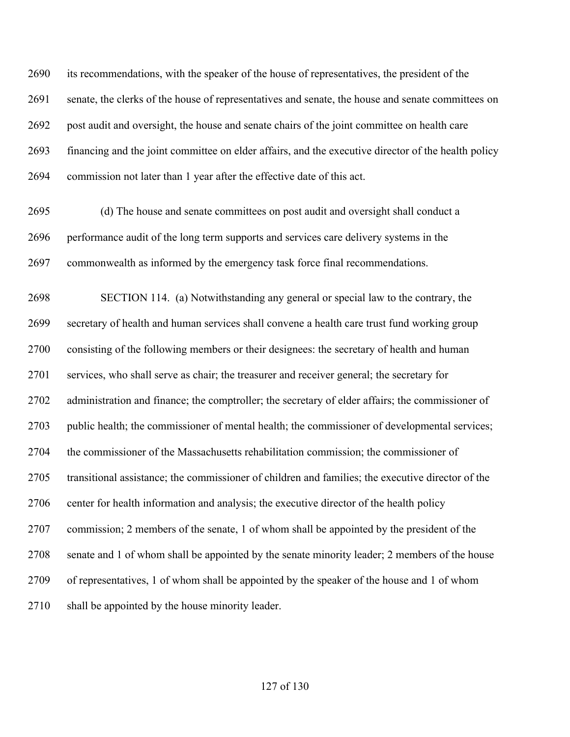its recommendations, with the speaker of the house of representatives, the president of the senate, the clerks of the house of representatives and senate, the house and senate committees on post audit and oversight, the house and senate chairs of the joint committee on health care financing and the joint committee on elder affairs, and the executive director of the health policy commission not later than 1 year after the effective date of this act.

 (d) The house and senate committees on post audit and oversight shall conduct a performance audit of the long term supports and services care delivery systems in the commonwealth as informed by the emergency task force final recommendations.

 SECTION 114. (a) Notwithstanding any general or special law to the contrary, the secretary of health and human services shall convene a health care trust fund working group consisting of the following members or their designees: the secretary of health and human services, who shall serve as chair; the treasurer and receiver general; the secretary for administration and finance; the comptroller; the secretary of elder affairs; the commissioner of public health; the commissioner of mental health; the commissioner of developmental services; the commissioner of the Massachusetts rehabilitation commission; the commissioner of transitional assistance; the commissioner of children and families; the executive director of the 2706 center for health information and analysis; the executive director of the health policy commission; 2 members of the senate, 1 of whom shall be appointed by the president of the senate and 1 of whom shall be appointed by the senate minority leader; 2 members of the house of representatives, 1 of whom shall be appointed by the speaker of the house and 1 of whom shall be appointed by the house minority leader.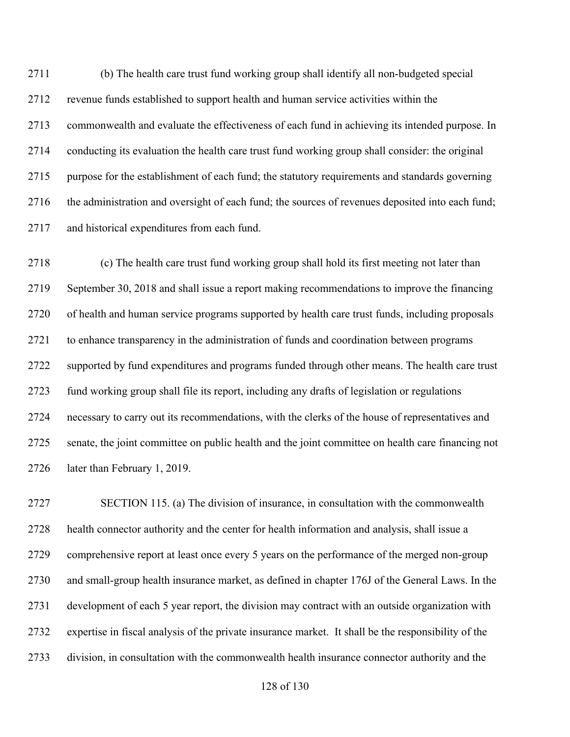(b) The health care trust fund working group shall identify all non-budgeted special revenue funds established to support health and human service activities within the commonwealth and evaluate the effectiveness of each fund in achieving its intended purpose. In conducting its evaluation the health care trust fund working group shall consider: the original purpose for the establishment of each fund; the statutory requirements and standards governing the administration and oversight of each fund; the sources of revenues deposited into each fund; and historical expenditures from each fund.

 (c) The health care trust fund working group shall hold its first meeting not later than September 30, 2018 and shall issue a report making recommendations to improve the financing of health and human service programs supported by health care trust funds, including proposals to enhance transparency in the administration of funds and coordination between programs supported by fund expenditures and programs funded through other means. The health care trust fund working group shall file its report, including any drafts of legislation or regulations necessary to carry out its recommendations, with the clerks of the house of representatives and senate, the joint committee on public health and the joint committee on health care financing not later than February 1, 2019.

 SECTION 115. (a) The division of insurance, in consultation with the commonwealth health connector authority and the center for health information and analysis, shall issue a comprehensive report at least once every 5 years on the performance of the merged non-group and small-group health insurance market, as defined in chapter 176J of the General Laws. In the development of each 5 year report, the division may contract with an outside organization with expertise in fiscal analysis of the private insurance market. It shall be the responsibility of the division, in consultation with the commonwealth health insurance connector authority and the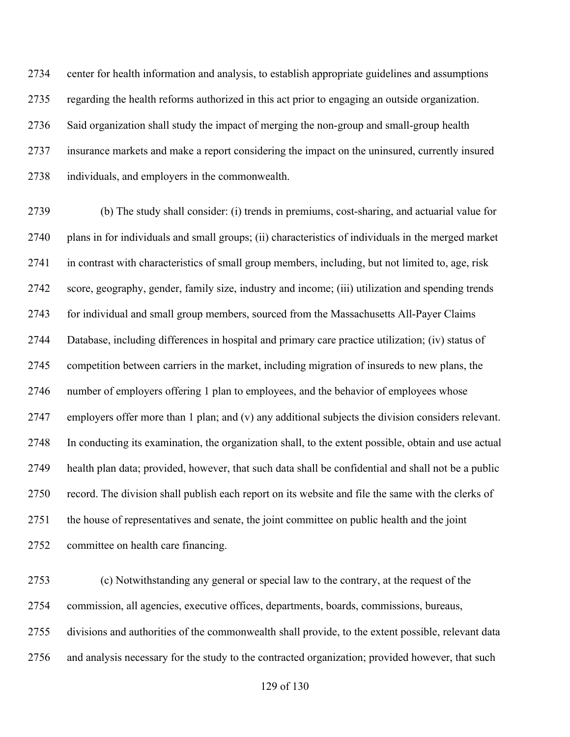center for health information and analysis, to establish appropriate guidelines and assumptions regarding the health reforms authorized in this act prior to engaging an outside organization. Said organization shall study the impact of merging the non-group and small-group health insurance markets and make a report considering the impact on the uninsured, currently insured individuals, and employers in the commonwealth.

 (b) The study shall consider: (i) trends in premiums, cost-sharing, and actuarial value for plans in for individuals and small groups; (ii) characteristics of individuals in the merged market in contrast with characteristics of small group members, including, but not limited to, age, risk score, geography, gender, family size, industry and income; (iii) utilization and spending trends for individual and small group members, sourced from the Massachusetts All-Payer Claims Database, including differences in hospital and primary care practice utilization; (iv) status of competition between carriers in the market, including migration of insureds to new plans, the number of employers offering 1 plan to employees, and the behavior of employees whose employers offer more than 1 plan; and (v) any additional subjects the division considers relevant. In conducting its examination, the organization shall, to the extent possible, obtain and use actual health plan data; provided, however, that such data shall be confidential and shall not be a public record. The division shall publish each report on its website and file the same with the clerks of the house of representatives and senate, the joint committee on public health and the joint committee on health care financing.

 (c) Notwithstanding any general or special law to the contrary, at the request of the commission, all agencies, executive offices, departments, boards, commissions, bureaus, divisions and authorities of the commonwealth shall provide, to the extent possible, relevant data and analysis necessary for the study to the contracted organization; provided however, that such